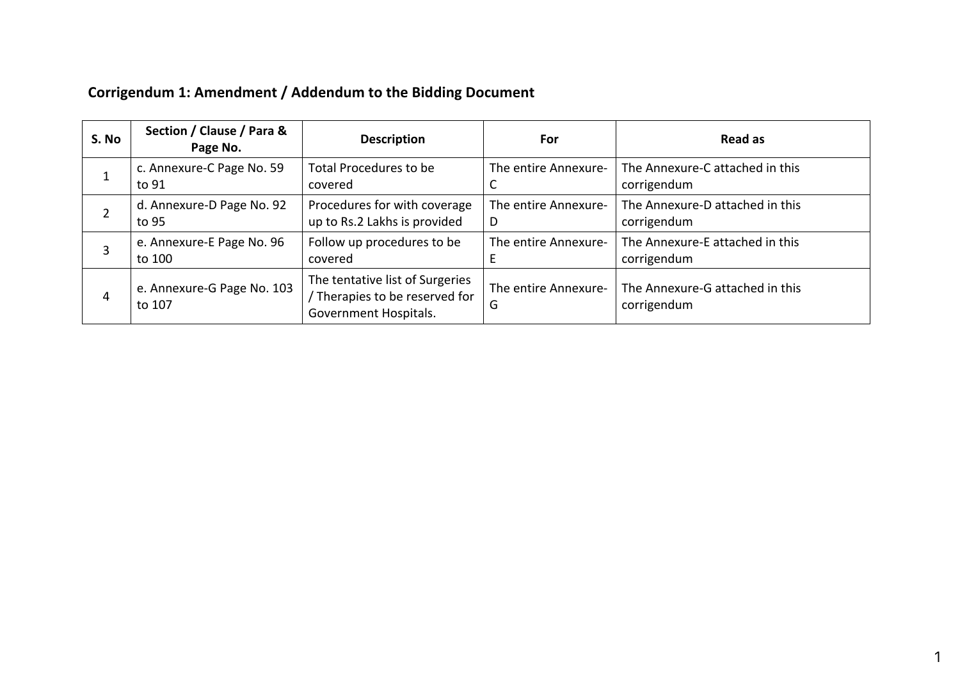|  | Corrigendum 1: Amendment / Addendum to the Bidding Document |
|--|-------------------------------------------------------------|
|--|-------------------------------------------------------------|

| S. No | Section / Clause / Para &<br>Page No. | <b>Description</b>                                                                         | For                       | Read as                                        |
|-------|---------------------------------------|--------------------------------------------------------------------------------------------|---------------------------|------------------------------------------------|
|       | c. Annexure-C Page No. 59<br>to 91    | Total Procedures to be<br>covered                                                          | The entire Annexure-      | The Annexure-C attached in this<br>corrigendum |
| 2     | d. Annexure-D Page No. 92<br>to 95    | Procedures for with coverage<br>up to Rs.2 Lakhs is provided                               | The entire Annexure-<br>D | The Annexure-D attached in this<br>corrigendum |
| 3     | e. Annexure-E Page No. 96<br>to 100   | Follow up procedures to be<br>covered                                                      | The entire Annexure-      | The Annexure-E attached in this<br>corrigendum |
| 4     | e. Annexure-G Page No. 103<br>to 107  | The tentative list of Surgeries<br>/ Therapies to be reserved for<br>Government Hospitals. | The entire Annexure-<br>G | The Annexure-G attached in this<br>corrigendum |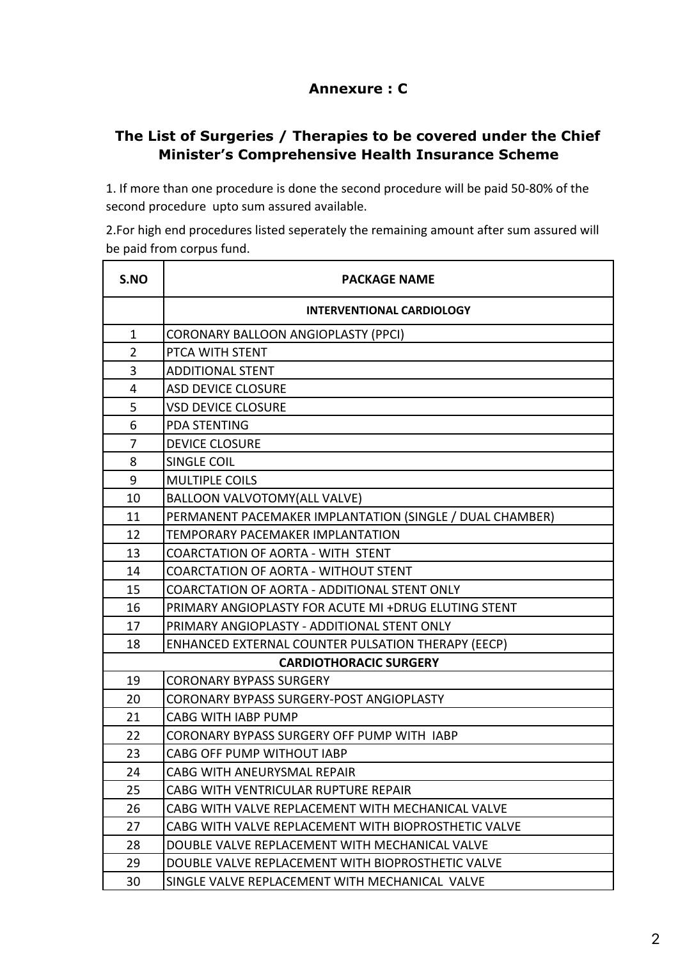# **Annexure : C**

## **The List of Surgeries / Therapies to be covered under the Chief Minister's Comprehensive Health Insurance Scheme**

1. If more than one procedure is done the second procedure will be paid 50-80% of the second procedure upto sum assured available.

2.For high end procedures listed seperately the remaining amount after sum assured will be paid from corpus fund.

| S.NO                          | <b>PACKAGE NAME</b>                                      |  |
|-------------------------------|----------------------------------------------------------|--|
|                               | <b>INTERVENTIONAL CARDIOLOGY</b>                         |  |
| $\mathbf{1}$                  | <b>CORONARY BALLOON ANGIOPLASTY (PPCI)</b>               |  |
| $\overline{2}$                | PTCA WITH STENT                                          |  |
| 3                             | <b>ADDITIONAL STENT</b>                                  |  |
| 4                             | <b>ASD DEVICE CLOSURE</b>                                |  |
| 5                             | <b>VSD DEVICE CLOSURE</b>                                |  |
| 6                             | <b>PDA STENTING</b>                                      |  |
| $\overline{7}$                | <b>DEVICE CLOSURE</b>                                    |  |
| 8                             | <b>SINGLE COIL</b>                                       |  |
| 9                             | <b>MULTIPLE COILS</b>                                    |  |
| 10                            | <b>BALLOON VALVOTOMY(ALL VALVE)</b>                      |  |
| 11                            | PERMANENT PACEMAKER IMPLANTATION (SINGLE / DUAL CHAMBER) |  |
| 12                            | <b>TEMPORARY PACEMAKER IMPLANTATION</b>                  |  |
| 13                            | COARCTATION OF AORTA - WITH STENT                        |  |
| 14                            | <b>COARCTATION OF AORTA - WITHOUT STENT</b>              |  |
| 15                            | COARCTATION OF AORTA - ADDITIONAL STENT ONLY             |  |
| 16                            | PRIMARY ANGIOPLASTY FOR ACUTE MI +DRUG ELUTING STENT     |  |
| 17                            | PRIMARY ANGIOPLASTY - ADDITIONAL STENT ONLY              |  |
| 18                            | ENHANCED EXTERNAL COUNTER PULSATION THERAPY (EECP)       |  |
| <b>CARDIOTHORACIC SURGERY</b> |                                                          |  |
| 19                            | <b>CORONARY BYPASS SURGERY</b>                           |  |
| 20                            | <b>CORONARY BYPASS SURGERY-POST ANGIOPLASTY</b>          |  |
| 21                            | <b>CABG WITH IABP PUMP</b>                               |  |
| 22                            | CORONARY BYPASS SURGERY OFF PUMP WITH IABP               |  |
| 23                            | <b>CABG OFF PUMP WITHOUT IABP</b>                        |  |
| 24                            | CABG WITH ANEURYSMAL REPAIR                              |  |
| 25                            | CABG WITH VENTRICULAR RUPTURE REPAIR                     |  |
| 26                            | CABG WITH VALVE REPLACEMENT WITH MECHANICAL VALVE        |  |
| 27                            | CABG WITH VALVE REPLACEMENT WITH BIOPROSTHETIC VALVE     |  |
| 28                            | DOUBLE VALVE REPLACEMENT WITH MECHANICAL VALVE           |  |
| 29                            | DOUBLE VALVE REPLACEMENT WITH BIOPROSTHETIC VALVE        |  |
| 30                            | SINGLE VALVE REPLACEMENT WITH MECHANICAL VALVE           |  |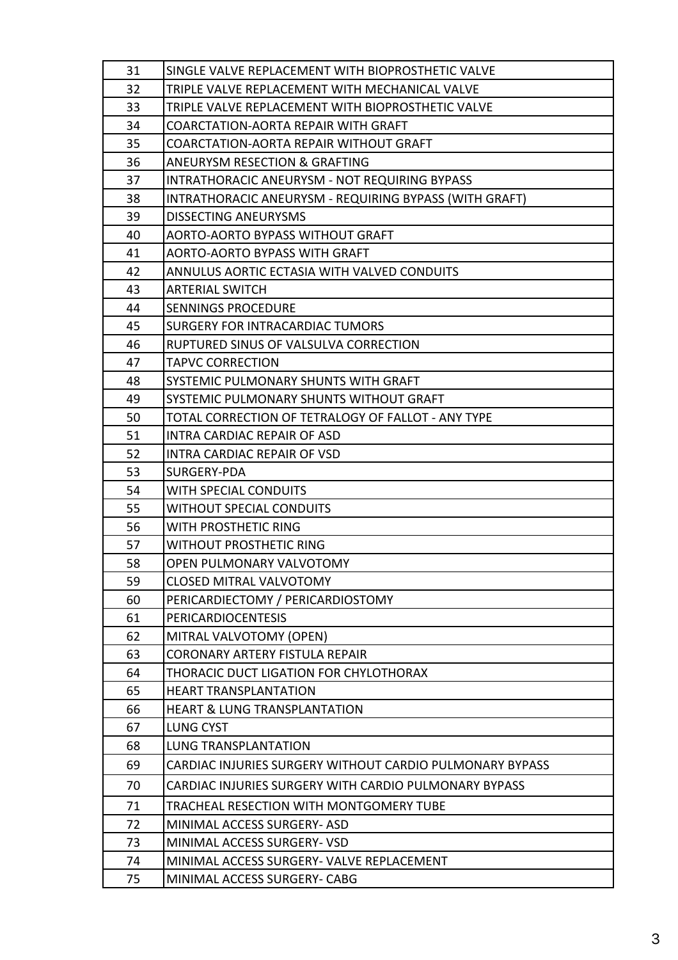| 31 | SINGLE VALVE REPLACEMENT WITH BIOPROSTHETIC VALVE        |
|----|----------------------------------------------------------|
| 32 | TRIPLE VALVE REPLACEMENT WITH MECHANICAL VALVE           |
| 33 | TRIPLE VALVE REPLACEMENT WITH BIOPROSTHETIC VALVE        |
| 34 | COARCTATION-AORTA REPAIR WITH GRAFT                      |
| 35 | COARCTATION-AORTA REPAIR WITHOUT GRAFT                   |
| 36 | <b>ANEURYSM RESECTION &amp; GRAFTING</b>                 |
| 37 | INTRATHORACIC ANEURYSM - NOT REQUIRING BYPASS            |
| 38 | INTRATHORACIC ANEURYSM - REQUIRING BYPASS (WITH GRAFT)   |
| 39 | <b>DISSECTING ANEURYSMS</b>                              |
| 40 | <b>AORTO-AORTO BYPASS WITHOUT GRAFT</b>                  |
| 41 | AORTO-AORTO BYPASS WITH GRAFT                            |
| 42 | ANNULUS AORTIC ECTASIA WITH VALVED CONDUITS              |
| 43 | <b>ARTERIAL SWITCH</b>                                   |
| 44 | <b>SENNINGS PROCEDURE</b>                                |
| 45 | <b>SURGERY FOR INTRACARDIAC TUMORS</b>                   |
| 46 | RUPTURED SINUS OF VALSULVA CORRECTION                    |
| 47 | <b>TAPVC CORRECTION</b>                                  |
| 48 | SYSTEMIC PULMONARY SHUNTS WITH GRAFT                     |
| 49 | SYSTEMIC PULMONARY SHUNTS WITHOUT GRAFT                  |
| 50 | TOTAL CORRECTION OF TETRALOGY OF FALLOT - ANY TYPE       |
| 51 | <b>INTRA CARDIAC REPAIR OF ASD</b>                       |
| 52 | <b>INTRA CARDIAC REPAIR OF VSD</b>                       |
| 53 | SURGERY-PDA                                              |
| 54 | <b>WITH SPECIAL CONDUITS</b>                             |
| 55 | <b>WITHOUT SPECIAL CONDUITS</b>                          |
| 56 | WITH PROSTHETIC RING                                     |
| 57 | <b>WITHOUT PROSTHETIC RING</b>                           |
| 58 | OPEN PULMONARY VALVOTOMY                                 |
| 59 | <b>CLOSED MITRAL VALVOTOMY</b>                           |
| 60 | PERICARDIECTOMY / PERICARDIOSTOMY                        |
| 61 | <b>PERICARDIOCENTESIS</b>                                |
| 62 | MITRAL VALVOTOMY (OPEN)                                  |
| 63 | <b>CORONARY ARTERY FISTULA REPAIR</b>                    |
| 64 | THORACIC DUCT LIGATION FOR CHYLOTHORAX                   |
| 65 | <b>HEART TRANSPLANTATION</b>                             |
| 66 | <b>HEART &amp; LUNG TRANSPLANTATION</b>                  |
| 67 | <b>LUNG CYST</b>                                         |
| 68 | <b>LUNG TRANSPLANTATION</b>                              |
| 69 | CARDIAC INJURIES SURGERY WITHOUT CARDIO PULMONARY BYPASS |
| 70 | CARDIAC INJURIES SURGERY WITH CARDIO PULMONARY BYPASS    |
| 71 | TRACHEAL RESECTION WITH MONTGOMERY TUBE                  |
| 72 | MINIMAL ACCESS SURGERY- ASD                              |
| 73 | MINIMAL ACCESS SURGERY- VSD                              |
| 74 | MINIMAL ACCESS SURGERY- VALVE REPLACEMENT                |
| 75 | MINIMAL ACCESS SURGERY- CABG                             |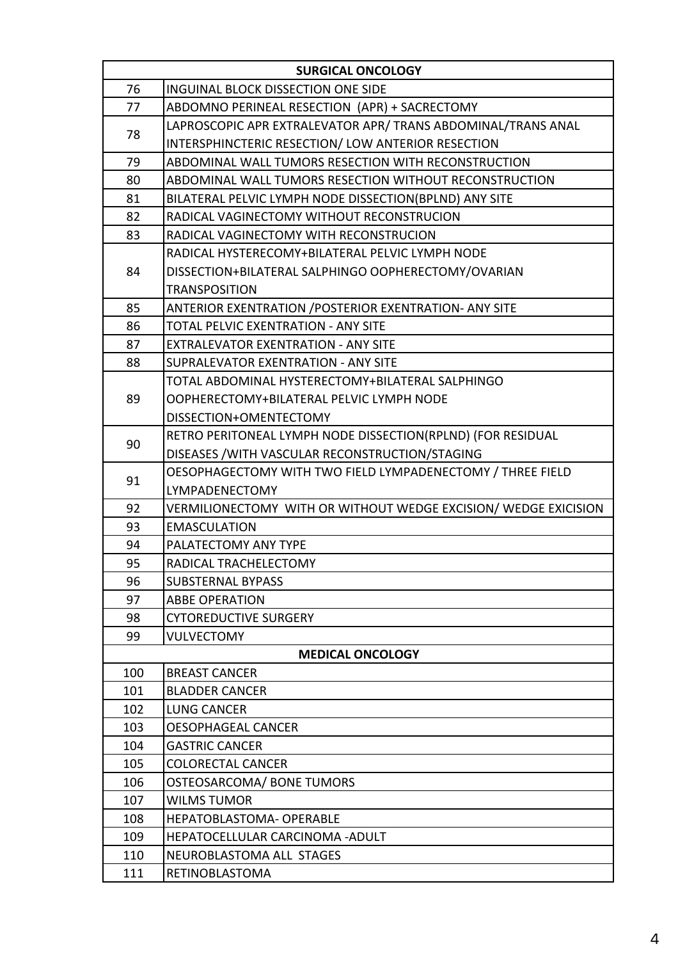| <b>SURGICAL ONCOLOGY</b> |                                                                |  |
|--------------------------|----------------------------------------------------------------|--|
| 76                       | INGUINAL BLOCK DISSECTION ONE SIDE                             |  |
| 77                       | ABDOMNO PERINEAL RESECTION (APR) + SACRECTOMY                  |  |
| 78                       | LAPROSCOPIC APR EXTRALEVATOR APR/ TRANS ABDOMINAL/TRANS ANAL   |  |
|                          | INTERSPHINCTERIC RESECTION/ LOW ANTERIOR RESECTION             |  |
| 79                       | ABDOMINAL WALL TUMORS RESECTION WITH RECONSTRUCTION            |  |
| 80                       | ABDOMINAL WALL TUMORS RESECTION WITHOUT RECONSTRUCTION         |  |
| 81                       | BILATERAL PELVIC LYMPH NODE DISSECTION(BPLND) ANY SITE         |  |
| 82                       | RADICAL VAGINECTOMY WITHOUT RECONSTRUCION                      |  |
| 83                       | RADICAL VAGINECTOMY WITH RECONSTRUCION                         |  |
|                          | RADICAL HYSTERECOMY+BILATERAL PELVIC LYMPH NODE                |  |
| 84                       | DISSECTION+BILATERAL SALPHINGO OOPHERECTOMY/OVARIAN            |  |
|                          | <b>TRANSPOSITION</b>                                           |  |
| 85                       | ANTERIOR EXENTRATION / POSTERIOR EXENTRATION- ANY SITE         |  |
| 86                       | TOTAL PELVIC EXENTRATION - ANY SITE                            |  |
| 87                       | <b>EXTRALEVATOR EXENTRATION - ANY SITE</b>                     |  |
| 88                       | <b>SUPRALEVATOR EXENTRATION - ANY SITE</b>                     |  |
|                          | TOTAL ABDOMINAL HYSTERECTOMY+BILATERAL SALPHINGO               |  |
| 89                       | OOPHERECTOMY+BILATERAL PELVIC LYMPH NODE                       |  |
|                          | DISSECTION+OMENTECTOMY                                         |  |
| 90                       | RETRO PERITONEAL LYMPH NODE DISSECTION(RPLND) (FOR RESIDUAL    |  |
|                          | DISEASES / WITH VASCULAR RECONSTRUCTION/STAGING                |  |
| 91                       | OESOPHAGECTOMY WITH TWO FIELD LYMPADENECTOMY / THREE FIELD     |  |
|                          | LYMPADENECTOMY                                                 |  |
| 92                       | VERMILIONECTOMY WITH OR WITHOUT WEDGE EXCISION/WEDGE EXICISION |  |
| 93                       | <b>EMASCULATION</b>                                            |  |
| 94                       | PALATECTOMY ANY TYPE                                           |  |
| 95                       | RADICAL TRACHELECTOMY                                          |  |
| 96                       | <b>SUBSTERNAL BYPASS</b>                                       |  |
| 97                       | <b>ABBE OPERATION</b>                                          |  |
| 98                       | <b>CYTOREDUCTIVE SURGERY</b>                                   |  |
| 99                       | <b>VULVECTOMY</b>                                              |  |
| <b>MEDICAL ONCOLOGY</b>  |                                                                |  |
| 100                      | <b>BREAST CANCER</b>                                           |  |
| 101                      | <b>BLADDER CANCER</b>                                          |  |
| 102                      | <b>LUNG CANCER</b>                                             |  |
| 103                      | <b>OESOPHAGEAL CANCER</b>                                      |  |
| 104                      | <b>GASTRIC CANCER</b>                                          |  |
| 105                      | <b>COLORECTAL CANCER</b>                                       |  |
| 106                      | OSTEOSARCOMA/BONE TUMORS                                       |  |
| 107                      | <b>WILMS TUMOR</b>                                             |  |
| 108                      | <b>HEPATOBLASTOMA- OPERABLE</b>                                |  |
| 109                      | HEPATOCELLULAR CARCINOMA - ADULT                               |  |
| 110                      | NEUROBLASTOMA ALL STAGES                                       |  |
| 111                      | RETINOBLASTOMA                                                 |  |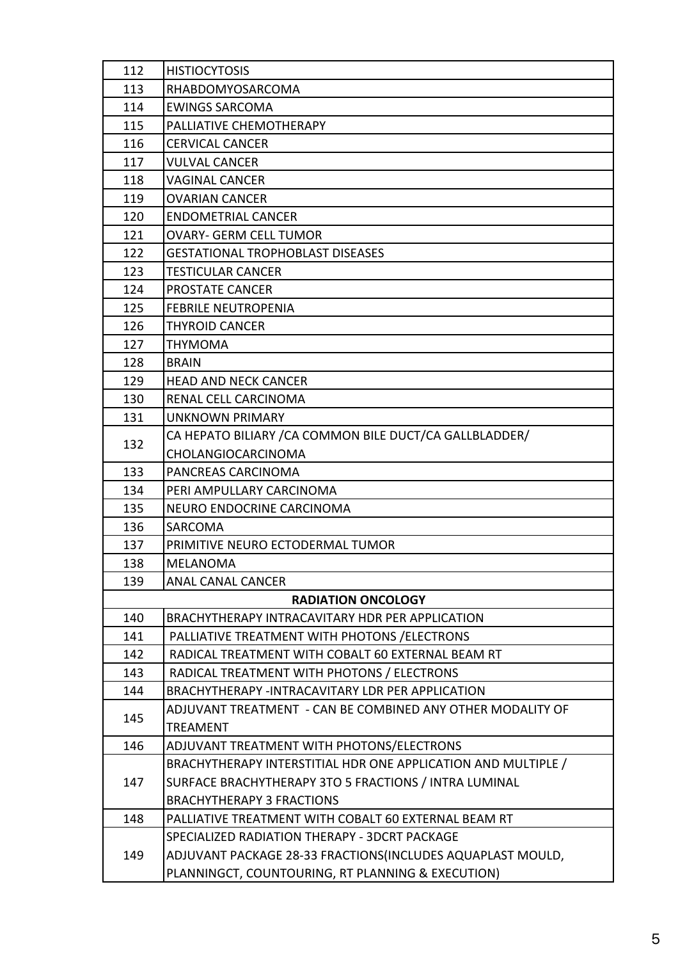| 112 | <b>HISTIOCYTOSIS</b>                                          |
|-----|---------------------------------------------------------------|
| 113 | RHABDOMYOSARCOMA                                              |
| 114 | <b>EWINGS SARCOMA</b>                                         |
| 115 | PALLIATIVE CHEMOTHERAPY                                       |
| 116 | <b>CERVICAL CANCER</b>                                        |
| 117 | <b>VULVAL CANCER</b>                                          |
| 118 | <b>VAGINAL CANCER</b>                                         |
| 119 | <b>OVARIAN CANCER</b>                                         |
| 120 | <b>ENDOMETRIAL CANCER</b>                                     |
| 121 | <b>OVARY- GERM CELL TUMOR</b>                                 |
| 122 | <b>GESTATIONAL TROPHOBLAST DISEASES</b>                       |
| 123 | <b>TESTICULAR CANCER</b>                                      |
| 124 | PROSTATE CANCER                                               |
| 125 | <b>FEBRILE NEUTROPENIA</b>                                    |
| 126 | <b>THYROID CANCER</b>                                         |
| 127 | <b>THYMOMA</b>                                                |
| 128 | <b>BRAIN</b>                                                  |
| 129 | <b>HEAD AND NECK CANCER</b>                                   |
| 130 | RENAL CELL CARCINOMA                                          |
| 131 | <b>UNKNOWN PRIMARY</b>                                        |
| 132 | CA HEPATO BILIARY / CA COMMON BILE DUCT/CA GALLBLADDER/       |
|     | CHOLANGIOCARCINOMA                                            |
| 133 | PANCREAS CARCINOMA                                            |
| 134 | PERI AMPULLARY CARCINOMA                                      |
| 135 | NEURO ENDOCRINE CARCINOMA                                     |
| 136 | SARCOMA                                                       |
| 137 | PRIMITIVE NEURO ECTODERMAL TUMOR                              |
| 138 | <b>MELANOMA</b>                                               |
| 139 | <b>ANAL CANAL CANCER</b>                                      |
|     | <b>RADIATION ONCOLOGY</b>                                     |
| 140 | BRACHYTHERAPY INTRACAVITARY HDR PER APPLICATION               |
| 141 | PALLIATIVE TREATMENT WITH PHOTONS / ELECTRONS                 |
| 142 | RADICAL TREATMENT WITH COBALT 60 EXTERNAL BEAM RT             |
| 143 | RADICAL TREATMENT WITH PHOTONS / ELECTRONS                    |
| 144 | BRACHYTHERAPY -INTRACAVITARY LDR PER APPLICATION              |
| 145 | ADJUVANT TREATMENT - CAN BE COMBINED ANY OTHER MODALITY OF    |
|     | <b>TREAMENT</b>                                               |
| 146 | ADJUVANT TREATMENT WITH PHOTONS/ELECTRONS                     |
| 147 | BRACHYTHERAPY INTERSTITIAL HDR ONE APPLICATION AND MULTIPLE / |
|     | SURFACE BRACHYTHERAPY 3TO 5 FRACTIONS / INTRA LUMINAL         |
|     | <b>BRACHYTHERAPY 3 FRACTIONS</b>                              |
| 148 | PALLIATIVE TREATMENT WITH COBALT 60 EXTERNAL BEAM RT          |
|     | SPECIALIZED RADIATION THERAPY - 3DCRT PACKAGE                 |
| 149 | ADJUVANT PACKAGE 28-33 FRACTIONS(INCLUDES AQUAPLAST MOULD,    |
|     | PLANNINGCT, COUNTOURING, RT PLANNING & EXECUTION)             |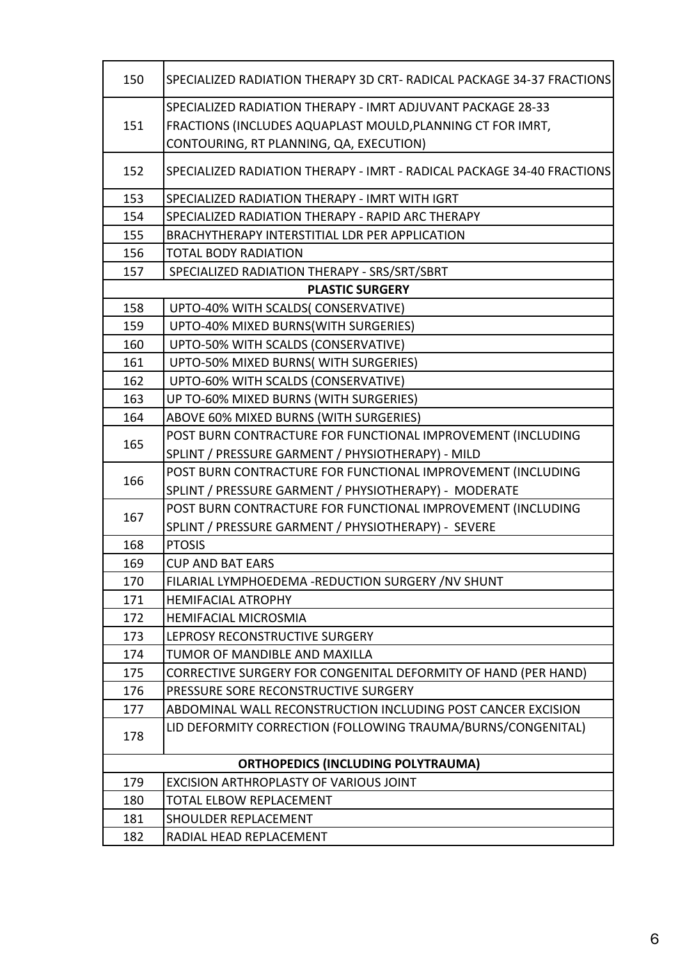| 150                                       | SPECIALIZED RADIATION THERAPY 3D CRT- RADICAL PACKAGE 34-37 FRACTIONS  |  |
|-------------------------------------------|------------------------------------------------------------------------|--|
|                                           | SPECIALIZED RADIATION THERAPY - IMRT ADJUVANT PACKAGE 28-33            |  |
| 151                                       | FRACTIONS (INCLUDES AQUAPLAST MOULD, PLANNING CT FOR IMRT,             |  |
|                                           | CONTOURING, RT PLANNING, QA, EXECUTION)                                |  |
| 152                                       | SPECIALIZED RADIATION THERAPY - IMRT - RADICAL PACKAGE 34-40 FRACTIONS |  |
| 153                                       | SPECIALIZED RADIATION THERAPY - IMRT WITH IGRT                         |  |
| 154                                       | SPECIALIZED RADIATION THERAPY - RAPID ARC THERAPY                      |  |
| 155                                       | BRACHYTHERAPY INTERSTITIAL LDR PER APPLICATION                         |  |
| 156                                       | <b>TOTAL BODY RADIATION</b>                                            |  |
| 157                                       | SPECIALIZED RADIATION THERAPY - SRS/SRT/SBRT                           |  |
|                                           | <b>PLASTIC SURGERY</b>                                                 |  |
| 158                                       | UPTO-40% WITH SCALDS( CONSERVATIVE)                                    |  |
| 159                                       | UPTO-40% MIXED BURNS(WITH SURGERIES)                                   |  |
| 160                                       | UPTO-50% WITH SCALDS (CONSERVATIVE)                                    |  |
| 161                                       | UPTO-50% MIXED BURNS(WITH SURGERIES)                                   |  |
| 162                                       | UPTO-60% WITH SCALDS (CONSERVATIVE)                                    |  |
| 163                                       | UP TO-60% MIXED BURNS (WITH SURGERIES)                                 |  |
| 164                                       | ABOVE 60% MIXED BURNS (WITH SURGERIES)                                 |  |
|                                           | POST BURN CONTRACTURE FOR FUNCTIONAL IMPROVEMENT (INCLUDING            |  |
| 165                                       | SPLINT / PRESSURE GARMENT / PHYSIOTHERAPY) - MILD                      |  |
|                                           | POST BURN CONTRACTURE FOR FUNCTIONAL IMPROVEMENT (INCLUDING            |  |
| 166                                       | SPLINT / PRESSURE GARMENT / PHYSIOTHERAPY) - MODERATE                  |  |
|                                           | POST BURN CONTRACTURE FOR FUNCTIONAL IMPROVEMENT (INCLUDING            |  |
| 167                                       | SPLINT / PRESSURE GARMENT / PHYSIOTHERAPY) - SEVERE                    |  |
| 168                                       | <b>PTOSIS</b>                                                          |  |
| 169                                       | <b>CUP AND BAT EARS</b>                                                |  |
| 170                                       | FILARIAL LYMPHOEDEMA - REDUCTION SURGERY / NV SHUNT                    |  |
| 171                                       | <b>HEMIFACIAL ATROPHY</b>                                              |  |
| 172                                       | <b>HEMIFACIAL MICROSMIA</b>                                            |  |
| 173                                       | LEPROSY RECONSTRUCTIVE SURGERY                                         |  |
| 174                                       | TUMOR OF MANDIBLE AND MAXILLA                                          |  |
| 175                                       | <b>CORRECTIVE SURGERY FOR CONGENITAL DEFORMITY OF HAND (PER HAND)</b>  |  |
| 176                                       | PRESSURE SORE RECONSTRUCTIVE SURGERY                                   |  |
| 177                                       | ABDOMINAL WALL RECONSTRUCTION INCLUDING POST CANCER EXCISION           |  |
| 178                                       | LID DEFORMITY CORRECTION (FOLLOWING TRAUMA/BURNS/CONGENITAL)           |  |
| <b>ORTHOPEDICS (INCLUDING POLYTRAUMA)</b> |                                                                        |  |
| 179                                       | EXCISION ARTHROPLASTY OF VARIOUS JOINT                                 |  |
| 180                                       | TOTAL ELBOW REPLACEMENT                                                |  |
| 181                                       | <b>SHOULDER REPLACEMENT</b>                                            |  |
| 182                                       | RADIAL HEAD REPLACEMENT                                                |  |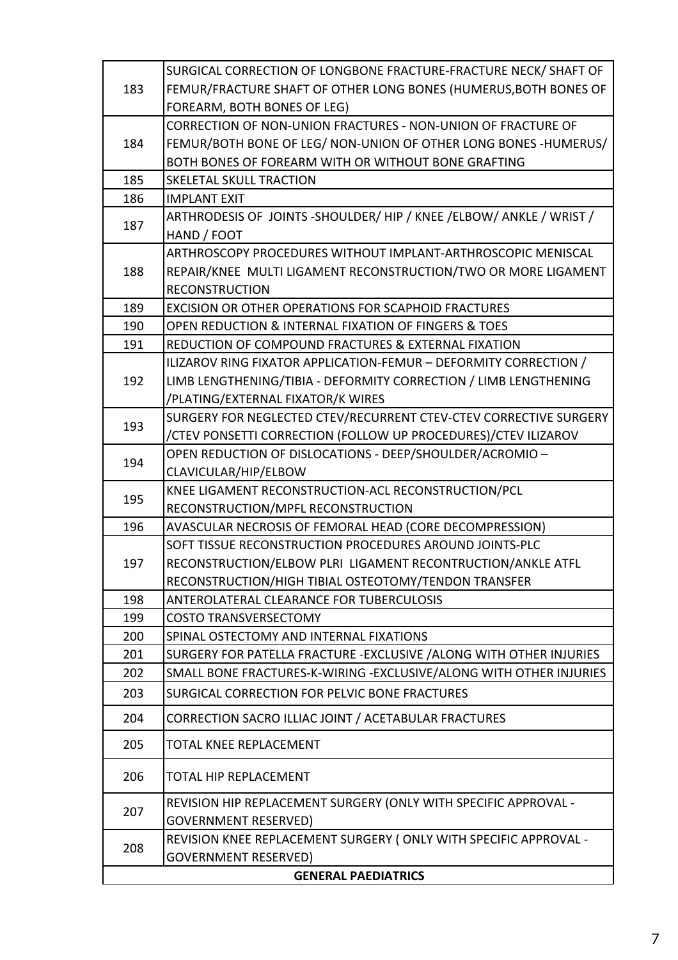|                            | SURGICAL CORRECTION OF LONGBONE FRACTURE-FRACTURE NECK/ SHAFT OF      |  |
|----------------------------|-----------------------------------------------------------------------|--|
| 183                        | FEMUR/FRACTURE SHAFT OF OTHER LONG BONES (HUMERUS, BOTH BONES OF      |  |
|                            | FOREARM, BOTH BONES OF LEG)                                           |  |
| 184                        | CORRECTION OF NON-UNION FRACTURES - NON-UNION OF FRACTURE OF          |  |
|                            | FEMUR/BOTH BONE OF LEG/ NON-UNION OF OTHER LONG BONES - HUMERUS/      |  |
|                            | BOTH BONES OF FOREARM WITH OR WITHOUT BONE GRAFTING                   |  |
| 185                        | <b>SKELETAL SKULL TRACTION</b>                                        |  |
| 186                        | <b>IMPLANT EXIT</b>                                                   |  |
| 187                        | ARTHRODESIS OF JOINTS - SHOULDER/ HIP / KNEE / ELBOW/ ANKLE / WRIST / |  |
|                            | HAND / FOOT                                                           |  |
|                            | ARTHROSCOPY PROCEDURES WITHOUT IMPLANT-ARTHROSCOPIC MENISCAL          |  |
| 188                        | REPAIR/KNEE MULTI LIGAMENT RECONSTRUCTION/TWO OR MORE LIGAMENT        |  |
|                            | <b>RECONSTRUCTION</b>                                                 |  |
| 189                        | EXCISION OR OTHER OPERATIONS FOR SCAPHOID FRACTURES                   |  |
| 190                        | OPEN REDUCTION & INTERNAL FIXATION OF FINGERS & TOES                  |  |
| 191                        | REDUCTION OF COMPOUND FRACTURES & EXTERNAL FIXATION                   |  |
|                            | ILIZAROV RING FIXATOR APPLICATION-FEMUR - DEFORMITY CORRECTION /      |  |
| 192                        | LIMB LENGTHENING/TIBIA - DEFORMITY CORRECTION / LIMB LENGTHENING      |  |
|                            | /PLATING/EXTERNAL FIXATOR/K WIRES                                     |  |
| 193                        | SURGERY FOR NEGLECTED CTEV/RECURRENT CTEV-CTEV CORRECTIVE SURGERY     |  |
|                            | /CTEV PONSETTI CORRECTION (FOLLOW UP PROCEDURES)/CTEV ILIZAROV        |  |
| 194                        | OPEN REDUCTION OF DISLOCATIONS - DEEP/SHOULDER/ACROMIO -              |  |
|                            | CLAVICULAR/HIP/ELBOW                                                  |  |
| 195                        | KNEE LIGAMENT RECONSTRUCTION-ACL RECONSTRUCTION/PCL                   |  |
|                            | RECONSTRUCTION/MPFL RECONSTRUCTION                                    |  |
| 196                        | AVASCULAR NECROSIS OF FEMORAL HEAD (CORE DECOMPRESSION)               |  |
|                            | SOFT TISSUE RECONSTRUCTION PROCEDURES AROUND JOINTS-PLC               |  |
| 197                        | RECONSTRUCTION/ELBOW PLRI LIGAMENT RECONTRUCTION/ANKLE ATFL           |  |
|                            | RECONSTRUCTION/HIGH TIBIAL OSTEOTOMY/TENDON TRANSFER                  |  |
| 198                        | ANTEROLATERAL CLEARANCE FOR TUBERCULOSIS                              |  |
| 199                        | <b>COSTO TRANSVERSECTOMY</b>                                          |  |
| 200                        | SPINAL OSTECTOMY AND INTERNAL FIXATIONS                               |  |
| 201                        | SURGERY FOR PATELLA FRACTURE - EXCLUSIVE / ALONG WITH OTHER INJURIES  |  |
| 202                        | SMALL BONE FRACTURES-K-WIRING - EXCLUSIVE/ALONG WITH OTHER INJURIES   |  |
| 203                        | SURGICAL CORRECTION FOR PELVIC BONE FRACTURES                         |  |
| 204                        | CORRECTION SACRO ILLIAC JOINT / ACETABULAR FRACTURES                  |  |
| 205                        | <b>TOTAL KNEE REPLACEMENT</b>                                         |  |
| 206                        | <b>TOTAL HIP REPLACEMENT</b>                                          |  |
| 207                        | REVISION HIP REPLACEMENT SURGERY (ONLY WITH SPECIFIC APPROVAL -       |  |
|                            | <b>GOVERNMENT RESERVED)</b>                                           |  |
|                            | REVISION KNEE REPLACEMENT SURGERY (ONLY WITH SPECIFIC APPROVAL -      |  |
| 208                        | <b>GOVERNMENT RESERVED)</b>                                           |  |
| <b>GENERAL PAEDIATRICS</b> |                                                                       |  |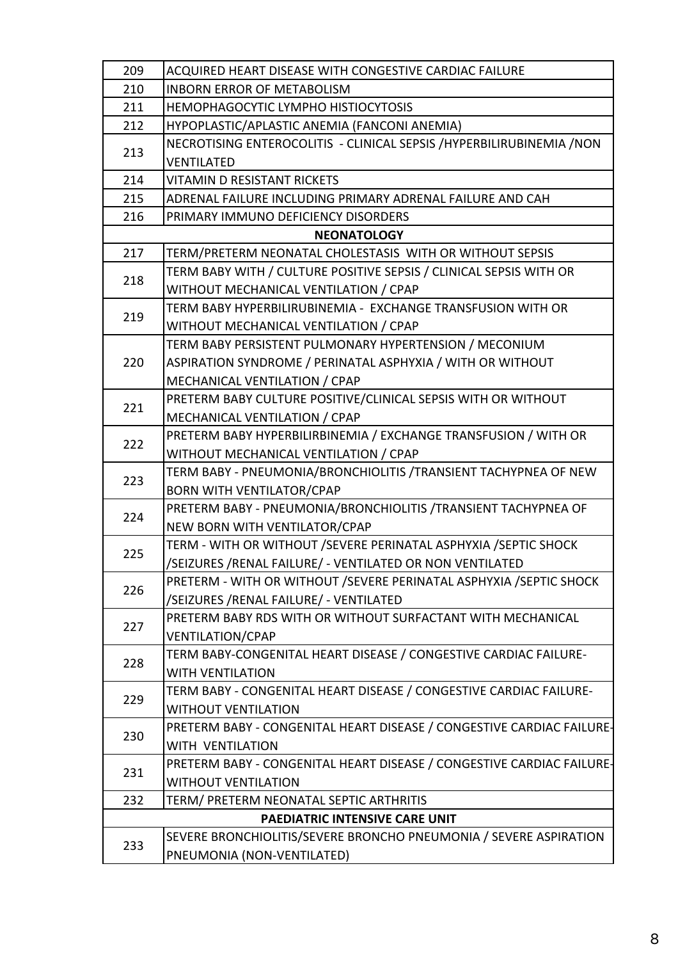| 209 | ACQUIRED HEART DISEASE WITH CONGESTIVE CARDIAC FAILURE                 |
|-----|------------------------------------------------------------------------|
| 210 | <b>INBORN ERROR OF METABOLISM</b>                                      |
| 211 | HEMOPHAGOCYTIC LYMPHO HISTIOCYTOSIS                                    |
| 212 | HYPOPLASTIC/APLASTIC ANEMIA (FANCONI ANEMIA)                           |
| 213 | NECROTISING ENTEROCOLITIS - CLINICAL SEPSIS / HYPERBILIRUBINEMIA / NON |
|     | <b>VENTILATED</b>                                                      |
| 214 | <b>VITAMIN D RESISTANT RICKETS</b>                                     |
| 215 | ADRENAL FAILURE INCLUDING PRIMARY ADRENAL FAILURE AND CAH              |
| 216 | PRIMARY IMMUNO DEFICIENCY DISORDERS                                    |
|     | <b>NEONATOLOGY</b>                                                     |
| 217 | TERM/PRETERM NEONATAL CHOLESTASIS WITH OR WITHOUT SEPSIS               |
| 218 | TERM BABY WITH / CULTURE POSITIVE SEPSIS / CLINICAL SEPSIS WITH OR     |
|     | WITHOUT MECHANICAL VENTILATION / CPAP                                  |
| 219 | TERM BABY HYPERBILIRUBINEMIA - EXCHANGE TRANSFUSION WITH OR            |
|     | WITHOUT MECHANICAL VENTILATION / CPAP                                  |
|     | TERM BABY PERSISTENT PULMONARY HYPERTENSION / MECONIUM                 |
| 220 | ASPIRATION SYNDROME / PERINATAL ASPHYXIA / WITH OR WITHOUT             |
|     | MECHANICAL VENTILATION / CPAP                                          |
| 221 | PRETERM BABY CULTURE POSITIVE/CLINICAL SEPSIS WITH OR WITHOUT          |
|     | MECHANICAL VENTILATION / CPAP                                          |
| 222 | PRETERM BABY HYPERBILIRBINEMIA / EXCHANGE TRANSFUSION / WITH OR        |
|     | WITHOUT MECHANICAL VENTILATION / CPAP                                  |
|     | TERM BABY - PNEUMONIA/BRONCHIOLITIS / TRANSIENT TACHYPNEA OF NEW       |
| 223 | <b>BORN WITH VENTILATOR/CPAP</b>                                       |
| 224 | PRETERM BABY - PNEUMONIA/BRONCHIOLITIS / TRANSIENT TACHYPNEA OF        |
|     | NEW BORN WITH VENTILATOR/CPAP                                          |
| 225 | TERM - WITH OR WITHOUT / SEVERE PERINATAL ASPHYXIA / SEPTIC SHOCK      |
|     | /SEIZURES /RENAL FAILURE/ - VENTILATED OR NON VENTILATED               |
| 226 | PRETERM - WITH OR WITHOUT / SEVERE PERINATAL ASPHYXIA / SEPTIC SHOCK   |
|     | /SEIZURES /RENAL FAILURE/ - VENTILATED                                 |
| 227 | PRETERM BABY RDS WITH OR WITHOUT SURFACTANT WITH MECHANICAL            |
|     | <b>VENTILATION/CPAP</b>                                                |
| 228 | TERM BABY-CONGENITAL HEART DISEASE / CONGESTIVE CARDIAC FAILURE-       |
|     | <b>WITH VENTILATION</b>                                                |
| 229 | TERM BABY - CONGENITAL HEART DISEASE / CONGESTIVE CARDIAC FAILURE-     |
|     | <b>WITHOUT VENTILATION</b>                                             |
| 230 | PRETERM BABY - CONGENITAL HEART DISEASE / CONGESTIVE CARDIAC FAILURE-  |
|     | <b>WITH VENTILATION</b>                                                |
| 231 | PRETERM BABY - CONGENITAL HEART DISEASE / CONGESTIVE CARDIAC FAILURE-  |
|     | <b>WITHOUT VENTILATION</b>                                             |
| 232 | TERM/ PRETERM NEONATAL SEPTIC ARTHRITIS                                |
|     | PAEDIATRIC INTENSIVE CARE UNIT                                         |
| 233 | SEVERE BRONCHIOLITIS/SEVERE BRONCHO PNEUMONIA / SEVERE ASPIRATION      |
|     | PNEUMONIA (NON-VENTILATED)                                             |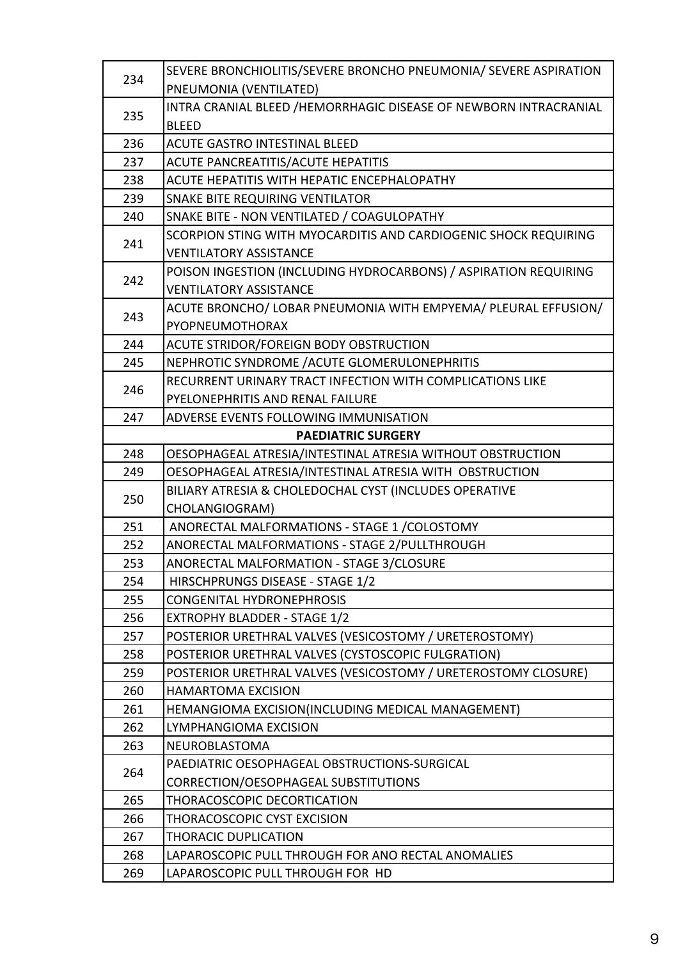| 234 | SEVERE BRONCHIOLITIS/SEVERE BRONCHO PNEUMONIA/ SEVERE ASPIRATION |
|-----|------------------------------------------------------------------|
|     | PNEUMONIA (VENTILATED)                                           |
|     | INTRA CRANIAL BLEED /HEMORRHAGIC DISEASE OF NEWBORN INTRACRANIAL |
| 235 | <b>BLEED</b>                                                     |
| 236 | <b>ACUTE GASTRO INTESTINAL BLEED</b>                             |
| 237 | ACUTE PANCREATITIS/ACUTE HEPATITIS                               |
| 238 | ACUTE HEPATITIS WITH HEPATIC ENCEPHALOPATHY                      |
| 239 | SNAKE BITE REQUIRING VENTILATOR                                  |
| 240 | SNAKE BITE - NON VENTILATED / COAGULOPATHY                       |
|     | SCORPION STING WITH MYOCARDITIS AND CARDIOGENIC SHOCK REQUIRING  |
| 241 | <b>VENTILATORY ASSISTANCE</b>                                    |
|     | POISON INGESTION (INCLUDING HYDROCARBONS) / ASPIRATION REQUIRING |
| 242 | <b>VENTILATORY ASSISTANCE</b>                                    |
| 243 | ACUTE BRONCHO/ LOBAR PNEUMONIA WITH EMPYEMA/ PLEURAL EFFUSION/   |
|     | PYOPNEUMOTHORAX                                                  |
| 244 | ACUTE STRIDOR/FOREIGN BODY OBSTRUCTION                           |
| 245 | NEPHROTIC SYNDROME / ACUTE GLOMERULONEPHRITIS                    |
| 246 | RECURRENT URINARY TRACT INFECTION WITH COMPLICATIONS LIKE        |
|     | PYELONEPHRITIS AND RENAL FAILURE                                 |
| 247 | ADVERSE EVENTS FOLLOWING IMMUNISATION                            |
|     | <b>PAEDIATRIC SURGERY</b>                                        |
| 248 | OESOPHAGEAL ATRESIA/INTESTINAL ATRESIA WITHOUT OBSTRUCTION       |
| 249 | OESOPHAGEAL ATRESIA/INTESTINAL ATRESIA WITH OBSTRUCTION          |
| 250 | BILIARY ATRESIA & CHOLEDOCHAL CYST (INCLUDES OPERATIVE           |
|     | CHOLANGIOGRAM)                                                   |
| 251 | ANORECTAL MALFORMATIONS - STAGE 1 / COLOSTOMY                    |
| 252 | ANORECTAL MALFORMATIONS - STAGE 2/PULLTHROUGH                    |
| 253 | ANORECTAL MALFORMATION - STAGE 3/CLOSURE                         |
| 254 | HIRSCHPRUNGS DISEASE - STAGE 1/2                                 |
| 255 | <b>CONGENITAL HYDRONEPHROSIS</b>                                 |
| 256 | EXTROPHY BLADDER - STAGE 1/2                                     |
| 257 | POSTERIOR URETHRAL VALVES (VESICOSTOMY / URETEROSTOMY)           |
| 258 | POSTERIOR URETHRAL VALVES (CYSTOSCOPIC FULGRATION)               |
| 259 | POSTERIOR URETHRAL VALVES (VESICOSTOMY / URETEROSTOMY CLOSURE)   |
| 260 | <b>HAMARTOMA EXCISION</b>                                        |
| 261 | HEMANGIOMA EXCISION(INCLUDING MEDICAL MANAGEMENT)                |
| 262 | LYMPHANGIOMA EXCISION                                            |
| 263 | NEUROBLASTOMA                                                    |
| 264 | PAEDIATRIC OESOPHAGEAL OBSTRUCTIONS-SURGICAL                     |
|     | CORRECTION/OESOPHAGEAL SUBSTITUTIONS                             |
| 265 | THORACOSCOPIC DECORTICATION                                      |
| 266 | THORACOSCOPIC CYST EXCISION                                      |
| 267 | <b>THORACIC DUPLICATION</b>                                      |
| 268 | LAPAROSCOPIC PULL THROUGH FOR ANO RECTAL ANOMALIES               |
| 269 | LAPAROSCOPIC PULL THROUGH FOR HD                                 |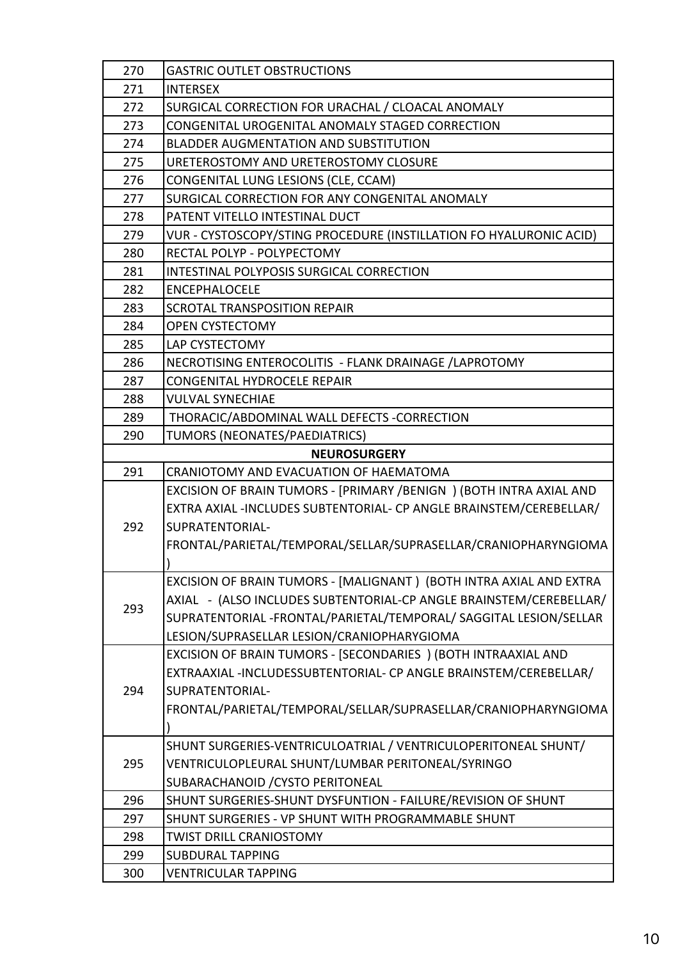| 270 | <b>GASTRIC OUTLET OBSTRUCTIONS</b>                                  |
|-----|---------------------------------------------------------------------|
| 271 | <b>INTERSEX</b>                                                     |
| 272 | SURGICAL CORRECTION FOR URACHAL / CLOACAL ANOMALY                   |
| 273 | CONGENITAL UROGENITAL ANOMALY STAGED CORRECTION                     |
| 274 | <b>BLADDER AUGMENTATION AND SUBSTITUTION</b>                        |
| 275 | URETEROSTOMY AND URETEROSTOMY CLOSURE                               |
| 276 | CONGENITAL LUNG LESIONS (CLE, CCAM)                                 |
| 277 | SURGICAL CORRECTION FOR ANY CONGENITAL ANOMALY                      |
| 278 | PATENT VITELLO INTESTINAL DUCT                                      |
| 279 | VUR - CYSTOSCOPY/STING PROCEDURE (INSTILLATION FO HYALURONIC ACID)  |
| 280 | RECTAL POLYP - POLYPECTOMY                                          |
| 281 | INTESTINAL POLYPOSIS SURGICAL CORRECTION                            |
| 282 | <b>ENCEPHALOCELE</b>                                                |
| 283 | <b>SCROTAL TRANSPOSITION REPAIR</b>                                 |
| 284 | <b>OPEN CYSTECTOMY</b>                                              |
| 285 | LAP CYSTECTOMY                                                      |
| 286 | NECROTISING ENTEROCOLITIS - FLANK DRAINAGE / LAPROTOMY              |
| 287 | CONGENITAL HYDROCELE REPAIR                                         |
| 288 | <b>VULVAL SYNECHIAE</b>                                             |
| 289 | THORACIC/ABDOMINAL WALL DEFECTS -CORRECTION                         |
| 290 | TUMORS (NEONATES/PAEDIATRICS)                                       |
|     | <b>NEUROSURGERY</b>                                                 |
| 291 | CRANIOTOMY AND EVACUATION OF HAEMATOMA                              |
|     | EXCISION OF BRAIN TUMORS - [PRIMARY /BENIGN ) (BOTH INTRA AXIAL AND |
|     | EXTRA AXIAL -INCLUDES SUBTENTORIAL- CP ANGLE BRAINSTEM/CEREBELLAR/  |
| 292 | SUPRATENTORIAL-                                                     |
|     | FRONTAL/PARIETAL/TEMPORAL/SELLAR/SUPRASELLAR/CRANIOPHARYNGIOMA      |
|     |                                                                     |
|     | EXCISION OF BRAIN TUMORS - [MALIGNANT ) (BOTH INTRA AXIAL AND EXTRA |
| 293 | AXIAL - (ALSO INCLUDES SUBTENTORIAL-CP ANGLE BRAINSTEM/CEREBELLAR/  |
|     | SUPRATENTORIAL -FRONTAL/PARIETAL/TEMPORAL/ SAGGITAL LESION/SELLAR   |
|     | LESION/SUPRASELLAR LESION/CRANIOPHARYGIOMA                          |
|     | EXCISION OF BRAIN TUMORS - [SECONDARIES ) (BOTH INTRAAXIAL AND      |
|     | EXTRAAXIAL -INCLUDESSUBTENTORIAL- CP ANGLE BRAINSTEM/CEREBELLAR/    |
| 294 | SUPRATENTORIAL-                                                     |
|     | FRONTAL/PARIETAL/TEMPORAL/SELLAR/SUPRASELLAR/CRANIOPHARYNGIOMA      |
|     |                                                                     |
|     | SHUNT SURGERIES-VENTRICULOATRIAL / VENTRICULOPERITONEAL SHUNT/      |
| 295 | VENTRICULOPLEURAL SHUNT/LUMBAR PERITONEAL/SYRINGO                   |
|     | SUBARACHANOID / CYSTO PERITONEAL                                    |
| 296 | SHUNT SURGERIES-SHUNT DYSFUNTION - FAILURE/REVISION OF SHUNT        |
| 297 | SHUNT SURGERIES - VP SHUNT WITH PROGRAMMABLE SHUNT                  |
| 298 | <b>TWIST DRILL CRANIOSTOMY</b>                                      |
| 299 | <b>SUBDURAL TAPPING</b>                                             |
| 300 | VENTRICULAR TAPPING                                                 |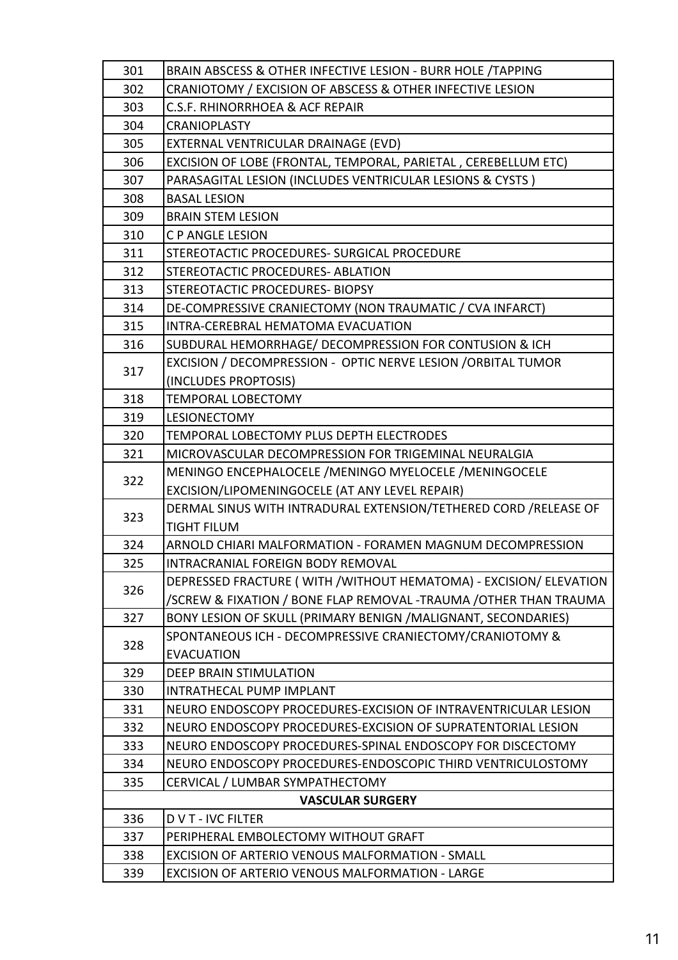| 301 | BRAIN ABSCESS & OTHER INFECTIVE LESION - BURR HOLE /TAPPING       |
|-----|-------------------------------------------------------------------|
| 302 | CRANIOTOMY / EXCISION OF ABSCESS & OTHER INFECTIVE LESION         |
| 303 | <b>C.S.F. RHINORRHOEA &amp; ACF REPAIR</b>                        |
| 304 | <b>CRANIOPLASTY</b>                                               |
| 305 | EXTERNAL VENTRICULAR DRAINAGE (EVD)                               |
| 306 | EXCISION OF LOBE (FRONTAL, TEMPORAL, PARIETAL, CEREBELLUM ETC)    |
| 307 | PARASAGITAL LESION (INCLUDES VENTRICULAR LESIONS & CYSTS)         |
| 308 | <b>BASAL LESION</b>                                               |
| 309 | <b>BRAIN STEM LESION</b>                                          |
| 310 | <b>C P ANGLE LESION</b>                                           |
| 311 | STEREOTACTIC PROCEDURES- SURGICAL PROCEDURE                       |
| 312 | STEREOTACTIC PROCEDURES- ABLATION                                 |
| 313 | STEREOTACTIC PROCEDURES- BIOPSY                                   |
| 314 | DE-COMPRESSIVE CRANIECTOMY (NON TRAUMATIC / CVA INFARCT)          |
| 315 | <b>INTRA-CEREBRAL HEMATOMA EVACUATION</b>                         |
| 316 | SUBDURAL HEMORRHAGE/ DECOMPRESSION FOR CONTUSION & ICH            |
|     | EXCISION / DECOMPRESSION - OPTIC NERVE LESION / ORBITAL TUMOR     |
| 317 | (INCLUDES PROPTOSIS)                                              |
| 318 | <b>TEMPORAL LOBECTOMY</b>                                         |
| 319 | <b>LESIONECTOMY</b>                                               |
| 320 | TEMPORAL LOBECTOMY PLUS DEPTH ELECTRODES                          |
| 321 | MICROVASCULAR DECOMPRESSION FOR TRIGEMINAL NEURALGIA              |
| 322 | MENINGO ENCEPHALOCELE / MENINGO MYELOCELE / MENINGOCELE           |
|     | EXCISION/LIPOMENINGOCELE (AT ANY LEVEL REPAIR)                    |
| 323 | DERMAL SINUS WITH INTRADURAL EXTENSION/TETHERED CORD / RELEASE OF |
|     | <b>TIGHT FILUM</b>                                                |
| 324 | ARNOLD CHIARI MALFORMATION - FORAMEN MAGNUM DECOMPRESSION         |
| 325 | <b>INTRACRANIAL FOREIGN BODY REMOVAL</b>                          |
| 326 | DEPRESSED FRACTURE (WITH /WITHOUT HEMATOMA) - EXCISION/ ELEVATION |
|     | /SCREW & FIXATION / BONE FLAP REMOVAL -TRAUMA / OTHER THAN TRAUMA |
| 327 | BONY LESION OF SKULL (PRIMARY BENIGN /MALIGNANT, SECONDARIES)     |
| 328 | SPONTANEOUS ICH - DECOMPRESSIVE CRANIECTOMY/CRANIOTOMY &          |
|     | <b>EVACUATION</b>                                                 |
| 329 | <b>DEEP BRAIN STIMULATION</b>                                     |
| 330 | INTRATHECAL PUMP IMPLANT                                          |
| 331 | NEURO ENDOSCOPY PROCEDURES-EXCISION OF INTRAVENTRICULAR LESION    |
| 332 | NEURO ENDOSCOPY PROCEDURES-EXCISION OF SUPRATENTORIAL LESION      |
| 333 | NEURO ENDOSCOPY PROCEDURES-SPINAL ENDOSCOPY FOR DISCECTOMY        |
| 334 | NEURO ENDOSCOPY PROCEDURES-ENDOSCOPIC THIRD VENTRICULOSTOMY       |
| 335 | CERVICAL / LUMBAR SYMPATHECTOMY                                   |
|     | <b>VASCULAR SURGERY</b>                                           |
| 336 | <b>DVT-IVC FILTER</b>                                             |
| 337 | PERIPHERAL EMBOLECTOMY WITHOUT GRAFT                              |
| 338 | EXCISION OF ARTERIO VENOUS MALFORMATION - SMALL                   |
| 339 | EXCISION OF ARTERIO VENOUS MALFORMATION - LARGE                   |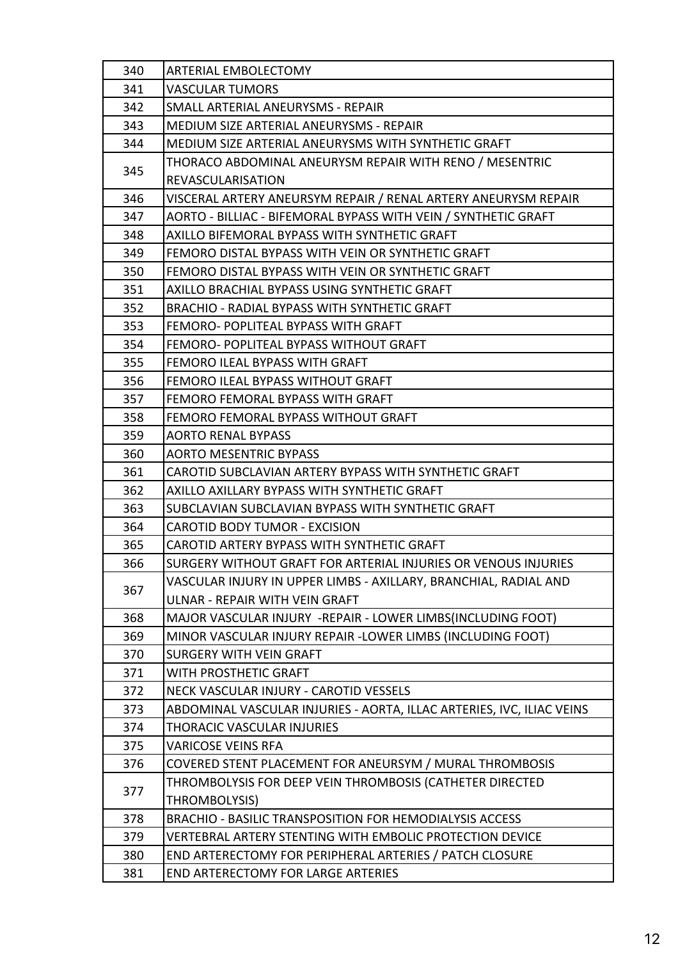| 340 | ARTERIAL EMBOLECTOMY                                                  |
|-----|-----------------------------------------------------------------------|
| 341 | <b>VASCULAR TUMORS</b>                                                |
| 342 | SMALL ARTERIAL ANEURYSMS - REPAIR                                     |
| 343 | MEDIUM SIZE ARTERIAL ANEURYSMS - REPAIR                               |
| 344 | MEDIUM SIZE ARTERIAL ANEURYSMS WITH SYNTHETIC GRAFT                   |
|     | THORACO ABDOMINAL ANEURYSM REPAIR WITH RENO / MESENTRIC               |
| 345 | <b>REVASCULARISATION</b>                                              |
| 346 | VISCERAL ARTERY ANEURSYM REPAIR / RENAL ARTERY ANEURYSM REPAIR        |
| 347 | AORTO - BILLIAC - BIFEMORAL BYPASS WITH VEIN / SYNTHETIC GRAFT        |
| 348 | AXILLO BIFEMORAL BYPASS WITH SYNTHETIC GRAFT                          |
| 349 | FEMORO DISTAL BYPASS WITH VEIN OR SYNTHETIC GRAFT                     |
| 350 | FEMORO DISTAL BYPASS WITH VEIN OR SYNTHETIC GRAFT                     |
| 351 | AXILLO BRACHIAL BYPASS USING SYNTHETIC GRAFT                          |
| 352 | <b>BRACHIO - RADIAL BYPASS WITH SYNTHETIC GRAFT</b>                   |
| 353 | FEMORO- POPLITEAL BYPASS WITH GRAFT                                   |
| 354 | FEMORO- POPLITEAL BYPASS WITHOUT GRAFT                                |
| 355 | FEMORO ILEAL BYPASS WITH GRAFT                                        |
| 356 | FEMORO ILEAL BYPASS WITHOUT GRAFT                                     |
| 357 | FEMORO FEMORAL BYPASS WITH GRAFT                                      |
| 358 | FEMORO FEMORAL BYPASS WITHOUT GRAFT                                   |
| 359 | <b>AORTO RENAL BYPASS</b>                                             |
| 360 | <b>AORTO MESENTRIC BYPASS</b>                                         |
| 361 | CAROTID SUBCLAVIAN ARTERY BYPASS WITH SYNTHETIC GRAFT                 |
| 362 | AXILLO AXILLARY BYPASS WITH SYNTHETIC GRAFT                           |
| 363 | SUBCLAVIAN SUBCLAVIAN BYPASS WITH SYNTHETIC GRAFT                     |
| 364 | <b>CAROTID BODY TUMOR - EXCISION</b>                                  |
| 365 | CAROTID ARTERY BYPASS WITH SYNTHETIC GRAFT                            |
| 366 | SURGERY WITHOUT GRAFT FOR ARTERIAL INJURIES OR VENOUS INJURIES        |
| 367 | VASCULAR INJURY IN UPPER LIMBS - AXILLARY, BRANCHIAL, RADIAL AND      |
|     | ULNAR - REPAIR WITH VEIN GRAFT                                        |
| 368 | MAJOR VASCULAR INJURY -REPAIR - LOWER LIMBS(INCLUDING FOOT)           |
| 369 | MINOR VASCULAR INJURY REPAIR -LOWER LIMBS (INCLUDING FOOT)            |
| 370 | <b>SURGERY WITH VEIN GRAFT</b>                                        |
| 371 | WITH PROSTHETIC GRAFT                                                 |
| 372 | NECK VASCULAR INJURY - CAROTID VESSELS                                |
| 373 | ABDOMINAL VASCULAR INJURIES - AORTA, ILLAC ARTERIES, IVC, ILIAC VEINS |
| 374 | THORACIC VASCULAR INJURIES                                            |
| 375 | <b>VARICOSE VEINS RFA</b>                                             |
| 376 | COVERED STENT PLACEMENT FOR ANEURSYM / MURAL THROMBOSIS               |
| 377 | THROMBOLYSIS FOR DEEP VEIN THROMBOSIS (CATHETER DIRECTED              |
|     | THROMBOLYSIS)                                                         |
| 378 | <b>BRACHIO - BASILIC TRANSPOSITION FOR HEMODIALYSIS ACCESS</b>        |
| 379 | VERTEBRAL ARTERY STENTING WITH EMBOLIC PROTECTION DEVICE              |
| 380 | END ARTERECTOMY FOR PERIPHERAL ARTERIES / PATCH CLOSURE               |
| 381 | <b>END ARTERECTOMY FOR LARGE ARTERIES</b>                             |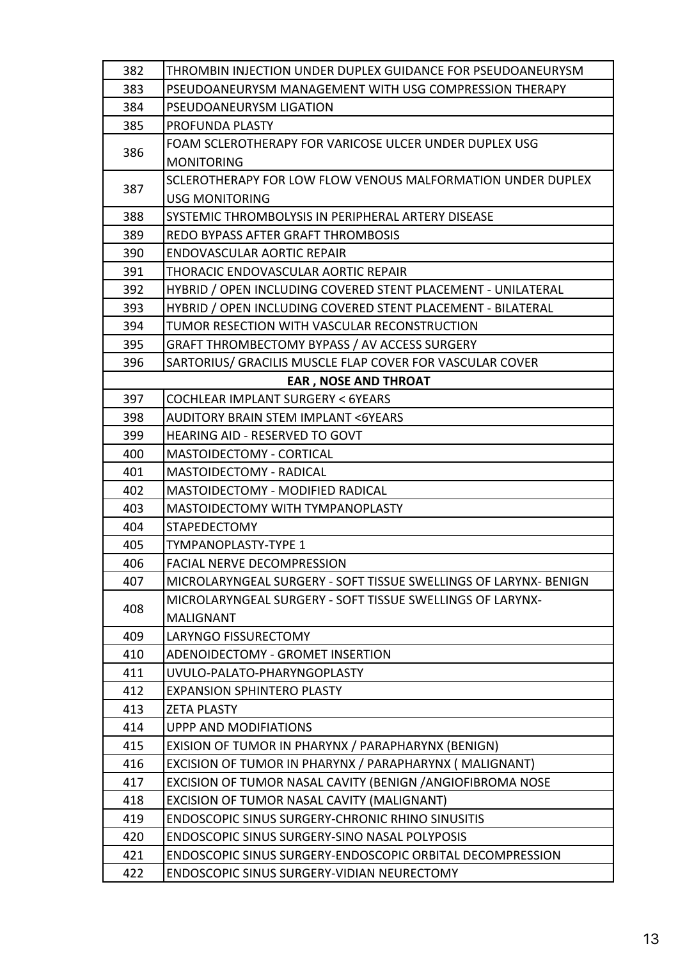| 382 | THROMBIN INJECTION UNDER DUPLEX GUIDANCE FOR PSEUDOANEURYSM      |
|-----|------------------------------------------------------------------|
| 383 | PSEUDOANEURYSM MANAGEMENT WITH USG COMPRESSION THERAPY           |
| 384 | PSEUDOANEURYSM LIGATION                                          |
| 385 | PROFUNDA PLASTY                                                  |
| 386 | FOAM SCLEROTHERAPY FOR VARICOSE ULCER UNDER DUPLEX USG           |
|     | <b>MONITORING</b>                                                |
|     | SCLEROTHERAPY FOR LOW FLOW VENOUS MALFORMATION UNDER DUPLEX      |
| 387 | <b>USG MONITORING</b>                                            |
| 388 | SYSTEMIC THROMBOLYSIS IN PERIPHERAL ARTERY DISEASE               |
| 389 | REDO BYPASS AFTER GRAFT THROMBOSIS                               |
| 390 | <b>ENDOVASCULAR AORTIC REPAIR</b>                                |
| 391 | THORACIC ENDOVASCULAR AORTIC REPAIR                              |
| 392 | HYBRID / OPEN INCLUDING COVERED STENT PLACEMENT - UNILATERAL     |
| 393 | HYBRID / OPEN INCLUDING COVERED STENT PLACEMENT - BILATERAL      |
| 394 | TUMOR RESECTION WITH VASCULAR RECONSTRUCTION                     |
| 395 | <b>GRAFT THROMBECTOMY BYPASS / AV ACCESS SURGERY</b>             |
| 396 | SARTORIUS/ GRACILIS MUSCLE FLAP COVER FOR VASCULAR COVER         |
|     | <b>EAR, NOSE AND THROAT</b>                                      |
| 397 | <b>COCHLEAR IMPLANT SURGERY &lt; 6YEARS</b>                      |
| 398 | <b>AUDITORY BRAIN STEM IMPLANT &lt;6YEARS</b>                    |
| 399 | <b>HEARING AID - RESERVED TO GOVT</b>                            |
| 400 | <b>MASTOIDECTOMY - CORTICAL</b>                                  |
| 401 | <b>MASTOIDECTOMY - RADICAL</b>                                   |
| 402 | MASTOIDECTOMY - MODIFIED RADICAL                                 |
| 403 | MASTOIDECTOMY WITH TYMPANOPLASTY                                 |
| 404 | <b>STAPEDECTOMY</b>                                              |
| 405 | <b>TYMPANOPLASTY-TYPE 1</b>                                      |
| 406 | <b>FACIAL NERVE DECOMPRESSION</b>                                |
| 407 | MICROLARYNGEAL SURGERY - SOFT TISSUE SWELLINGS OF LARYNX- BENIGN |
| 408 | MICROLARYNGEAL SURGERY - SOFT TISSUE SWELLINGS OF LARYNX-        |
|     | <b>MALIGNANT</b>                                                 |
| 409 | <b>LARYNGO FISSURECTOMY</b>                                      |
| 410 | ADENOIDECTOMY - GROMET INSERTION                                 |
| 411 | UVULO-PALATO-PHARYNGOPLASTY                                      |
| 412 | <b>EXPANSION SPHINTERO PLASTY</b>                                |
| 413 | <b>ZETA PLASTY</b>                                               |
| 414 | <b>UPPP AND MODIFIATIONS</b>                                     |
| 415 | EXISION OF TUMOR IN PHARYNX / PARAPHARYNX (BENIGN)               |
| 416 | EXCISION OF TUMOR IN PHARYNX / PARAPHARYNX (MALIGNANT)           |
| 417 | EXCISION OF TUMOR NASAL CAVITY (BENIGN / ANGIOFIBROMA NOSE       |
| 418 | EXCISION OF TUMOR NASAL CAVITY (MALIGNANT)                       |
| 419 | <b>ENDOSCOPIC SINUS SURGERY-CHRONIC RHINO SINUSITIS</b>          |
| 420 | ENDOSCOPIC SINUS SURGERY-SINO NASAL POLYPOSIS                    |
| 421 | <b>ENDOSCOPIC SINUS SURGERY-ENDOSCOPIC ORBITAL DECOMPRESSION</b> |
| 422 | ENDOSCOPIC SINUS SURGERY-VIDIAN NEURECTOMY                       |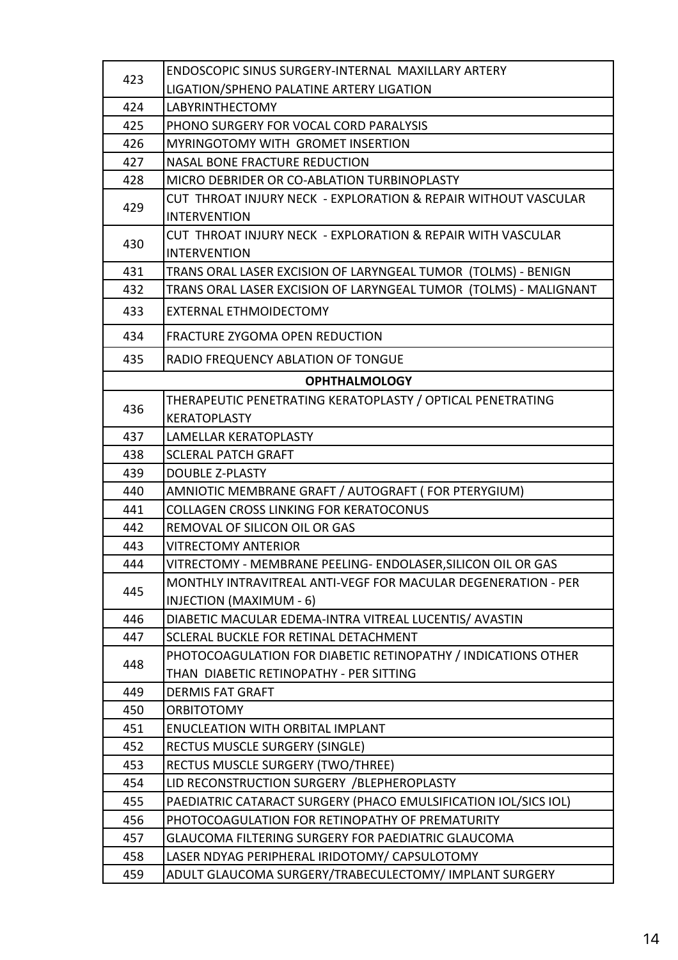| 423 | ENDOSCOPIC SINUS SURGERY-INTERNAL MAXILLARY ARTERY               |
|-----|------------------------------------------------------------------|
|     | LIGATION/SPHENO PALATINE ARTERY LIGATION                         |
| 424 | <b>LABYRINTHECTOMY</b>                                           |
| 425 | PHONO SURGERY FOR VOCAL CORD PARALYSIS                           |
| 426 | MYRINGOTOMY WITH GROMET INSERTION                                |
| 427 | <b>NASAL BONE FRACTURE REDUCTION</b>                             |
| 428 | MICRO DEBRIDER OR CO-ABLATION TURBINOPLASTY                      |
| 429 | CUT THROAT INJURY NECK - EXPLORATION & REPAIR WITHOUT VASCULAR   |
|     | <b>INTERVENTION</b>                                              |
|     | CUT THROAT INJURY NECK - EXPLORATION & REPAIR WITH VASCULAR      |
| 430 | <b>INTERVENTION</b>                                              |
| 431 | TRANS ORAL LASER EXCISION OF LARYNGEAL TUMOR (TOLMS) - BENIGN    |
| 432 | TRANS ORAL LASER EXCISION OF LARYNGEAL TUMOR (TOLMS) - MALIGNANT |
| 433 | <b>EXTERNAL ETHMOIDECTOMY</b>                                    |
| 434 | <b>FRACTURE ZYGOMA OPEN REDUCTION</b>                            |
| 435 | <b>RADIO FREQUENCY ABLATION OF TONGUE</b>                        |
|     | <b>OPHTHALMOLOGY</b>                                             |
| 436 | THERAPEUTIC PENETRATING KERATOPLASTY / OPTICAL PENETRATING       |
|     | <b>KERATOPLASTY</b>                                              |
| 437 | LAMELLAR KERATOPLASTY                                            |
| 438 | <b>SCLERAL PATCH GRAFT</b>                                       |
| 439 | <b>DOUBLE Z-PLASTY</b>                                           |
| 440 | AMNIOTIC MEMBRANE GRAFT / AUTOGRAFT ( FOR PTERYGIUM)             |
| 441 | <b>COLLAGEN CROSS LINKING FOR KERATOCONUS</b>                    |
| 442 | REMOVAL OF SILICON OIL OR GAS                                    |
| 443 | <b>VITRECTOMY ANTERIOR</b>                                       |
| 444 | VITRECTOMY - MEMBRANE PEELING- ENDOLASER, SILICON OIL OR GAS     |
| 445 | MONTHLY INTRAVITREAL ANTI-VEGF FOR MACULAR DEGENERATION - PER    |
|     | <b>INJECTION (MAXIMUM - 6)</b>                                   |
| 446 | DIABETIC MACULAR EDEMA-INTRA VITREAL LUCENTIS/ AVASTIN           |
| 447 | SCLERAL BUCKLE FOR RETINAL DETACHMENT                            |
| 448 | PHOTOCOAGULATION FOR DIABETIC RETINOPATHY / INDICATIONS OTHER    |
|     | THAN DIABETIC RETINOPATHY - PER SITTING                          |
| 449 | <b>DERMIS FAT GRAFT</b>                                          |
| 450 | <b>ORBITOTOMY</b>                                                |
| 451 | <b>ENUCLEATION WITH ORBITAL IMPLANT</b>                          |
| 452 | RECTUS MUSCLE SURGERY (SINGLE)                                   |
| 453 | RECTUS MUSCLE SURGERY (TWO/THREE)                                |
| 454 | LID RECONSTRUCTION SURGERY /BLEPHEROPLASTY                       |
| 455 | PAEDIATRIC CATARACT SURGERY (PHACO EMULSIFICATION IOL/SICS IOL)  |
| 456 | PHOTOCOAGULATION FOR RETINOPATHY OF PREMATURITY                  |
| 457 | GLAUCOMA FILTERING SURGERY FOR PAEDIATRIC GLAUCOMA               |
| 458 | LASER NDYAG PERIPHERAL IRIDOTOMY/ CAPSULOTOMY                    |
| 459 | ADULT GLAUCOMA SURGERY/TRABECULECTOMY/ IMPLANT SURGERY           |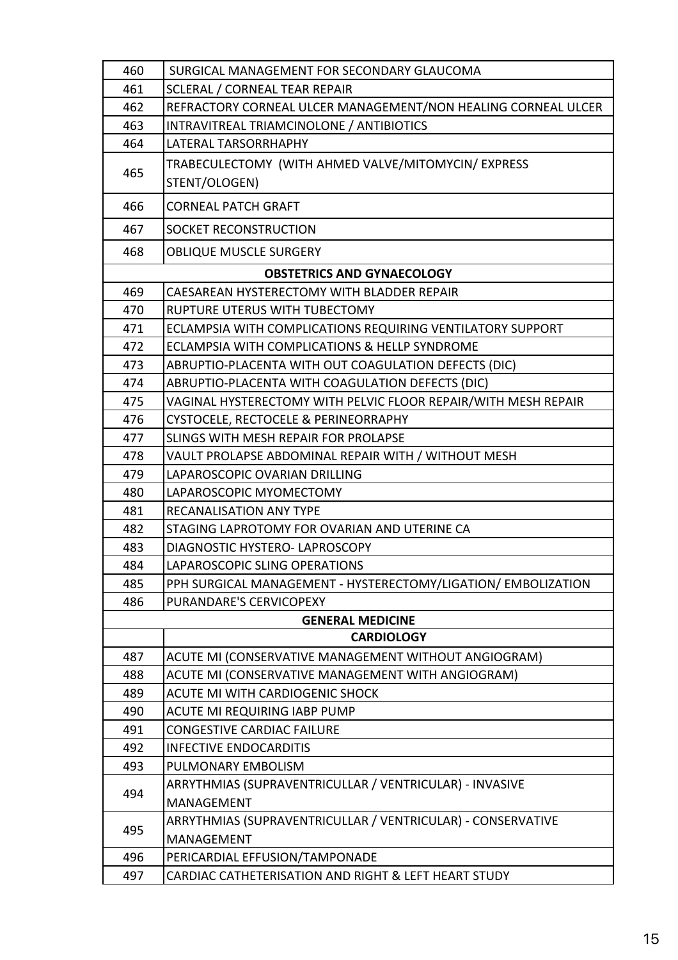| 460 | SURGICAL MANAGEMENT FOR SECONDARY GLAUCOMA                           |
|-----|----------------------------------------------------------------------|
| 461 | <b>SCLERAL / CORNEAL TEAR REPAIR</b>                                 |
| 462 | REFRACTORY CORNEAL ULCER MANAGEMENT/NON HEALING CORNEAL ULCER        |
| 463 | INTRAVITREAL TRIAMCINOLONE / ANTIBIOTICS                             |
| 464 | <b>LATERAL TARSORRHAPHY</b>                                          |
| 465 | TRABECULECTOMY (WITH AHMED VALVE/MITOMYCIN/ EXPRESS<br>STENT/OLOGEN) |
|     |                                                                      |
| 466 | <b>CORNEAL PATCH GRAFT</b>                                           |
| 467 | SOCKET RECONSTRUCTION                                                |
| 468 | <b>OBLIQUE MUSCLE SURGERY</b>                                        |
|     | <b>OBSTETRICS AND GYNAECOLOGY</b>                                    |
| 469 | CAESAREAN HYSTERECTOMY WITH BLADDER REPAIR                           |
| 470 | RUPTURE UTERUS WITH TUBECTOMY                                        |
| 471 | ECLAMPSIA WITH COMPLICATIONS REQUIRING VENTILATORY SUPPORT           |
| 472 | ECLAMPSIA WITH COMPLICATIONS & HELLP SYNDROME                        |
| 473 | ABRUPTIO-PLACENTA WITH OUT COAGULATION DEFECTS (DIC)                 |
| 474 | ABRUPTIO-PLACENTA WITH COAGULATION DEFECTS (DIC)                     |
| 475 | VAGINAL HYSTERECTOMY WITH PELVIC FLOOR REPAIR/WITH MESH REPAIR       |
| 476 | CYSTOCELE, RECTOCELE & PERINEORRAPHY                                 |
| 477 | SLINGS WITH MESH REPAIR FOR PROLAPSE                                 |
| 478 | VAULT PROLAPSE ABDOMINAL REPAIR WITH / WITHOUT MESH                  |
| 479 | LAPAROSCOPIC OVARIAN DRILLING                                        |
| 480 | LAPAROSCOPIC MYOMECTOMY                                              |
| 481 | <b>RECANALISATION ANY TYPE</b>                                       |
| 482 | STAGING LAPROTOMY FOR OVARIAN AND UTERINE CA                         |
| 483 | DIAGNOSTIC HYSTERO- LAPROSCOPY                                       |
| 484 | LAPAROSCOPIC SLING OPERATIONS                                        |
| 485 | PPH SURGICAL MANAGEMENT - HYSTERECTOMY/LIGATION/ EMBOLIZATION        |
| 486 | PURANDARE'S CERVICOPEXY                                              |
|     | <b>GENERAL MEDICINE</b>                                              |
|     | <b>CARDIOLOGY</b>                                                    |
| 487 | ACUTE MI (CONSERVATIVE MANAGEMENT WITHOUT ANGIOGRAM)                 |
| 488 | ACUTE MI (CONSERVATIVE MANAGEMENT WITH ANGIOGRAM)                    |
| 489 | ACUTE MI WITH CARDIOGENIC SHOCK                                      |
| 490 | <b>ACUTE MI REQUIRING IABP PUMP</b>                                  |
| 491 | <b>CONGESTIVE CARDIAC FAILURE</b>                                    |
| 492 | <b>INFECTIVE ENDOCARDITIS</b>                                        |
| 493 | PULMONARY EMBOLISM                                                   |
|     | ARRYTHMIAS (SUPRAVENTRICULLAR / VENTRICULAR) - INVASIVE              |
| 494 | <b>MANAGEMENT</b>                                                    |
|     | ARRYTHMIAS (SUPRAVENTRICULLAR / VENTRICULAR) - CONSERVATIVE          |
| 495 | <b>MANAGEMENT</b>                                                    |
| 496 | PERICARDIAL EFFUSION/TAMPONADE                                       |
| 497 | CARDIAC CATHETERISATION AND RIGHT & LEFT HEART STUDY                 |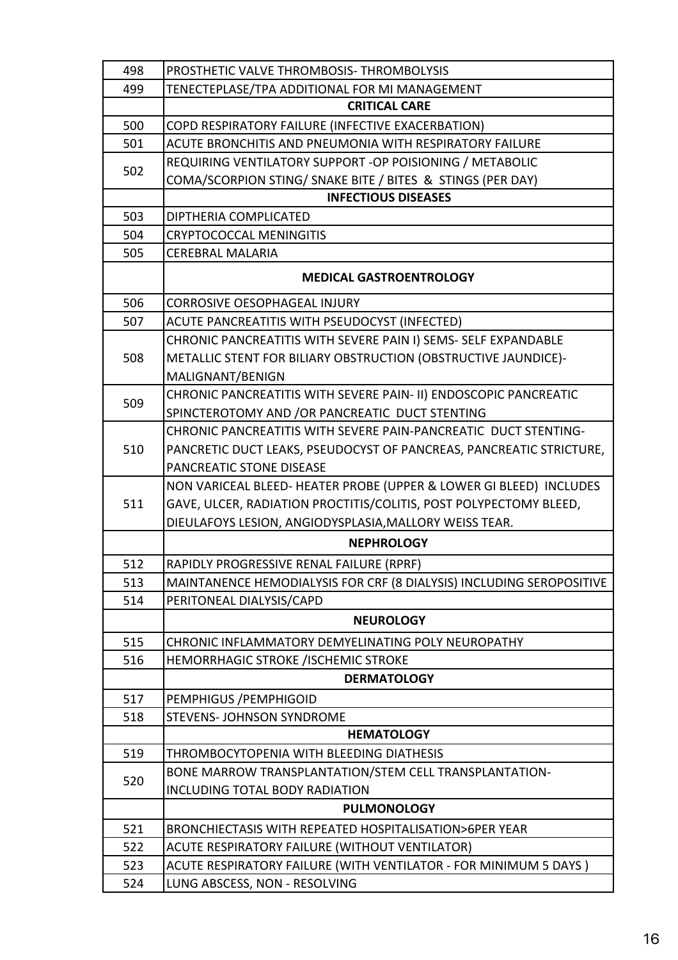| 498 | PROSTHETIC VALVE THROMBOSIS-THROMBOLYSIS                             |
|-----|----------------------------------------------------------------------|
| 499 | TENECTEPLASE/TPA ADDITIONAL FOR MI MANAGEMENT                        |
|     | <b>CRITICAL CARE</b>                                                 |
| 500 | COPD RESPIRATORY FAILURE (INFECTIVE EXACERBATION)                    |
| 501 | ACUTE BRONCHITIS AND PNEUMONIA WITH RESPIRATORY FAILURE              |
| 502 | REQUIRING VENTILATORY SUPPORT -OP POISIONING / METABOLIC             |
|     | COMA/SCORPION STING/ SNAKE BITE / BITES & STINGS (PER DAY)           |
|     | <b>INFECTIOUS DISEASES</b>                                           |
| 503 | DIPTHERIA COMPLICATED                                                |
| 504 | <b>CRYPTOCOCCAL MENINGITIS</b>                                       |
| 505 | <b>CEREBRAL MALARIA</b>                                              |
|     | <b>MEDICAL GASTROENTROLOGY</b>                                       |
| 506 | <b>CORROSIVE OESOPHAGEAL INJURY</b>                                  |
| 507 | ACUTE PANCREATITIS WITH PSEUDOCYST (INFECTED)                        |
|     | CHRONIC PANCREATITIS WITH SEVERE PAIN I) SEMS- SELF EXPANDABLE       |
| 508 | METALLIC STENT FOR BILIARY OBSTRUCTION (OBSTRUCTIVE JAUNDICE)-       |
|     | MALIGNANT/BENIGN                                                     |
|     | CHRONIC PANCREATITIS WITH SEVERE PAIN- II) ENDOSCOPIC PANCREATIC     |
| 509 | SPINCTEROTOMY AND /OR PANCREATIC DUCT STENTING                       |
|     | CHRONIC PANCREATITIS WITH SEVERE PAIN-PANCREATIC DUCT STENTING-      |
| 510 | PANCRETIC DUCT LEAKS, PSEUDOCYST OF PANCREAS, PANCREATIC STRICTURE,  |
|     | PANCREATIC STONE DISEASE                                             |
|     | NON VARICEAL BLEED- HEATER PROBE (UPPER & LOWER GI BLEED) INCLUDES   |
| 511 | GAVE, ULCER, RADIATION PROCTITIS/COLITIS, POST POLYPECTOMY BLEED,    |
|     | DIEULAFOYS LESION, ANGIODYSPLASIA, MALLORY WEISS TEAR.               |
|     | <b>NEPHROLOGY</b>                                                    |
| 512 | RAPIDLY PROGRESSIVE RENAL FAILURE (RPRF)                             |
| 513 | MAINTANENCE HEMODIALYSIS FOR CRF (8 DIALYSIS) INCLUDING SEROPOSITIVE |
| 514 | PERITONEAL DIALYSIS/CAPD                                             |
|     | <b>NEUROLOGY</b>                                                     |
| 515 | CHRONIC INFLAMMATORY DEMYELINATING POLY NEUROPATHY                   |
| 516 | <b>HEMORRHAGIC STROKE /ISCHEMIC STROKE</b>                           |
|     | <b>DERMATOLOGY</b>                                                   |
| 517 | PEMPHIGUS / PEMPHIGOID                                               |
| 518 | STEVENS- JOHNSON SYNDROME                                            |
|     | <b>HEMATOLOGY</b>                                                    |
| 519 | THROMBOCYTOPENIA WITH BLEEDING DIATHESIS                             |
|     | BONE MARROW TRANSPLANTATION/STEM CELL TRANSPLANTATION-               |
| 520 | <b>INCLUDING TOTAL BODY RADIATION</b>                                |
|     | <b>PULMONOLOGY</b>                                                   |
| 521 | <b>BRONCHIECTASIS WITH REPEATED HOSPITALISATION&gt;6PER YEAR</b>     |
| 522 | ACUTE RESPIRATORY FAILURE (WITHOUT VENTILATOR)                       |
| 523 | ACUTE RESPIRATORY FAILURE (WITH VENTILATOR - FOR MINIMUM 5 DAYS)     |
| 524 | LUNG ABSCESS, NON - RESOLVING                                        |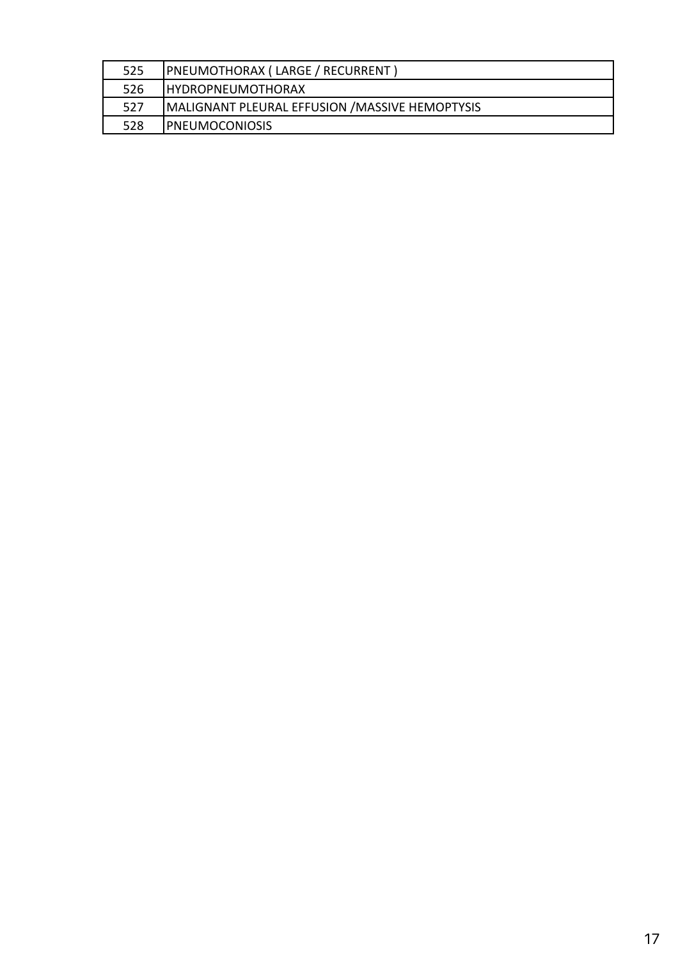| 525 | PNEUMOTHORAX ( LARGE / RECURRENT )              |
|-----|-------------------------------------------------|
| 526 | I HYDROPNEUMOTHORAX                             |
| 527 | MALIGNANT PLEURAL EFFUSION / MASSIVE HEMOPTYSIS |
| 528 | <b>IPNEUMOCONIOSIS</b>                          |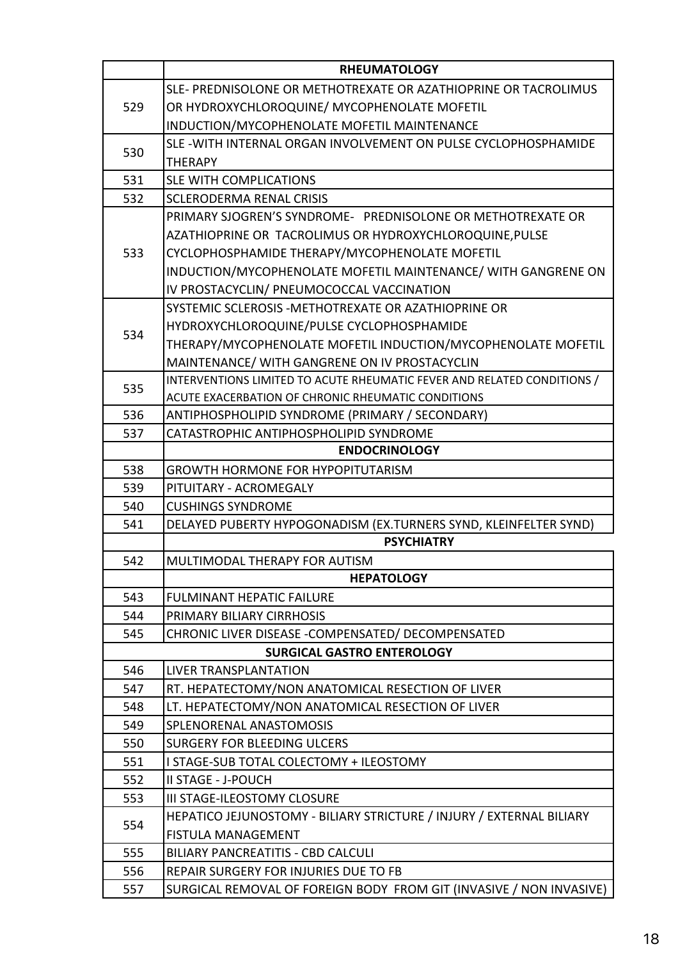|     | <b>RHEUMATOLOGY</b>                                                     |
|-----|-------------------------------------------------------------------------|
|     | SLE-PREDNISOLONE OR METHOTREXATE OR AZATHIOPRINE OR TACROLIMUS          |
| 529 | OR HYDROXYCHLOROQUINE/ MYCOPHENOLATE MOFETIL                            |
|     | INDUCTION/MYCOPHENOLATE MOFETIL MAINTENANCE                             |
| 530 | SLE-WITH INTERNAL ORGAN INVOLVEMENT ON PULSE CYCLOPHOSPHAMIDE           |
|     | <b>THERAPY</b>                                                          |
| 531 | <b>SLE WITH COMPLICATIONS</b>                                           |
| 532 | <b>SCLERODERMA RENAL CRISIS</b>                                         |
|     | PRIMARY SJOGREN'S SYNDROME- PREDNISOLONE OR METHOTREXATE OR             |
|     | AZATHIOPRINE OR TACROLIMUS OR HYDROXYCHLOROQUINE, PULSE                 |
| 533 | CYCLOPHOSPHAMIDE THERAPY/MYCOPHENOLATE MOFETIL                          |
|     | INDUCTION/MYCOPHENOLATE MOFETIL MAINTENANCE/ WITH GANGRENE ON           |
|     | IV PROSTACYCLIN/ PNEUMOCOCCAL VACCINATION                               |
|     | SYSTEMIC SCLEROSIS - METHOTREXATE OR AZATHIOPRINE OR                    |
|     | HYDROXYCHLOROQUINE/PULSE CYCLOPHOSPHAMIDE                               |
| 534 | THERAPY/MYCOPHENOLATE MOFETIL INDUCTION/MYCOPHENOLATE MOFETIL           |
|     | MAINTENANCE/ WITH GANGRENE ON IV PROSTACYCLIN                           |
| 535 | INTERVENTIONS LIMITED TO ACUTE RHEUMATIC FEVER AND RELATED CONDITIONS / |
|     | ACUTE EXACERBATION OF CHRONIC RHEUMATIC CONDITIONS                      |
| 536 | ANTIPHOSPHOLIPID SYNDROME (PRIMARY / SECONDARY)                         |
| 537 | CATASTROPHIC ANTIPHOSPHOLIPID SYNDROME                                  |
|     | <b>ENDOCRINOLOGY</b>                                                    |
| 538 | <b>GROWTH HORMONE FOR HYPOPITUTARISM</b>                                |
| 539 | PITUITARY - ACROMEGALY                                                  |
| 540 | <b>CUSHINGS SYNDROME</b>                                                |
| 541 | DELAYED PUBERTY HYPOGONADISM (EX.TURNERS SYND, KLEINFELTER SYND)        |
|     | <b>PSYCHIATRY</b>                                                       |
| 542 | MULTIMODAL THERAPY FOR AUTISM                                           |
|     | <b>HEPATOLOGY</b>                                                       |
| 543 | <b>FULMINANT HEPATIC FAILURE</b>                                        |
| 544 | PRIMARY BILIARY CIRRHOSIS                                               |
| 545 | CHRONIC LIVER DISEASE - COMPENSATED / DECOMPENSATED                     |
|     | <b>SURGICAL GASTRO ENTEROLOGY</b>                                       |
| 546 | <b>LIVER TRANSPLANTATION</b>                                            |
| 547 | RT. HEPATECTOMY/NON ANATOMICAL RESECTION OF LIVER                       |
| 548 | LT. HEPATECTOMY/NON ANATOMICAL RESECTION OF LIVER                       |
| 549 | SPLENORENAL ANASTOMOSIS                                                 |
| 550 | <b>SURGERY FOR BLEEDING ULCERS</b>                                      |
| 551 | I STAGE-SUB TOTAL COLECTOMY + ILEOSTOMY                                 |
| 552 | <b>II STAGE - J-POUCH</b>                                               |
| 553 | <b>III STAGE-ILEOSTOMY CLOSURE</b>                                      |
| 554 | HEPATICO JEJUNOSTOMY - BILIARY STRICTURE / INJURY / EXTERNAL BILIARY    |
|     | <b>FISTULA MANAGEMENT</b>                                               |
| 555 | <b>BILIARY PANCREATITIS - CBD CALCULI</b>                               |
| 556 | REPAIR SURGERY FOR INJURIES DUE TO FB                                   |
| 557 | SURGICAL REMOVAL OF FOREIGN BODY FROM GIT (INVASIVE / NON INVASIVE)     |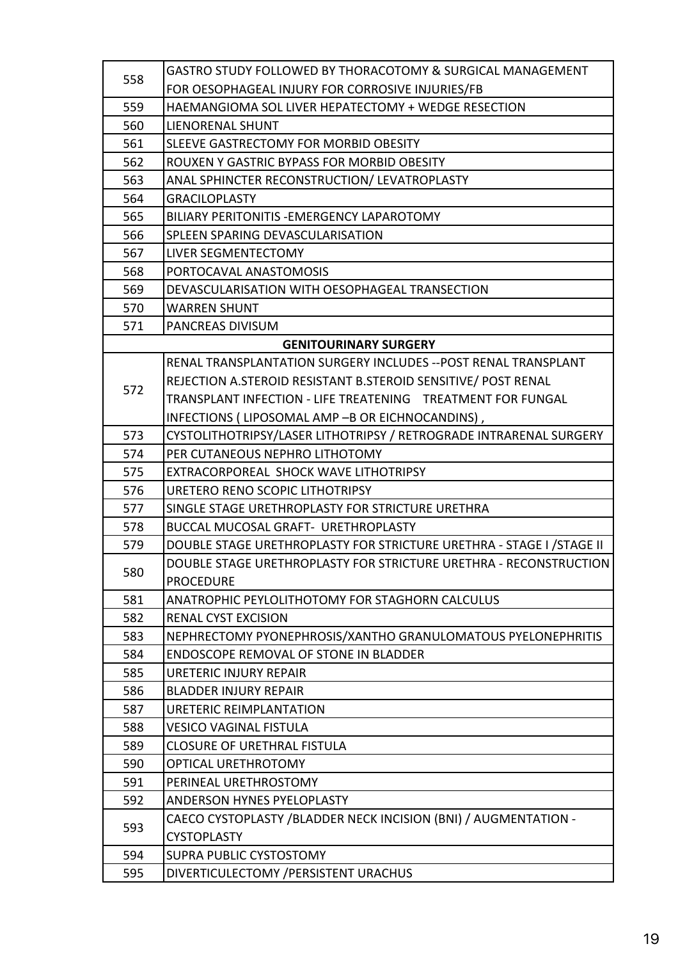| 558 | GASTRO STUDY FOLLOWED BY THORACOTOMY & SURGICAL MANAGEMENT            |
|-----|-----------------------------------------------------------------------|
|     | FOR OESOPHAGEAL INJURY FOR CORROSIVE INJURIES/FB                      |
| 559 | HAEMANGIOMA SOL LIVER HEPATECTOMY + WEDGE RESECTION                   |
| 560 | LIENORENAL SHUNT                                                      |
| 561 | SLEEVE GASTRECTOMY FOR MORBID OBESITY                                 |
| 562 | ROUXEN Y GASTRIC BYPASS FOR MORBID OBESITY                            |
| 563 | ANAL SPHINCTER RECONSTRUCTION/ LEVATROPLASTY                          |
| 564 | <b>GRACILOPLASTY</b>                                                  |
| 565 | BILIARY PERITONITIS - EMERGENCY LAPAROTOMY                            |
| 566 | SPLEEN SPARING DEVASCULARISATION                                      |
| 567 | LIVER SEGMENTECTOMY                                                   |
| 568 | PORTOCAVAL ANASTOMOSIS                                                |
| 569 | DEVASCULARISATION WITH OESOPHAGEAL TRANSECTION                        |
| 570 | <b>WARREN SHUNT</b>                                                   |
| 571 | PANCREAS DIVISUM                                                      |
|     | <b>GENITOURINARY SURGERY</b>                                          |
|     | RENAL TRANSPLANTATION SURGERY INCLUDES -- POST RENAL TRANSPLANT       |
| 572 | REJECTION A.STEROID RESISTANT B.STEROID SENSITIVE/ POST RENAL         |
|     | TRANSPLANT INFECTION - LIFE TREATENING  TREATMENT FOR FUNGAL          |
|     | INFECTIONS (LIPOSOMAL AMP -B OR EICHNOCANDINS),                       |
| 573 | CYSTOLITHOTRIPSY/LASER LITHOTRIPSY / RETROGRADE INTRARENAL SURGERY    |
| 574 | PER CUTANEOUS NEPHRO LITHOTOMY                                        |
| 575 | EXTRACORPOREAL SHOCK WAVE LITHOTRIPSY                                 |
| 576 | URETERO RENO SCOPIC LITHOTRIPSY                                       |
| 577 | SINGLE STAGE URETHROPLASTY FOR STRICTURE URETHRA                      |
| 578 | <b>BUCCAL MUCOSAL GRAFT- URETHROPLASTY</b>                            |
| 579 | DOUBLE STAGE URETHROPLASTY FOR STRICTURE URETHRA - STAGE I / STAGE II |
| 580 | DOUBLE STAGE URETHROPLASTY FOR STRICTURE URETHRA - RECONSTRUCTION     |
|     | <b>PROCEDURE</b>                                                      |
| 581 | ANATROPHIC PEYLOLITHOTOMY FOR STAGHORN CALCULUS                       |
| 582 | RENAL CYST EXCISION                                                   |
| 583 | NEPHRECTOMY PYONEPHROSIS/XANTHO GRANULOMATOUS PYELONEPHRITIS          |
| 584 | <b>ENDOSCOPE REMOVAL OF STONE IN BLADDER</b>                          |
| 585 | URETERIC INJURY REPAIR                                                |
| 586 | <b>BLADDER INJURY REPAIR</b>                                          |
| 587 | URETERIC REIMPLANTATION                                               |
| 588 | <b>VESICO VAGINAL FISTULA</b>                                         |
| 589 | <b>CLOSURE OF URETHRAL FISTULA</b>                                    |
| 590 | OPTICAL URETHROTOMY                                                   |
| 591 | PERINEAL URETHROSTOMY                                                 |
| 592 | <b>ANDERSON HYNES PYELOPLASTY</b>                                     |
| 593 | CAECO CYSTOPLASTY /BLADDER NECK INCISION (BNI) / AUGMENTATION -       |
|     | <b>CYSTOPLASTY</b>                                                    |
| 594 | <b>SUPRA PUBLIC CYSTOSTOMY</b>                                        |
| 595 | DIVERTICULECTOMY / PERSISTENT URACHUS                                 |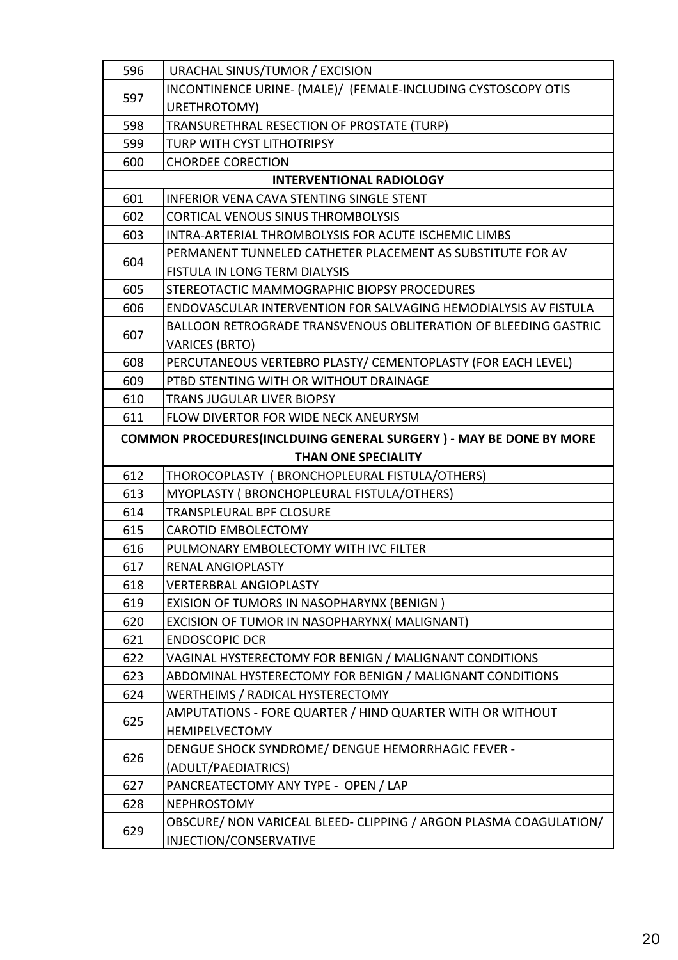| 596                        | URACHAL SINUS/TUMOR / EXCISION                                             |
|----------------------------|----------------------------------------------------------------------------|
| 597                        | INCONTINENCE URINE- (MALE)/ (FEMALE-INCLUDING CYSTOSCOPY OTIS              |
|                            | URETHROTOMY)                                                               |
| 598                        | TRANSURETHRAL RESECTION OF PROSTATE (TURP)                                 |
| 599                        | TURP WITH CYST LITHOTRIPSY                                                 |
| 600                        | <b>CHORDEE CORECTION</b>                                                   |
|                            | <b>INTERVENTIONAL RADIOLOGY</b>                                            |
| 601                        | <b>INFERIOR VENA CAVA STENTING SINGLE STENT</b>                            |
| 602                        | <b>CORTICAL VENOUS SINUS THROMBOLYSIS</b>                                  |
| 603                        | INTRA-ARTERIAL THROMBOLYSIS FOR ACUTE ISCHEMIC LIMBS                       |
| 604                        | PERMANENT TUNNELED CATHETER PLACEMENT AS SUBSTITUTE FOR AV                 |
|                            | FISTULA IN LONG TERM DIALYSIS                                              |
| 605                        | STEREOTACTIC MAMMOGRAPHIC BIOPSY PROCEDURES                                |
| 606                        | ENDOVASCULAR INTERVENTION FOR SALVAGING HEMODIALYSIS AV FISTULA            |
| 607                        | <b>BALLOON RETROGRADE TRANSVENOUS OBLITERATION OF BLEEDING GASTRIC</b>     |
|                            | <b>VARICES (BRTO)</b>                                                      |
| 608                        | PERCUTANEOUS VERTEBRO PLASTY/ CEMENTOPLASTY (FOR EACH LEVEL)               |
| 609                        | PTBD STENTING WITH OR WITHOUT DRAINAGE                                     |
| 610                        | <b>TRANS JUGULAR LIVER BIOPSY</b>                                          |
| 611                        | FLOW DIVERTOR FOR WIDE NECK ANEURYSM                                       |
|                            | <b>COMMON PROCEDURES (INCLDUING GENERAL SURGERY) - MAY BE DONE BY MORE</b> |
| <b>THAN ONE SPECIALITY</b> |                                                                            |
| 612                        | THOROCOPLASTY ( BRONCHOPLEURAL FISTULA/OTHERS)                             |
| 613                        | MYOPLASTY (BRONCHOPLEURAL FISTULA/OTHERS)                                  |
| 614                        | <b>TRANSPLEURAL BPF CLOSURE</b>                                            |
| 615                        | <b>CAROTID EMBOLECTOMY</b>                                                 |
| 616                        | PULMONARY EMBOLECTOMY WITH IVC FILTER                                      |
| 617                        | RENAL ANGIOPLASTY                                                          |
| 618                        | <b>VERTERBRAL ANGIOPLASTY</b>                                              |
| 619                        | EXISION OF TUMORS IN NASOPHARYNX (BENIGN)                                  |
| 620                        | EXCISION OF TUMOR IN NASOPHARYNX( MALIGNANT)                               |
| 621                        | <b>ENDOSCOPIC DCR</b>                                                      |
| 622                        | VAGINAL HYSTERECTOMY FOR BENIGN / MALIGNANT CONDITIONS                     |
| 623                        | ABDOMINAL HYSTERECTOMY FOR BENIGN / MALIGNANT CONDITIONS                   |
| 624                        | WERTHEIMS / RADICAL HYSTERECTOMY                                           |
| 625                        | AMPUTATIONS - FORE QUARTER / HIND QUARTER WITH OR WITHOUT                  |
|                            | <b>HEMIPELVECTOMY</b>                                                      |
| 626                        | DENGUE SHOCK SYNDROME/ DENGUE HEMORRHAGIC FEVER -                          |
|                            | (ADULT/PAEDIATRICS)                                                        |
| 627                        | PANCREATECTOMY ANY TYPE - OPEN / LAP                                       |
| 628                        | <b>NEPHROSTOMY</b>                                                         |
| 629                        | OBSCURE/ NON VARICEAL BLEED- CLIPPING / ARGON PLASMA COAGULATION/          |
|                            | INJECTION/CONSERVATIVE                                                     |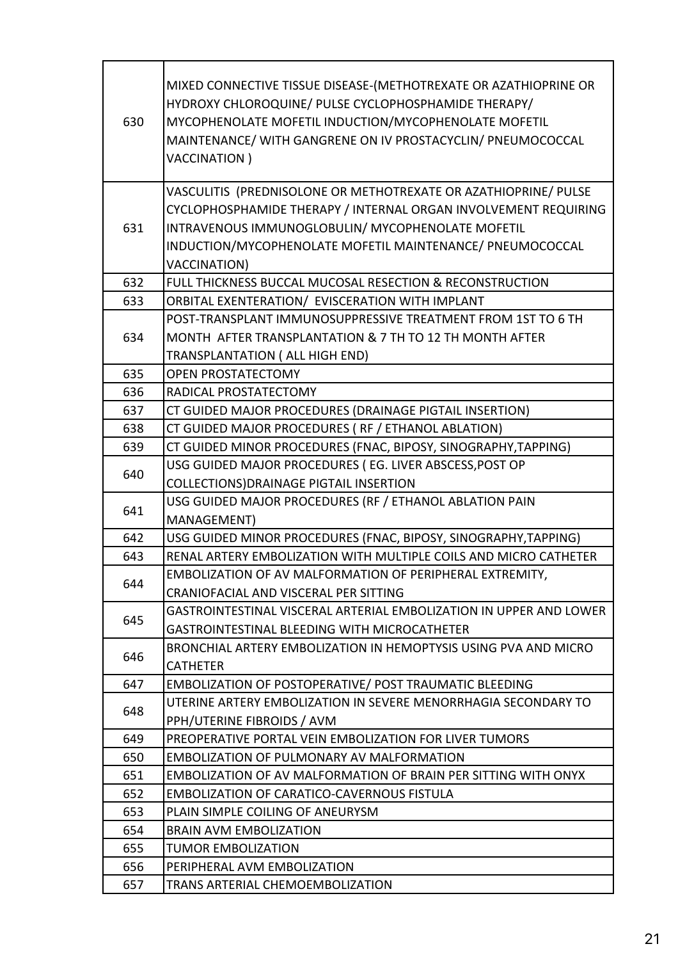| 630 | MIXED CONNECTIVE TISSUE DISEASE-(METHOTREXATE OR AZATHIOPRINE OR<br>HYDROXY CHLOROQUINE/ PULSE CYCLOPHOSPHAMIDE THERAPY/<br>MYCOPHENOLATE MOFETIL INDUCTION/MYCOPHENOLATE MOFETIL<br>MAINTENANCE/ WITH GANGRENE ON IV PROSTACYCLIN/ PNEUMOCOCCAL<br><b>VACCINATION</b> )    |
|-----|-----------------------------------------------------------------------------------------------------------------------------------------------------------------------------------------------------------------------------------------------------------------------------|
| 631 | VASCULITIS (PREDNISOLONE OR METHOTREXATE OR AZATHIOPRINE/ PULSE<br>CYCLOPHOSPHAMIDE THERAPY / INTERNAL ORGAN INVOLVEMENT REQUIRING<br>INTRAVENOUS IMMUNOGLOBULIN/ MYCOPHENOLATE MOFETIL<br>INDUCTION/MYCOPHENOLATE MOFETIL MAINTENANCE/ PNEUMOCOCCAL<br><b>VACCINATION)</b> |
| 632 | FULL THICKNESS BUCCAL MUCOSAL RESECTION & RECONSTRUCTION                                                                                                                                                                                                                    |
| 633 | ORBITAL EXENTERATION/ EVISCERATION WITH IMPLANT                                                                                                                                                                                                                             |
| 634 | POST-TRANSPLANT IMMUNOSUPPRESSIVE TREATMENT FROM 1ST TO 6 TH<br>MONTH AFTER TRANSPLANTATION & 7 TH TO 12 TH MONTH AFTER<br>TRANSPLANTATION ( ALL HIGH END)                                                                                                                  |
| 635 | <b>OPEN PROSTATECTOMY</b>                                                                                                                                                                                                                                                   |
| 636 | RADICAL PROSTATECTOMY                                                                                                                                                                                                                                                       |
| 637 | CT GUIDED MAJOR PROCEDURES (DRAINAGE PIGTAIL INSERTION)                                                                                                                                                                                                                     |
| 638 | CT GUIDED MAJOR PROCEDURES (RF / ETHANOL ABLATION)                                                                                                                                                                                                                          |
| 639 | CT GUIDED MINOR PROCEDURES (FNAC, BIPOSY, SINOGRAPHY, TAPPING)                                                                                                                                                                                                              |
| 640 | USG GUIDED MAJOR PROCEDURES (EG. LIVER ABSCESS, POST OP<br>COLLECTIONS) DRAINAGE PIGTAIL INSERTION                                                                                                                                                                          |
| 641 | USG GUIDED MAJOR PROCEDURES (RF / ETHANOL ABLATION PAIN<br><b>MANAGEMENT)</b>                                                                                                                                                                                               |
| 642 | USG GUIDED MINOR PROCEDURES (FNAC, BIPOSY, SINOGRAPHY, TAPPING)                                                                                                                                                                                                             |
| 643 | RENAL ARTERY EMBOLIZATION WITH MULTIPLE COILS AND MICRO CATHETER                                                                                                                                                                                                            |
| 644 | EMBOLIZATION OF AV MALFORMATION OF PERIPHERAL EXTREMITY,                                                                                                                                                                                                                    |
|     | CRANIOFACIAL AND VISCERAL PER SITTING                                                                                                                                                                                                                                       |
| 645 | GASTROINTESTINAL VISCERAL ARTERIAL EMBOLIZATION IN UPPER AND LOWER                                                                                                                                                                                                          |
|     | GASTROINTESTINAL BLEEDING WITH MICROCATHETER                                                                                                                                                                                                                                |
| 646 | BRONCHIAL ARTERY EMBOLIZATION IN HEMOPTYSIS USING PVA AND MICRO                                                                                                                                                                                                             |
|     | <b>CATHETER</b>                                                                                                                                                                                                                                                             |
| 647 | EMBOLIZATION OF POSTOPERATIVE/ POST TRAUMATIC BLEEDING                                                                                                                                                                                                                      |
| 648 | UTERINE ARTERY EMBOLIZATION IN SEVERE MENORRHAGIA SECONDARY TO<br>PPH/UTERINE FIBROIDS / AVM                                                                                                                                                                                |
| 649 | PREOPERATIVE PORTAL VEIN EMBOLIZATION FOR LIVER TUMORS                                                                                                                                                                                                                      |
| 650 | <b>EMBOLIZATION OF PULMONARY AV MALFORMATION</b>                                                                                                                                                                                                                            |
| 651 | EMBOLIZATION OF AV MALFORMATION OF BRAIN PER SITTING WITH ONYX                                                                                                                                                                                                              |
| 652 | <b>EMBOLIZATION OF CARATICO-CAVERNOUS FISTULA</b>                                                                                                                                                                                                                           |
| 653 | PLAIN SIMPLE COILING OF ANEURYSM                                                                                                                                                                                                                                            |
| 654 | <b>BRAIN AVM EMBOLIZATION</b>                                                                                                                                                                                                                                               |
| 655 | <b>TUMOR EMBOLIZATION</b>                                                                                                                                                                                                                                                   |
| 656 | PERIPHERAL AVM EMBOLIZATION                                                                                                                                                                                                                                                 |
| 657 | TRANS ARTERIAL CHEMOEMBOLIZATION                                                                                                                                                                                                                                            |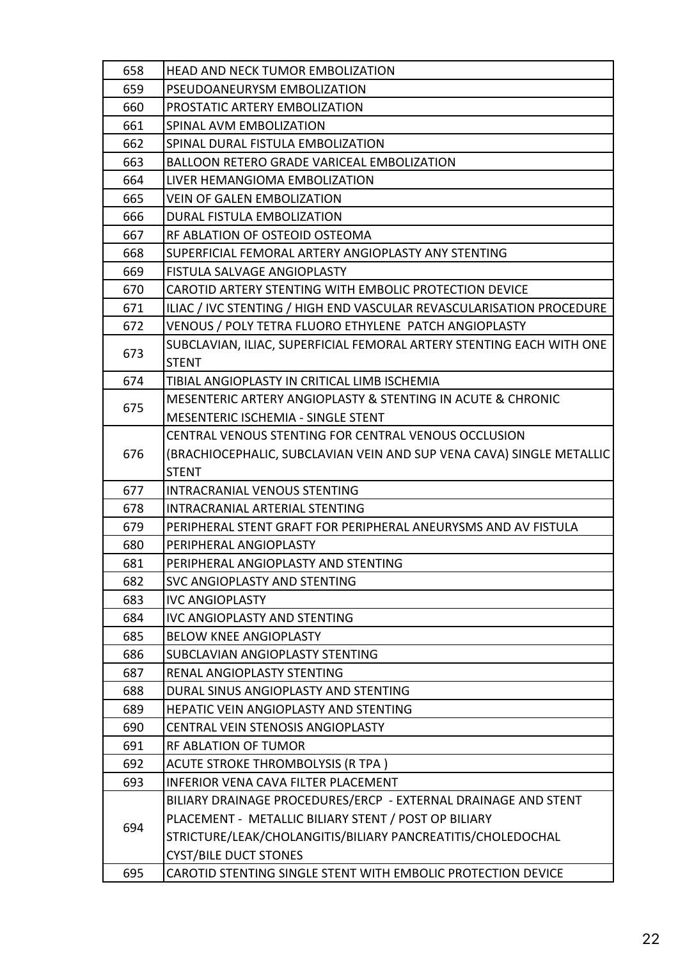| 658 | <b>HEAD AND NECK TUMOR EMBOLIZATION</b>                              |
|-----|----------------------------------------------------------------------|
| 659 | PSEUDOANEURYSM EMBOLIZATION                                          |
| 660 | PROSTATIC ARTERY EMBOLIZATION                                        |
| 661 | SPINAL AVM EMBOLIZATION                                              |
| 662 | SPINAL DURAL FISTULA EMBOLIZATION                                    |
| 663 | <b>BALLOON RETERO GRADE VARICEAL EMBOLIZATION</b>                    |
| 664 | LIVER HEMANGIOMA EMBOLIZATION                                        |
| 665 | <b>VEIN OF GALEN EMBOLIZATION</b>                                    |
| 666 | DURAL FISTULA EMBOLIZATION                                           |
| 667 | RF ABLATION OF OSTEOID OSTEOMA                                       |
| 668 | SUPERFICIAL FEMORAL ARTERY ANGIOPLASTY ANY STENTING                  |
| 669 | FISTULA SALVAGE ANGIOPLASTY                                          |
| 670 | CAROTID ARTERY STENTING WITH EMBOLIC PROTECTION DEVICE               |
| 671 | ILIAC / IVC STENTING / HIGH END VASCULAR REVASCULARISATION PROCEDURE |
| 672 | VENOUS / POLY TETRA FLUORO ETHYLENE PATCH ANGIOPLASTY                |
|     | SUBCLAVIAN, ILIAC, SUPERFICIAL FEMORAL ARTERY STENTING EACH WITH ONE |
| 673 | <b>STENT</b>                                                         |
| 674 | TIBIAL ANGIOPLASTY IN CRITICAL LIMB ISCHEMIA                         |
|     | MESENTERIC ARTERY ANGIOPLASTY & STENTING IN ACUTE & CHRONIC          |
| 675 | <b>MESENTERIC ISCHEMIA - SINGLE STENT</b>                            |
|     | CENTRAL VENOUS STENTING FOR CENTRAL VENOUS OCCLUSION                 |
| 676 | (BRACHIOCEPHALIC, SUBCLAVIAN VEIN AND SUP VENA CAVA) SINGLE METALLIC |
|     | <b>STENT</b>                                                         |
| 677 | <b>INTRACRANIAL VENOUS STENTING</b>                                  |
| 678 | <b>INTRACRANIAL ARTERIAL STENTING</b>                                |
| 679 | PERIPHERAL STENT GRAFT FOR PERIPHERAL ANEURYSMS AND AV FISTULA       |
| 680 | PERIPHERAL ANGIOPLASTY                                               |
| 681 | PERIPHERAL ANGIOPLASTY AND STENTING                                  |
| 682 | <b>SVC ANGIOPLASTY AND STENTING</b>                                  |
| 683 | <b>IVC ANGIOPLASTY</b>                                               |
| 684 | <b>IVC ANGIOPLASTY AND STENTING</b>                                  |
| 685 | <b>BELOW KNEE ANGIOPLASTY</b>                                        |
| 686 | SUBCLAVIAN ANGIOPLASTY STENTING                                      |
| 687 | <b>RENAL ANGIOPLASTY STENTING</b>                                    |
| 688 | DURAL SINUS ANGIOPLASTY AND STENTING                                 |
| 689 | HEPATIC VEIN ANGIOPLASTY AND STENTING                                |
| 690 | CENTRAL VEIN STENOSIS ANGIOPLASTY                                    |
| 691 | RF ABLATION OF TUMOR                                                 |
| 692 | <b>ACUTE STROKE THROMBOLYSIS (R TPA)</b>                             |
| 693 | INFERIOR VENA CAVA FILTER PLACEMENT                                  |
|     | BILIARY DRAINAGE PROCEDURES/ERCP - EXTERNAL DRAINAGE AND STENT       |
| 694 | PLACEMENT - METALLIC BILIARY STENT / POST OP BILIARY                 |
|     | STRICTURE/LEAK/CHOLANGITIS/BILIARY PANCREATITIS/CHOLEDOCHAL          |
|     |                                                                      |
|     | <b>CYST/BILE DUCT STONES</b>                                         |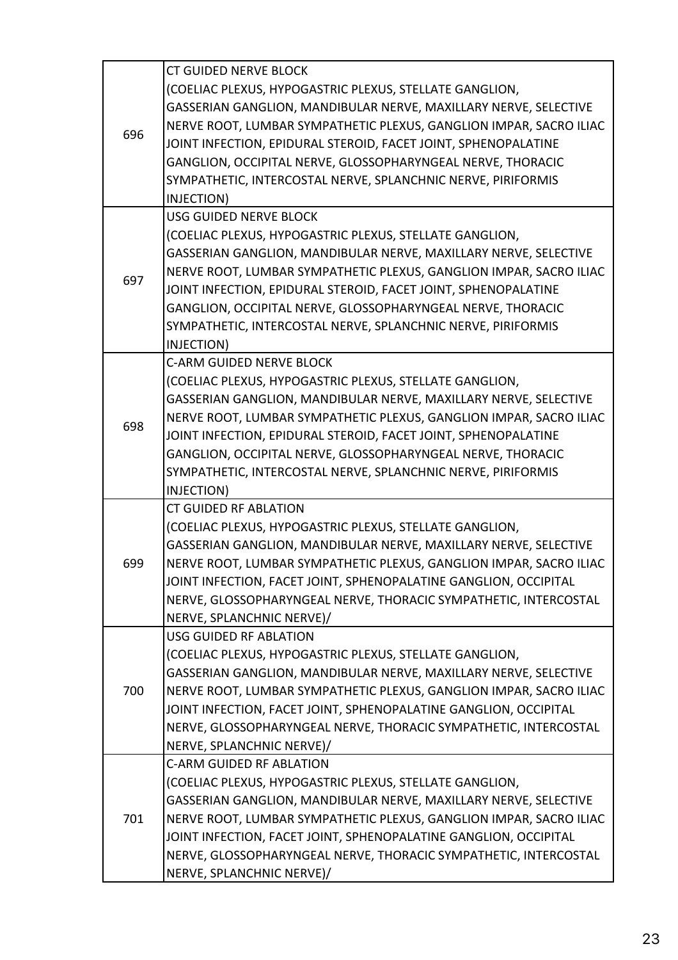| 696 | <b>CT GUIDED NERVE BLOCK</b>                                       |
|-----|--------------------------------------------------------------------|
|     | (COELIAC PLEXUS, HYPOGASTRIC PLEXUS, STELLATE GANGLION,            |
|     | GASSERIAN GANGLION, MANDIBULAR NERVE, MAXILLARY NERVE, SELECTIVE   |
|     | NERVE ROOT, LUMBAR SYMPATHETIC PLEXUS, GANGLION IMPAR, SACRO ILIAC |
|     | JOINT INFECTION, EPIDURAL STEROID, FACET JOINT, SPHENOPALATINE     |
|     | GANGLION, OCCIPITAL NERVE, GLOSSOPHARYNGEAL NERVE, THORACIC        |
|     | SYMPATHETIC, INTERCOSTAL NERVE, SPLANCHNIC NERVE, PIRIFORMIS       |
|     | INJECTION)                                                         |
|     | USG GUIDED NERVE BLOCK                                             |
|     | (COELIAC PLEXUS, HYPOGASTRIC PLEXUS, STELLATE GANGLION,            |
|     | GASSERIAN GANGLION, MANDIBULAR NERVE, MAXILLARY NERVE, SELECTIVE   |
|     | NERVE ROOT, LUMBAR SYMPATHETIC PLEXUS, GANGLION IMPAR, SACRO ILIAC |
| 697 | JOINT INFECTION, EPIDURAL STEROID, FACET JOINT, SPHENOPALATINE     |
|     | GANGLION, OCCIPITAL NERVE, GLOSSOPHARYNGEAL NERVE, THORACIC        |
|     | SYMPATHETIC, INTERCOSTAL NERVE, SPLANCHNIC NERVE, PIRIFORMIS       |
|     | INJECTION)                                                         |
|     | <b>C-ARM GUIDED NERVE BLOCK</b>                                    |
|     | (COELIAC PLEXUS, HYPOGASTRIC PLEXUS, STELLATE GANGLION,            |
|     | GASSERIAN GANGLION, MANDIBULAR NERVE, MAXILLARY NERVE, SELECTIVE   |
|     | NERVE ROOT, LUMBAR SYMPATHETIC PLEXUS, GANGLION IMPAR, SACRO ILIAC |
| 698 | JOINT INFECTION, EPIDURAL STEROID, FACET JOINT, SPHENOPALATINE     |
|     | GANGLION, OCCIPITAL NERVE, GLOSSOPHARYNGEAL NERVE, THORACIC        |
|     | SYMPATHETIC, INTERCOSTAL NERVE, SPLANCHNIC NERVE, PIRIFORMIS       |
|     | INJECTION)                                                         |
|     | <b>CT GUIDED RF ABLATION</b>                                       |
|     | (COELIAC PLEXUS, HYPOGASTRIC PLEXUS, STELLATE GANGLION,            |
|     | GASSERIAN GANGLION, MANDIBULAR NERVE, MAXILLARY NERVE, SELECTIVE   |
| 699 | NERVE ROOT, LUMBAR SYMPATHETIC PLEXUS, GANGLION IMPAR, SACRO ILIAC |
|     | JOINT INFECTION, FACET JOINT, SPHENOPALATINE GANGLION, OCCIPITAL   |
|     | NERVE, GLOSSOPHARYNGEAL NERVE, THORACIC SYMPATHETIC, INTERCOSTAL   |
|     | NERVE, SPLANCHNIC NERVE)/                                          |
|     | <b>USG GUIDED RF ABLATION</b>                                      |
|     | (COELIAC PLEXUS, HYPOGASTRIC PLEXUS, STELLATE GANGLION,            |
|     | GASSERIAN GANGLION, MANDIBULAR NERVE, MAXILLARY NERVE, SELECTIVE   |
| 700 | NERVE ROOT, LUMBAR SYMPATHETIC PLEXUS, GANGLION IMPAR, SACRO ILIAC |
|     | JOINT INFECTION, FACET JOINT, SPHENOPALATINE GANGLION, OCCIPITAL   |
|     | NERVE, GLOSSOPHARYNGEAL NERVE, THORACIC SYMPATHETIC, INTERCOSTAL   |
|     | NERVE, SPLANCHNIC NERVE)/                                          |
|     | <b>C-ARM GUIDED RF ABLATION</b>                                    |
|     | (COELIAC PLEXUS, HYPOGASTRIC PLEXUS, STELLATE GANGLION,            |
|     | GASSERIAN GANGLION, MANDIBULAR NERVE, MAXILLARY NERVE, SELECTIVE   |
| 701 | NERVE ROOT, LUMBAR SYMPATHETIC PLEXUS, GANGLION IMPAR, SACRO ILIAC |
|     | JOINT INFECTION, FACET JOINT, SPHENOPALATINE GANGLION, OCCIPITAL   |
|     | NERVE, GLOSSOPHARYNGEAL NERVE, THORACIC SYMPATHETIC, INTERCOSTAL   |
|     | NERVE, SPLANCHNIC NERVE)/                                          |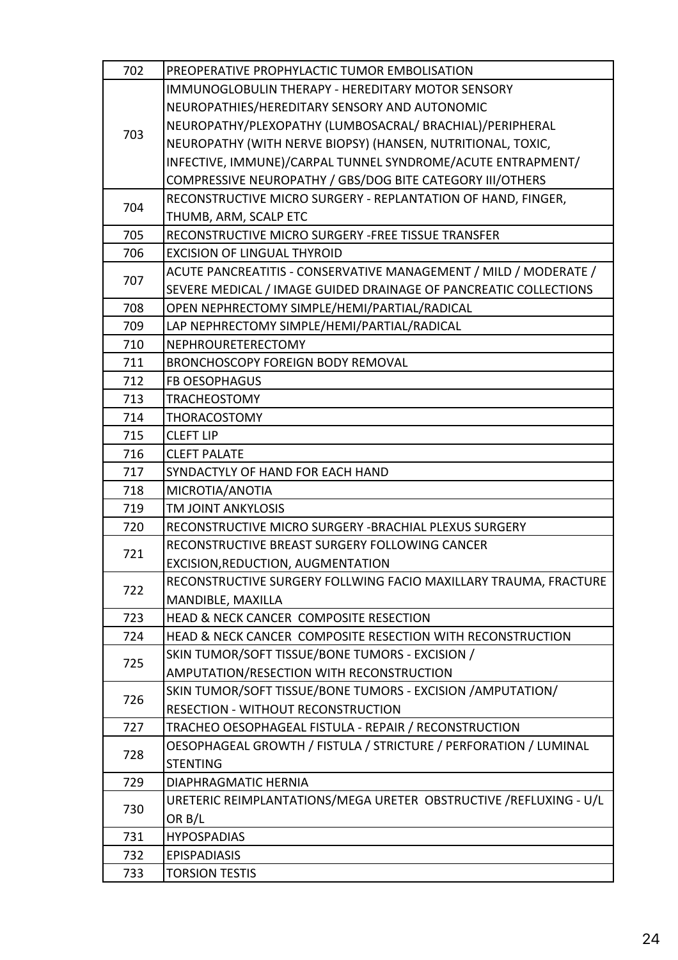| 702 | PREOPERATIVE PROPHYLACTIC TUMOR EMBOLISATION                          |  |
|-----|-----------------------------------------------------------------------|--|
| 703 | <b>IMMUNOGLOBULIN THERAPY - HEREDITARY MOTOR SENSORY</b>              |  |
|     | NEUROPATHIES/HEREDITARY SENSORY AND AUTONOMIC                         |  |
|     | NEUROPATHY/PLEXOPATHY (LUMBOSACRAL/ BRACHIAL)/PERIPHERAL              |  |
|     | NEUROPATHY (WITH NERVE BIOPSY) (HANSEN, NUTRITIONAL, TOXIC,           |  |
|     | INFECTIVE, IMMUNE)/CARPAL TUNNEL SYNDROME/ACUTE ENTRAPMENT/           |  |
|     | COMPRESSIVE NEUROPATHY / GBS/DOG BITE CATEGORY III/OTHERS             |  |
| 704 | RECONSTRUCTIVE MICRO SURGERY - REPLANTATION OF HAND, FINGER,          |  |
|     | THUMB, ARM, SCALP ETC                                                 |  |
| 705 | RECONSTRUCTIVE MICRO SURGERY - FREE TISSUE TRANSFER                   |  |
| 706 | <b>EXCISION OF LINGUAL THYROID</b>                                    |  |
| 707 | ACUTE PANCREATITIS - CONSERVATIVE MANAGEMENT / MILD / MODERATE /      |  |
|     | SEVERE MEDICAL / IMAGE GUIDED DRAINAGE OF PANCREATIC COLLECTIONS      |  |
| 708 | OPEN NEPHRECTOMY SIMPLE/HEMI/PARTIAL/RADICAL                          |  |
| 709 | LAP NEPHRECTOMY SIMPLE/HEMI/PARTIAL/RADICAL                           |  |
| 710 | NEPHROURETERECTOMY                                                    |  |
| 711 | <b>BRONCHOSCOPY FOREIGN BODY REMOVAL</b>                              |  |
| 712 | <b>FB OESOPHAGUS</b>                                                  |  |
| 713 | <b>TRACHEOSTOMY</b>                                                   |  |
| 714 | <b>THORACOSTOMY</b>                                                   |  |
| 715 | <b>CLEFT LIP</b>                                                      |  |
| 716 | <b>CLEFT PALATE</b>                                                   |  |
| 717 | SYNDACTYLY OF HAND FOR EACH HAND                                      |  |
| 718 | MICROTIA/ANOTIA                                                       |  |
| 719 | <b>TM JOINT ANKYLOSIS</b>                                             |  |
| 720 | RECONSTRUCTIVE MICRO SURGERY - BRACHIAL PLEXUS SURGERY                |  |
| 721 | RECONSTRUCTIVE BREAST SURGERY FOLLOWING CANCER                        |  |
|     | EXCISION, REDUCTION, AUGMENTATION                                     |  |
| 722 | RECONSTRUCTIVE SURGERY FOLLWING FACIO MAXILLARY TRAUMA, FRACTURE      |  |
|     | MANDIBLE, MAXILLA                                                     |  |
| 723 | HEAD & NECK CANCER COMPOSITE RESECTION                                |  |
| 724 | <b>HEAD &amp; NECK CANCER COMPOSITE RESECTION WITH RECONSTRUCTION</b> |  |
| 725 | SKIN TUMOR/SOFT TISSUE/BONE TUMORS - EXCISION /                       |  |
|     | AMPUTATION/RESECTION WITH RECONSTRUCTION                              |  |
| 726 | SKIN TUMOR/SOFT TISSUE/BONE TUMORS - EXCISION / AMPUTATION/           |  |
|     | RESECTION - WITHOUT RECONSTRUCTION                                    |  |
| 727 | TRACHEO OESOPHAGEAL FISTULA - REPAIR / RECONSTRUCTION                 |  |
| 728 | OESOPHAGEAL GROWTH / FISTULA / STRICTURE / PERFORATION / LUMINAL      |  |
|     | <b>STENTING</b>                                                       |  |
| 729 | <b>DIAPHRAGMATIC HERNIA</b>                                           |  |
| 730 | URETERIC REIMPLANTATIONS/MEGA URETER OBSTRUCTIVE / REFLUXING - U/L    |  |
|     | OR B/L                                                                |  |
| 731 | <b>HYPOSPADIAS</b>                                                    |  |
| 732 | <b>EPISPADIASIS</b>                                                   |  |
| 733 | <b>TORSION TESTIS</b>                                                 |  |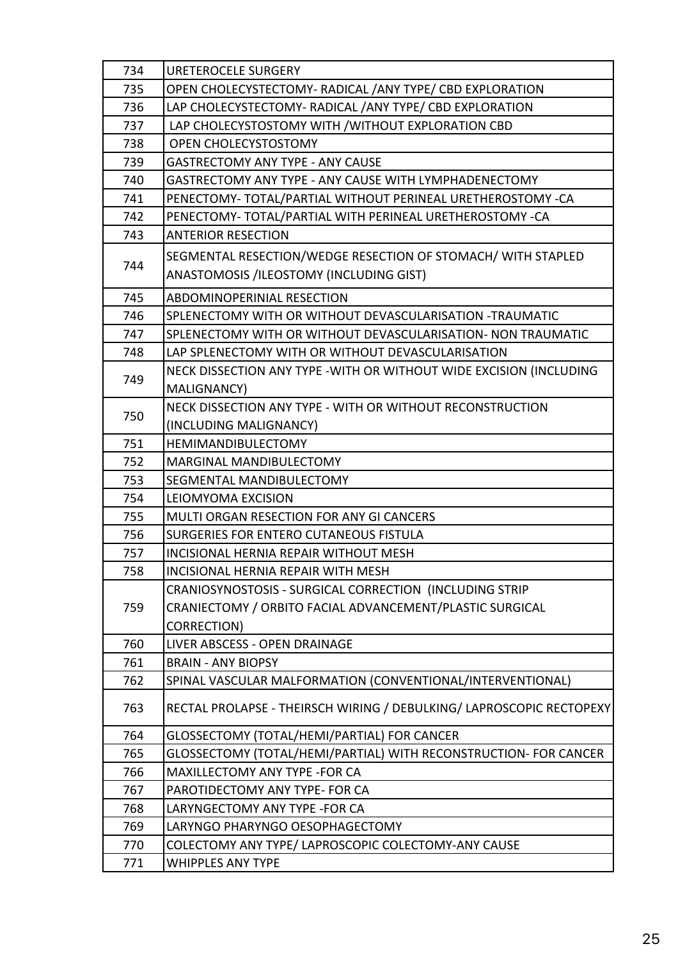| 734 | <b>URETEROCELE SURGERY</b>                                            |  |
|-----|-----------------------------------------------------------------------|--|
| 735 | OPEN CHOLECYSTECTOMY- RADICAL / ANY TYPE/ CBD EXPLORATION             |  |
| 736 | LAP CHOLECYSTECTOMY- RADICAL / ANY TYPE/ CBD EXPLORATION              |  |
| 737 | LAP CHOLECYSTOSTOMY WITH / WITHOUT EXPLORATION CBD                    |  |
| 738 | OPEN CHOLECYSTOSTOMY                                                  |  |
| 739 | <b>GASTRECTOMY ANY TYPE - ANY CAUSE</b>                               |  |
| 740 | GASTRECTOMY ANY TYPE - ANY CAUSE WITH LYMPHADENECTOMY                 |  |
| 741 | PENECTOMY- TOTAL/PARTIAL WITHOUT PERINEAL URETHEROSTOMY -CA           |  |
| 742 | PENECTOMY-TOTAL/PARTIAL WITH PERINEAL URETHEROSTOMY -CA               |  |
| 743 | <b>ANTERIOR RESECTION</b>                                             |  |
|     | SEGMENTAL RESECTION/WEDGE RESECTION OF STOMACH/ WITH STAPLED          |  |
| 744 | ANASTOMOSIS /ILEOSTOMY (INCLUDING GIST)                               |  |
| 745 | ABDOMINOPERINIAL RESECTION                                            |  |
| 746 | SPLENECTOMY WITH OR WITHOUT DEVASCULARISATION -TRAUMATIC              |  |
| 747 | SPLENECTOMY WITH OR WITHOUT DEVASCULARISATION- NON TRAUMATIC          |  |
| 748 | LAP SPLENECTOMY WITH OR WITHOUT DEVASCULARISATION                     |  |
|     | NECK DISSECTION ANY TYPE - WITH OR WITHOUT WIDE EXCISION (INCLUDING   |  |
| 749 | <b>MALIGNANCY)</b>                                                    |  |
|     | NECK DISSECTION ANY TYPE - WITH OR WITHOUT RECONSTRUCTION             |  |
| 750 | (INCLUDING MALIGNANCY)                                                |  |
| 751 | HEMIMANDIBULECTOMY                                                    |  |
| 752 | MARGINAL MANDIBULECTOMY                                               |  |
| 753 | SEGMENTAL MANDIBULECTOMY                                              |  |
| 754 | <b>LEIOMYOMA EXCISION</b>                                             |  |
| 755 | MULTI ORGAN RESECTION FOR ANY GI CANCERS                              |  |
| 756 | SURGERIES FOR ENTERO CUTANEOUS FISTULA                                |  |
| 757 | INCISIONAL HERNIA REPAIR WITHOUT MESH                                 |  |
| 758 | INCISIONAL HERNIA REPAIR WITH MESH                                    |  |
|     | CRANIOSYNOSTOSIS - SURGICAL CORRECTION (INCLUDING STRIP               |  |
| 759 | CRANIECTOMY / ORBITO FACIAL ADVANCEMENT/PLASTIC SURGICAL              |  |
|     | <b>CORRECTION)</b>                                                    |  |
| 760 | LIVER ABSCESS - OPEN DRAINAGE                                         |  |
| 761 | <b>BRAIN - ANY BIOPSY</b>                                             |  |
| 762 | SPINAL VASCULAR MALFORMATION (CONVENTIONAL/INTERVENTIONAL)            |  |
| 763 | RECTAL PROLAPSE - THEIRSCH WIRING / DEBULKING / LAPROSCOPIC RECTOPEXY |  |
| 764 | GLOSSECTOMY (TOTAL/HEMI/PARTIAL) FOR CANCER                           |  |
| 765 | GLOSSECTOMY (TOTAL/HEMI/PARTIAL) WITH RECONSTRUCTION- FOR CANCER      |  |
| 766 | MAXILLECTOMY ANY TYPE -FOR CA                                         |  |
| 767 | PAROTIDECTOMY ANY TYPE- FOR CA                                        |  |
| 768 | LARYNGECTOMY ANY TYPE - FOR CA                                        |  |
| 769 | LARYNGO PHARYNGO OESOPHAGECTOMY                                       |  |
| 770 | COLECTOMY ANY TYPE/ LAPROSCOPIC COLECTOMY-ANY CAUSE                   |  |
| 771 | <b>WHIPPLES ANY TYPE</b>                                              |  |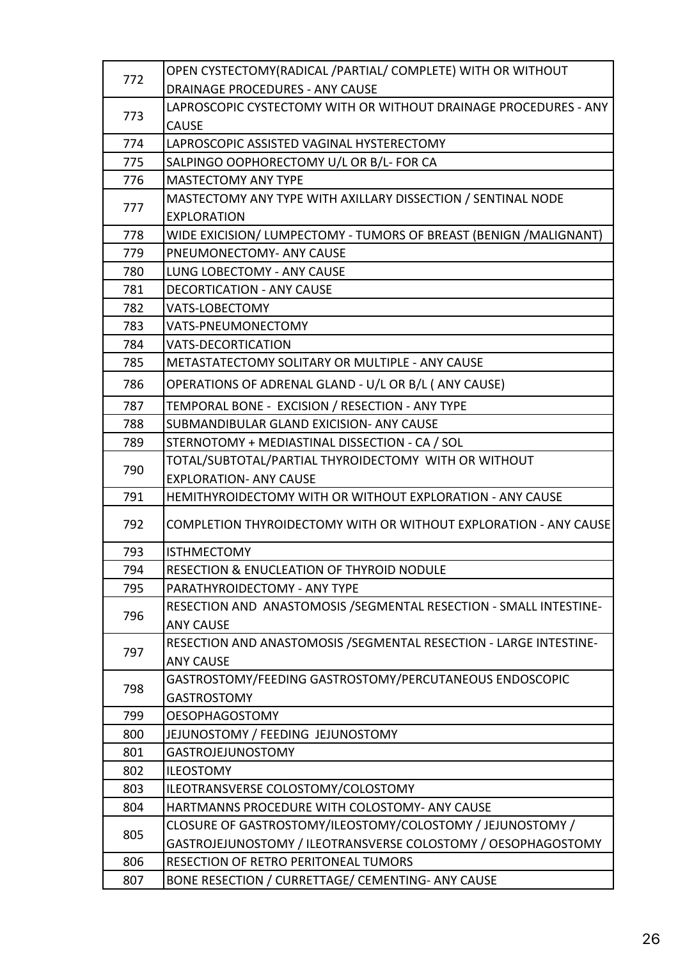| 772 | OPEN CYSTECTOMY(RADICAL /PARTIAL/ COMPLETE) WITH OR WITHOUT        |  |
|-----|--------------------------------------------------------------------|--|
|     | DRAINAGE PROCEDURES - ANY CAUSE                                    |  |
| 773 | LAPROSCOPIC CYSTECTOMY WITH OR WITHOUT DRAINAGE PROCEDURES - ANY   |  |
|     | <b>CAUSE</b>                                                       |  |
| 774 | LAPROSCOPIC ASSISTED VAGINAL HYSTERECTOMY                          |  |
| 775 | SALPINGO OOPHORECTOMY U/L OR B/L- FOR CA                           |  |
| 776 | <b>MASTECTOMY ANY TYPE</b>                                         |  |
| 777 | MASTECTOMY ANY TYPE WITH AXILLARY DISSECTION / SENTINAL NODE       |  |
|     | <b>EXPLORATION</b>                                                 |  |
| 778 | WIDE EXICISION/ LUMPECTOMY - TUMORS OF BREAST (BENIGN /MALIGNANT)  |  |
| 779 | PNEUMONECTOMY- ANY CAUSE                                           |  |
| 780 | LUNG LOBECTOMY - ANY CAUSE                                         |  |
| 781 | <b>DECORTICATION - ANY CAUSE</b>                                   |  |
| 782 | <b>VATS-LOBECTOMY</b>                                              |  |
| 783 | VATS-PNEUMONECTOMY                                                 |  |
| 784 | <b>VATS-DECORTICATION</b>                                          |  |
| 785 | METASTATECTOMY SOLITARY OR MULTIPLE - ANY CAUSE                    |  |
| 786 | OPERATIONS OF ADRENAL GLAND - U/L OR B/L (ANY CAUSE)               |  |
| 787 | TEMPORAL BONE - EXCISION / RESECTION - ANY TYPE                    |  |
| 788 | SUBMANDIBULAR GLAND EXICISION- ANY CAUSE                           |  |
| 789 | STERNOTOMY + MEDIASTINAL DISSECTION - CA / SOL                     |  |
| 790 | TOTAL/SUBTOTAL/PARTIAL THYROIDECTOMY WITH OR WITHOUT               |  |
|     | <b>EXPLORATION- ANY CAUSE</b>                                      |  |
| 791 | HEMITHYROIDECTOMY WITH OR WITHOUT EXPLORATION - ANY CAUSE          |  |
| 792 | COMPLETION THYROIDECTOMY WITH OR WITHOUT EXPLORATION - ANY CAUSE   |  |
| 793 | <b>ISTHMECTOMY</b>                                                 |  |
| 794 | RESECTION & ENUCLEATION OF THYROID NODULE                          |  |
| 795 | PARATHYROIDECTOMY - ANY TYPE                                       |  |
| 796 | RESECTION AND ANASTOMOSIS / SEGMENTAL RESECTION - SMALL INTESTINE- |  |
|     | <b>ANY CAUSE</b>                                                   |  |
| 797 | RESECTION AND ANASTOMOSIS / SEGMENTAL RESECTION - LARGE INTESTINE- |  |
|     | <b>ANY CAUSE</b>                                                   |  |
| 798 | GASTROSTOMY/FEEDING GASTROSTOMY/PERCUTANEOUS ENDOSCOPIC            |  |
|     | <b>GASTROSTOMY</b>                                                 |  |
| 799 | <b>OESOPHAGOSTOMY</b>                                              |  |
| 800 | JEJUNOSTOMY / FEEDING JEJUNOSTOMY                                  |  |
| 801 | <b>GASTROJEJUNOSTOMY</b>                                           |  |
| 802 | <b>ILEOSTOMY</b>                                                   |  |
| 803 | ILEOTRANSVERSE COLOSTOMY/COLOSTOMY                                 |  |
| 804 | HARTMANNS PROCEDURE WITH COLOSTOMY- ANY CAUSE                      |  |
| 805 | CLOSURE OF GASTROSTOMY/ILEOSTOMY/COLOSTOMY / JEJUNOSTOMY /         |  |
|     | GASTROJEJUNOSTOMY / ILEOTRANSVERSE COLOSTOMY / OESOPHAGOSTOMY      |  |
| 806 | RESECTION OF RETRO PERITONEAL TUMORS                               |  |
| 807 | BONE RESECTION / CURRETTAGE/ CEMENTING- ANY CAUSE                  |  |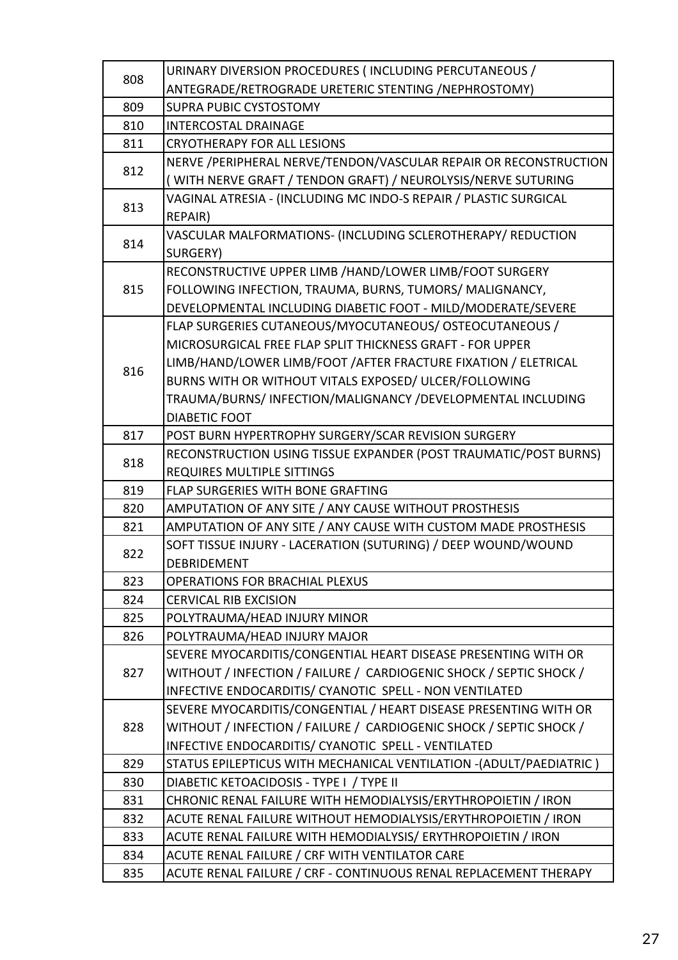| 808 | URINARY DIVERSION PROCEDURES (INCLUDING PERCUTANEOUS /             |  |
|-----|--------------------------------------------------------------------|--|
|     | ANTEGRADE/RETROGRADE URETERIC STENTING /NEPHROSTOMY)               |  |
| 809 | <b>SUPRA PUBIC CYSTOSTOMY</b>                                      |  |
| 810 | <b>INTERCOSTAL DRAINAGE</b>                                        |  |
| 811 | <b>CRYOTHERAPY FOR ALL LESIONS</b>                                 |  |
|     | NERVE /PERIPHERAL NERVE/TENDON/VASCULAR REPAIR OR RECONSTRUCTION   |  |
| 812 | (WITH NERVE GRAFT / TENDON GRAFT) / NEUROLYSIS/NERVE SUTURING      |  |
| 813 | VAGINAL ATRESIA - (INCLUDING MC INDO-S REPAIR / PLASTIC SURGICAL   |  |
|     | REPAIR)                                                            |  |
| 814 | VASCULAR MALFORMATIONS- (INCLUDING SCLEROTHERAPY/ REDUCTION        |  |
|     | SURGERY)                                                           |  |
|     | RECONSTRUCTIVE UPPER LIMB /HAND/LOWER LIMB/FOOT SURGERY            |  |
| 815 | FOLLOWING INFECTION, TRAUMA, BURNS, TUMORS/ MALIGNANCY,            |  |
|     | DEVELOPMENTAL INCLUDING DIABETIC FOOT - MILD/MODERATE/SEVERE       |  |
|     | FLAP SURGERIES CUTANEOUS/MYOCUTANEOUS/ OSTEOCUTANEOUS /            |  |
|     | MICROSURGICAL FREE FLAP SPLIT THICKNESS GRAFT - FOR UPPER          |  |
| 816 | LIMB/HAND/LOWER LIMB/FOOT / AFTER FRACTURE FIXATION / ELETRICAL    |  |
|     | BURNS WITH OR WITHOUT VITALS EXPOSED/ ULCER/FOLLOWING              |  |
|     | TRAUMA/BURNS/INFECTION/MALIGNANCY/DEVELOPMENTAL INCLUDING          |  |
|     | <b>DIABETIC FOOT</b>                                               |  |
| 817 | POST BURN HYPERTROPHY SURGERY/SCAR REVISION SURGERY                |  |
| 818 | RECONSTRUCTION USING TISSUE EXPANDER (POST TRAUMATIC/POST BURNS)   |  |
|     | <b>REQUIRES MULTIPLE SITTINGS</b>                                  |  |
| 819 | <b>FLAP SURGERIES WITH BONE GRAFTING</b>                           |  |
| 820 | AMPUTATION OF ANY SITE / ANY CAUSE WITHOUT PROSTHESIS              |  |
| 821 | AMPUTATION OF ANY SITE / ANY CAUSE WITH CUSTOM MADE PROSTHESIS     |  |
| 822 | SOFT TISSUE INJURY - LACERATION (SUTURING) / DEEP WOUND/WOUND      |  |
|     | <b>DEBRIDEMENT</b>                                                 |  |
| 823 | <b>OPERATIONS FOR BRACHIAL PLEXUS</b>                              |  |
| 824 | <b>CERVICAL RIB EXCISION</b>                                       |  |
| 825 | POLYTRAUMA/HEAD INJURY MINOR                                       |  |
| 826 | POLYTRAUMA/HEAD INJURY MAJOR                                       |  |
|     | SEVERE MYOCARDITIS/CONGENTIAL HEART DISEASE PRESENTING WITH OR     |  |
| 827 | WITHOUT / INFECTION / FAILURE / CARDIOGENIC SHOCK / SEPTIC SHOCK / |  |
|     | INFECTIVE ENDOCARDITIS/ CYANOTIC SPELL - NON VENTILATED            |  |
|     | SEVERE MYOCARDITIS/CONGENTIAL / HEART DISEASE PRESENTING WITH OR   |  |
| 828 | WITHOUT / INFECTION / FAILURE / CARDIOGENIC SHOCK / SEPTIC SHOCK / |  |
|     | INFECTIVE ENDOCARDITIS/ CYANOTIC SPELL - VENTILATED                |  |
| 829 | STATUS EPILEPTICUS WITH MECHANICAL VENTILATION -(ADULT/PAEDIATRIC) |  |
| 830 | DIABETIC KETOACIDOSIS - TYPE I / TYPE II                           |  |
| 831 | CHRONIC RENAL FAILURE WITH HEMODIALYSIS/ERYTHROPOIETIN / IRON      |  |
| 832 | ACUTE RENAL FAILURE WITHOUT HEMODIALYSIS/ERYTHROPOIETIN / IRON     |  |
| 833 | ACUTE RENAL FAILURE WITH HEMODIALYSIS/ ERYTHROPOIETIN / IRON       |  |
| 834 | ACUTE RENAL FAILURE / CRF WITH VENTILATOR CARE                     |  |
| 835 | ACUTE RENAL FAILURE / CRF - CONTINUOUS RENAL REPLACEMENT THERAPY   |  |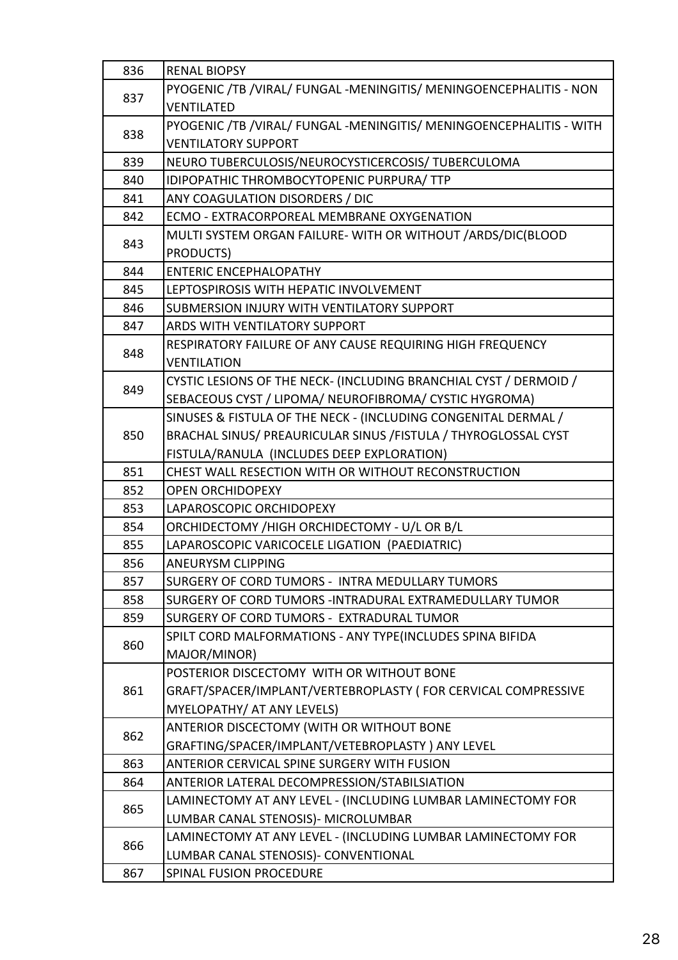| 836 | <b>RENAL BIOPSY</b>                                                 |  |
|-----|---------------------------------------------------------------------|--|
| 837 | PYOGENIC /TB /VIRAL/ FUNGAL -MENINGITIS/ MENINGOENCEPHALITIS - NON  |  |
|     | <b>VENTILATED</b>                                                   |  |
| 838 | PYOGENIC /TB /VIRAL/ FUNGAL -MENINGITIS/ MENINGOENCEPHALITIS - WITH |  |
|     | <b>VENTILATORY SUPPORT</b>                                          |  |
| 839 | NEURO TUBERCULOSIS/NEUROCYSTICERCOSIS/ TUBERCULOMA                  |  |
| 840 | IDIPOPATHIC THROMBOCYTOPENIC PURPURA/ TTP                           |  |
| 841 | ANY COAGULATION DISORDERS / DIC                                     |  |
| 842 | ECMO - EXTRACORPOREAL MEMBRANE OXYGENATION                          |  |
|     | MULTI SYSTEM ORGAN FAILURE-WITH OR WITHOUT / ARDS/DIC(BLOOD         |  |
| 843 | PRODUCTS)                                                           |  |
| 844 | <b>ENTERIC ENCEPHALOPATHY</b>                                       |  |
| 845 | LEPTOSPIROSIS WITH HEPATIC INVOLVEMENT                              |  |
| 846 | SUBMERSION INJURY WITH VENTILATORY SUPPORT                          |  |
| 847 | <b>ARDS WITH VENTILATORY SUPPORT</b>                                |  |
|     | RESPIRATORY FAILURE OF ANY CAUSE REQUIRING HIGH FREQUENCY           |  |
| 848 | <b>VENTILATION</b>                                                  |  |
|     | CYSTIC LESIONS OF THE NECK- (INCLUDING BRANCHIAL CYST / DERMOID /   |  |
| 849 | SEBACEOUS CYST / LIPOMA/ NEUROFIBROMA/ CYSTIC HYGROMA)              |  |
|     | SINUSES & FISTULA OF THE NECK - (INCLUDING CONGENITAL DERMAL /      |  |
| 850 | BRACHAL SINUS/ PREAURICULAR SINUS / FISTULA / THYROGLOSSAL CYST     |  |
|     | FISTULA/RANULA (INCLUDES DEEP EXPLORATION)                          |  |
| 851 | CHEST WALL RESECTION WITH OR WITHOUT RECONSTRUCTION                 |  |
| 852 | <b>OPEN ORCHIDOPEXY</b>                                             |  |
| 853 | LAPAROSCOPIC ORCHIDOPEXY                                            |  |
| 854 | ORCHIDECTOMY / HIGH ORCHIDECTOMY - U/L OR B/L                       |  |
| 855 | LAPAROSCOPIC VARICOCELE LIGATION (PAEDIATRIC)                       |  |
| 856 | <b>ANEURYSM CLIPPING</b>                                            |  |
| 857 | SURGERY OF CORD TUMORS - INTRA MEDULLARY TUMORS                     |  |
| 858 | SURGERY OF CORD TUMORS - INTRADURAL EXTRAMEDULLARY TUMOR            |  |
| 859 | SURGERY OF CORD TUMORS - EXTRADURAL TUMOR                           |  |
| 860 | SPILT CORD MALFORMATIONS - ANY TYPE(INCLUDES SPINA BIFIDA           |  |
|     | MAJOR/MINOR)                                                        |  |
|     | POSTERIOR DISCECTOMY WITH OR WITHOUT BONE                           |  |
| 861 | GRAFT/SPACER/IMPLANT/VERTEBROPLASTY ( FOR CERVICAL COMPRESSIVE      |  |
|     | MYELOPATHY/ AT ANY LEVELS)                                          |  |
| 862 | ANTERIOR DISCECTOMY (WITH OR WITHOUT BONE                           |  |
|     | GRAFTING/SPACER/IMPLANT/VETEBROPLASTY) ANY LEVEL                    |  |
| 863 | ANTERIOR CERVICAL SPINE SURGERY WITH FUSION                         |  |
| 864 | ANTERIOR LATERAL DECOMPRESSION/STABILSIATION                        |  |
| 865 | LAMINECTOMY AT ANY LEVEL - (INCLUDING LUMBAR LAMINECTOMY FOR        |  |
|     | LUMBAR CANAL STENOSIS) - MICROLUMBAR                                |  |
| 866 | LAMINECTOMY AT ANY LEVEL - (INCLUDING LUMBAR LAMINECTOMY FOR        |  |
|     | LUMBAR CANAL STENOSIS)- CONVENTIONAL                                |  |
| 867 | SPINAL FUSION PROCEDURE                                             |  |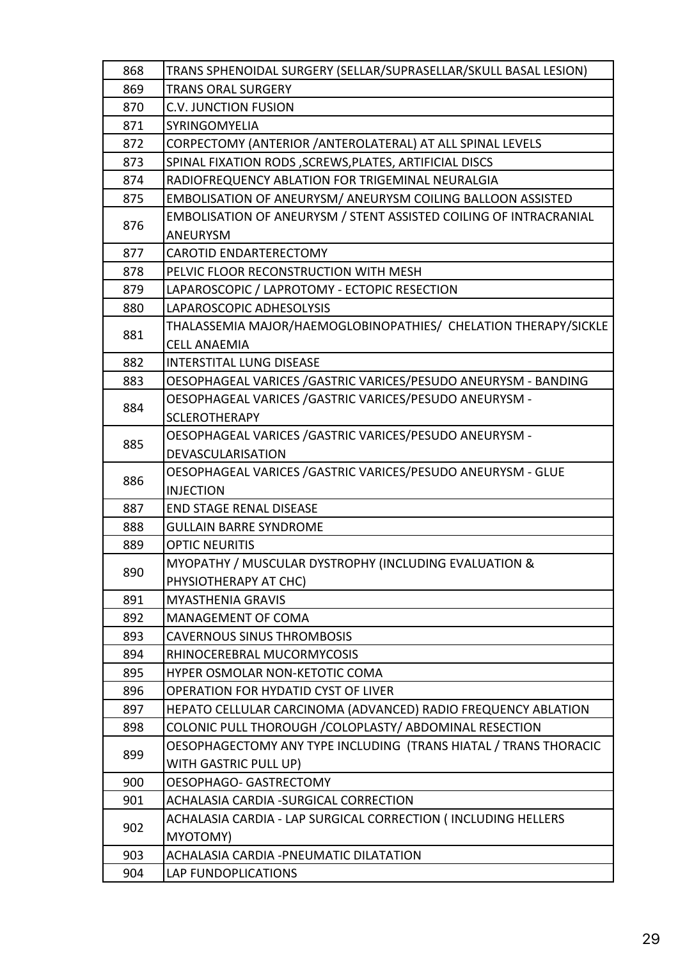| 868 | TRANS SPHENOIDAL SURGERY (SELLAR/SUPRASELLAR/SKULL BASAL LESION)         |  |
|-----|--------------------------------------------------------------------------|--|
| 869 | <b>TRANS ORAL SURGERY</b>                                                |  |
| 870 | <b>C.V. JUNCTION FUSION</b>                                              |  |
| 871 | SYRINGOMYELIA                                                            |  |
| 872 | CORPECTOMY (ANTERIOR / ANTEROLATERAL) AT ALL SPINAL LEVELS               |  |
| 873 | SPINAL FIXATION RODS , SCREWS, PLATES, ARTIFICIAL DISCS                  |  |
| 874 | RADIOFREQUENCY ABLATION FOR TRIGEMINAL NEURALGIA                         |  |
| 875 | EMBOLISATION OF ANEURYSM/ ANEURYSM COILING BALLOON ASSISTED              |  |
|     | <b>EMBOLISATION OF ANEURYSM / STENT ASSISTED COILING OF INTRACRANIAL</b> |  |
| 876 | <b>ANEURYSM</b>                                                          |  |
| 877 | <b>CAROTID ENDARTERECTOMY</b>                                            |  |
| 878 | PELVIC FLOOR RECONSTRUCTION WITH MESH                                    |  |
| 879 | LAPAROSCOPIC / LAPROTOMY - ECTOPIC RESECTION                             |  |
| 880 | LAPAROSCOPIC ADHESOLYSIS                                                 |  |
| 881 | THALASSEMIA MAJOR/HAEMOGLOBINOPATHIES/ CHELATION THERAPY/SICKLE          |  |
|     | <b>CELL ANAEMIA</b>                                                      |  |
| 882 | <b>INTERSTITAL LUNG DISEASE</b>                                          |  |
| 883 | OESOPHAGEAL VARICES / GASTRIC VARICES/PESUDO ANEURYSM - BANDING          |  |
| 884 | OESOPHAGEAL VARICES / GASTRIC VARICES/PESUDO ANEURYSM -                  |  |
|     | <b>SCLEROTHERAPY</b>                                                     |  |
| 885 | OESOPHAGEAL VARICES / GASTRIC VARICES/PESUDO ANEURYSM -                  |  |
|     | DEVASCULARISATION                                                        |  |
| 886 | OESOPHAGEAL VARICES / GASTRIC VARICES/PESUDO ANEURYSM - GLUE             |  |
|     | <b>INJECTION</b>                                                         |  |
| 887 | <b>END STAGE RENAL DISEASE</b>                                           |  |
| 888 | <b>GULLAIN BARRE SYNDROME</b>                                            |  |
| 889 | <b>OPTIC NEURITIS</b>                                                    |  |
| 890 | MYOPATHY / MUSCULAR DYSTROPHY (INCLUDING EVALUATION &                    |  |
|     | PHYSIOTHERAPY AT CHC)                                                    |  |
| 891 | <b>MYASTHENIA GRAVIS</b>                                                 |  |
| 892 | <b>MANAGEMENT OF COMA</b>                                                |  |
| 893 | <b>CAVERNOUS SINUS THROMBOSIS</b>                                        |  |
| 894 | RHINOCEREBRAL MUCORMYCOSIS                                               |  |
| 895 | HYPER OSMOLAR NON-KETOTIC COMA                                           |  |
| 896 | <b>OPERATION FOR HYDATID CYST OF LIVER</b>                               |  |
| 897 | HEPATO CELLULAR CARCINOMA (ADVANCED) RADIO FREQUENCY ABLATION            |  |
| 898 | COLONIC PULL THOROUGH / COLOPLASTY/ ABDOMINAL RESECTION                  |  |
| 899 | OESOPHAGECTOMY ANY TYPE INCLUDING (TRANS HIATAL / TRANS THORACIC         |  |
|     | WITH GASTRIC PULL UP)                                                    |  |
| 900 | OESOPHAGO- GASTRECTOMY                                                   |  |
| 901 | ACHALASIA CARDIA - SURGICAL CORRECTION                                   |  |
| 902 | ACHALASIA CARDIA - LAP SURGICAL CORRECTION (INCLUDING HELLERS            |  |
|     | MYOTOMY)                                                                 |  |
| 903 | <b>ACHALASIA CARDIA -PNEUMATIC DILATATION</b>                            |  |
| 904 | LAP FUNDOPLICATIONS                                                      |  |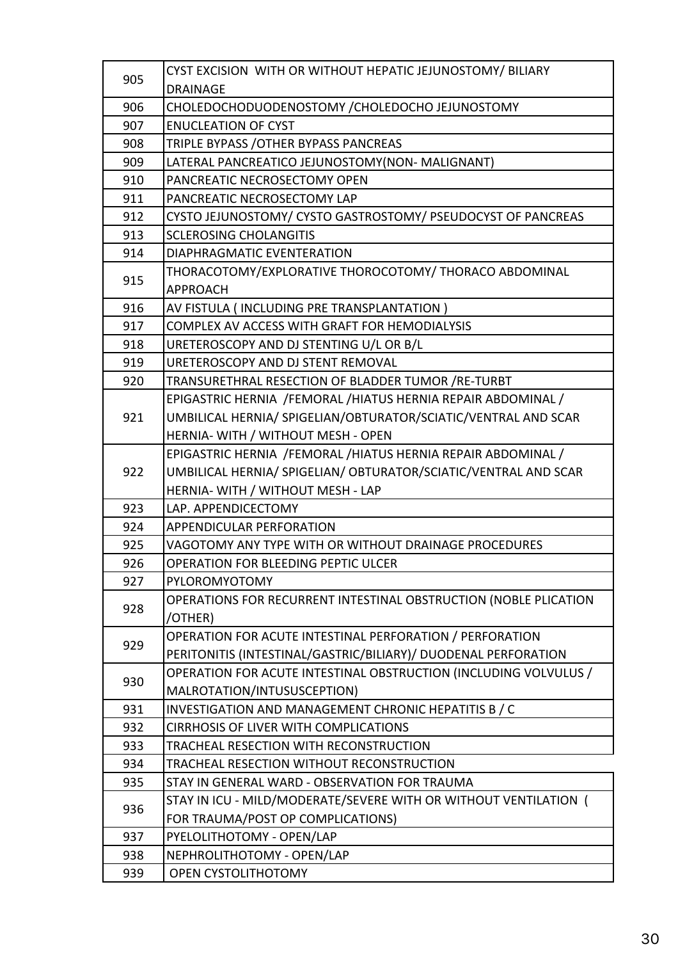| 905 | CYST EXCISION WITH OR WITHOUT HEPATIC JEJUNOSTOMY/BILIARY        |  |
|-----|------------------------------------------------------------------|--|
|     | <b>DRAINAGE</b>                                                  |  |
| 906 | CHOLEDOCHODUODENOSTOMY / CHOLEDOCHO JEJUNOSTOMY                  |  |
| 907 | <b>ENUCLEATION OF CYST</b>                                       |  |
| 908 | TRIPLE BYPASS / OTHER BYPASS PANCREAS                            |  |
| 909 | LATERAL PANCREATICO JEJUNOSTOMY(NON- MALIGNANT)                  |  |
| 910 | PANCREATIC NECROSECTOMY OPEN                                     |  |
| 911 | PANCREATIC NECROSECTOMY LAP                                      |  |
| 912 | CYSTO JEJUNOSTOMY/ CYSTO GASTROSTOMY/ PSEUDOCYST OF PANCREAS     |  |
| 913 | <b>SCLEROSING CHOLANGITIS</b>                                    |  |
| 914 | <b>DIAPHRAGMATIC EVENTERATION</b>                                |  |
|     | THORACOTOMY/EXPLORATIVE THOROCOTOMY/ THORACO ABDOMINAL           |  |
| 915 | <b>APPROACH</b>                                                  |  |
| 916 | AV FISTULA (INCLUDING PRE TRANSPLANTATION)                       |  |
| 917 | COMPLEX AV ACCESS WITH GRAFT FOR HEMODIALYSIS                    |  |
| 918 | URETEROSCOPY AND DJ STENTING U/L OR B/L                          |  |
| 919 | URETEROSCOPY AND DJ STENT REMOVAL                                |  |
| 920 | TRANSURETHRAL RESECTION OF BLADDER TUMOR / RE-TURBT              |  |
|     | EPIGASTRIC HERNIA /FEMORAL /HIATUS HERNIA REPAIR ABDOMINAL /     |  |
| 921 | UMBILICAL HERNIA/ SPIGELIAN/OBTURATOR/SCIATIC/VENTRAL AND SCAR   |  |
|     | HERNIA- WITH / WITHOUT MESH - OPEN                               |  |
|     | EPIGASTRIC HERNIA /FEMORAL /HIATUS HERNIA REPAIR ABDOMINAL /     |  |
| 922 | UMBILICAL HERNIA/ SPIGELIAN/ OBTURATOR/SCIATIC/VENTRAL AND SCAR  |  |
|     | HERNIA- WITH / WITHOUT MESH - LAP                                |  |
| 923 | LAP. APPENDICECTOMY                                              |  |
| 924 | APPENDICULAR PERFORATION                                         |  |
| 925 | VAGOTOMY ANY TYPE WITH OR WITHOUT DRAINAGE PROCEDURES            |  |
| 926 | <b>OPERATION FOR BLEEDING PEPTIC ULCER</b>                       |  |
| 927 | PYLOROMYOTOMY                                                    |  |
| 928 | OPERATIONS FOR RECURRENT INTESTINAL OBSTRUCTION (NOBLE PLICATION |  |
|     | /OTHER)                                                          |  |
| 929 | OPERATION FOR ACUTE INTESTINAL PERFORATION / PERFORATION         |  |
|     | PERITONITIS (INTESTINAL/GASTRIC/BILIARY)/ DUODENAL PERFORATION   |  |
| 930 | OPERATION FOR ACUTE INTESTINAL OBSTRUCTION (INCLUDING VOLVULUS / |  |
|     | MALROTATION/INTUSUSCEPTION)                                      |  |
| 931 | INVESTIGATION AND MANAGEMENT CHRONIC HEPATITIS B / C             |  |
| 932 | <b>CIRRHOSIS OF LIVER WITH COMPLICATIONS</b>                     |  |
| 933 | TRACHEAL RESECTION WITH RECONSTRUCTION                           |  |
| 934 | TRACHEAL RESECTION WITHOUT RECONSTRUCTION                        |  |
| 935 | STAY IN GENERAL WARD - OBSERVATION FOR TRAUMA                    |  |
| 936 | STAY IN ICU - MILD/MODERATE/SEVERE WITH OR WITHOUT VENTILATION ( |  |
|     | FOR TRAUMA/POST OP COMPLICATIONS)                                |  |
| 937 | PYELOLITHOTOMY - OPEN/LAP                                        |  |
| 938 | NEPHROLITHOTOMY - OPEN/LAP                                       |  |
| 939 | OPEN CYSTOLITHOTOMY                                              |  |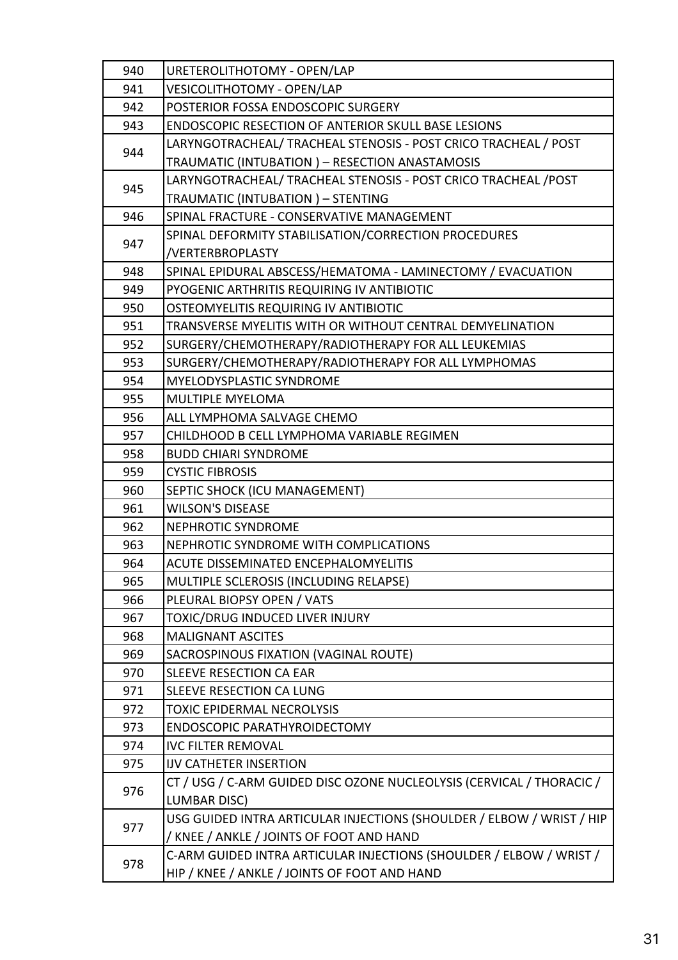| 940 | URETEROLITHOTOMY - OPEN/LAP                                           |
|-----|-----------------------------------------------------------------------|
| 941 | VESICOLITHOTOMY - OPEN/LAP                                            |
| 942 | POSTERIOR FOSSA ENDOSCOPIC SURGERY                                    |
| 943 | ENDOSCOPIC RESECTION OF ANTERIOR SKULL BASE LESIONS                   |
| 944 | LARYNGOTRACHEAL/ TRACHEAL STENOSIS - POST CRICO TRACHEAL / POST       |
|     | TRAUMATIC (INTUBATION) - RESECTION ANASTAMOSIS                        |
|     | LARYNGOTRACHEAL/ TRACHEAL STENOSIS - POST CRICO TRACHEAL / POST       |
| 945 | TRAUMATIC (INTUBATION) - STENTING                                     |
| 946 | SPINAL FRACTURE - CONSERVATIVE MANAGEMENT                             |
|     | SPINAL DEFORMITY STABILISATION/CORRECTION PROCEDURES                  |
| 947 | /VERTERBROPLASTY                                                      |
| 948 | SPINAL EPIDURAL ABSCESS/HEMATOMA - LAMINECTOMY / EVACUATION           |
| 949 | PYOGENIC ARTHRITIS REQUIRING IV ANTIBIOTIC                            |
| 950 | OSTEOMYELITIS REQUIRING IV ANTIBIOTIC                                 |
| 951 | TRANSVERSE MYELITIS WITH OR WITHOUT CENTRAL DEMYELINATION             |
| 952 | SURGERY/CHEMOTHERAPY/RADIOTHERAPY FOR ALL LEUKEMIAS                   |
| 953 | SURGERY/CHEMOTHERAPY/RADIOTHERAPY FOR ALL LYMPHOMAS                   |
| 954 | <b>MYELODYSPLASTIC SYNDROME</b>                                       |
| 955 | MULTIPLE MYELOMA                                                      |
| 956 | ALL LYMPHOMA SALVAGE CHEMO                                            |
| 957 | CHILDHOOD B CELL LYMPHOMA VARIABLE REGIMEN                            |
| 958 | <b>BUDD CHIARI SYNDROME</b>                                           |
| 959 | <b>CYSTIC FIBROSIS</b>                                                |
| 960 | SEPTIC SHOCK (ICU MANAGEMENT)                                         |
| 961 | <b>WILSON'S DISEASE</b>                                               |
| 962 | <b>NEPHROTIC SYNDROME</b>                                             |
| 963 | NEPHROTIC SYNDROME WITH COMPLICATIONS                                 |
| 964 | <b>ACUTE DISSEMINATED ENCEPHALOMYELITIS</b>                           |
| 965 | MULTIPLE SCLEROSIS (INCLUDING RELAPSE)                                |
| 966 | PLEURAL BIOPSY OPEN / VATS                                            |
| 967 | TOXIC/DRUG INDUCED LIVER INJURY                                       |
| 968 | <b>MALIGNANT ASCITES</b>                                              |
| 969 | SACROSPINOUS FIXATION (VAGINAL ROUTE)                                 |
| 970 | <b>SLEEVE RESECTION CA EAR</b>                                        |
| 971 | SLEEVE RESECTION CA LUNG                                              |
| 972 | <b>TOXIC EPIDERMAL NECROLYSIS</b>                                     |
| 973 | ENDOSCOPIC PARATHYROIDECTOMY                                          |
| 974 | <b>IVC FILTER REMOVAL</b>                                             |
| 975 | <b>IJV CATHETER INSERTION</b>                                         |
|     | CT / USG / C-ARM GUIDED DISC OZONE NUCLEOLYSIS (CERVICAL / THORACIC / |
| 976 | <b>LUMBAR DISC)</b>                                                   |
|     | USG GUIDED INTRA ARTICULAR INJECTIONS (SHOULDER / ELBOW / WRIST / HIP |
| 977 | / KNEE / ANKLE / JOINTS OF FOOT AND HAND                              |
|     | C-ARM GUIDED INTRA ARTICULAR INJECTIONS (SHOULDER / ELBOW / WRIST /   |
| 978 | HIP / KNEE / ANKLE / JOINTS OF FOOT AND HAND                          |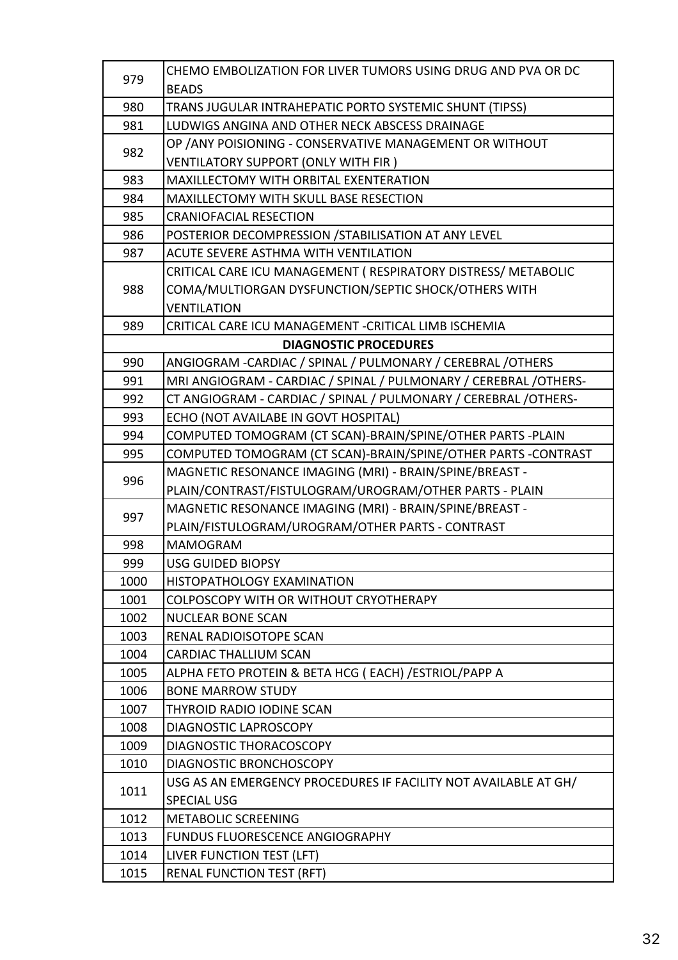| 979                          | CHEMO EMBOLIZATION FOR LIVER TUMORS USING DRUG AND PVA OR DC     |  |
|------------------------------|------------------------------------------------------------------|--|
|                              | <b>BEADS</b>                                                     |  |
| 980                          | TRANS JUGULAR INTRAHEPATIC PORTO SYSTEMIC SHUNT (TIPSS)          |  |
| 981                          | LUDWIGS ANGINA AND OTHER NECK ABSCESS DRAINAGE                   |  |
| 982                          | OP / ANY POISIONING - CONSERVATIVE MANAGEMENT OR WITHOUT         |  |
|                              | VENTILATORY SUPPORT (ONLY WITH FIR)                              |  |
| 983                          | <b>MAXILLECTOMY WITH ORBITAL EXENTERATION</b>                    |  |
| 984                          | <b>MAXILLECTOMY WITH SKULL BASE RESECTION</b>                    |  |
| 985                          | <b>CRANIOFACIAL RESECTION</b>                                    |  |
| 986                          | POSTERIOR DECOMPRESSION / STABILISATION AT ANY LEVEL             |  |
| 987                          | <b>ACUTE SEVERE ASTHMA WITH VENTILATION</b>                      |  |
|                              | CRITICAL CARE ICU MANAGEMENT ( RESPIRATORY DISTRESS/ METABOLIC   |  |
| 988                          | COMA/MULTIORGAN DYSFUNCTION/SEPTIC SHOCK/OTHERS WITH             |  |
|                              | <b>VENTILATION</b>                                               |  |
| 989                          | CRITICAL CARE ICU MANAGEMENT - CRITICAL LIMB ISCHEMIA            |  |
| <b>DIAGNOSTIC PROCEDURES</b> |                                                                  |  |
| 990                          | ANGIOGRAM - CARDIAC / SPINAL / PULMONARY / CEREBRAL / OTHERS     |  |
| 991                          | MRI ANGIOGRAM - CARDIAC / SPINAL / PULMONARY / CEREBRAL /OTHERS- |  |
| 992                          | CT ANGIOGRAM - CARDIAC / SPINAL / PULMONARY / CEREBRAL / OTHERS- |  |
| 993                          | ECHO (NOT AVAILABE IN GOVT HOSPITAL)                             |  |
| 994                          | COMPUTED TOMOGRAM (CT SCAN)-BRAIN/SPINE/OTHER PARTS-PLAIN        |  |
| 995                          | COMPUTED TOMOGRAM (CT SCAN)-BRAIN/SPINE/OTHER PARTS -CONTRAST    |  |
| 996                          | MAGNETIC RESONANCE IMAGING (MRI) - BRAIN/SPINE/BREAST -          |  |
|                              | PLAIN/CONTRAST/FISTULOGRAM/UROGRAM/OTHER PARTS - PLAIN           |  |
| 997                          | MAGNETIC RESONANCE IMAGING (MRI) - BRAIN/SPINE/BREAST -          |  |
|                              | PLAIN/FISTULOGRAM/UROGRAM/OTHER PARTS - CONTRAST                 |  |
| 998                          | <b>MAMOGRAM</b>                                                  |  |
| 999                          | <b>USG GUIDED BIOPSY</b>                                         |  |
| 1000                         | HISTOPATHOLOGY EXAMINATION                                       |  |
| 1001                         | COLPOSCOPY WITH OR WITHOUT CRYOTHERAPY                           |  |
| 1002                         | <b>NUCLEAR BONE SCAN</b>                                         |  |
| 1003                         | RENAL RADIOISOTOPE SCAN                                          |  |
| 1004                         | <b>CARDIAC THALLIUM SCAN</b>                                     |  |
| 1005                         | ALPHA FETO PROTEIN & BETA HCG (EACH) / ESTRIOL/PAPP A            |  |
| 1006                         | <b>BONE MARROW STUDY</b>                                         |  |
| 1007                         | <b>THYROID RADIO IODINE SCAN</b>                                 |  |
| 1008                         | <b>DIAGNOSTIC LAPROSCOPY</b>                                     |  |
| 1009                         | DIAGNOSTIC THORACOSCOPY                                          |  |
| 1010                         | <b>DIAGNOSTIC BRONCHOSCOPY</b>                                   |  |
| 1011                         | USG AS AN EMERGENCY PROCEDURES IF FACILITY NOT AVAILABLE AT GH/  |  |
|                              | <b>SPECIAL USG</b>                                               |  |
| 1012                         | <b>METABOLIC SCREENING</b>                                       |  |
| 1013                         | <b>FUNDUS FLUORESCENCE ANGIOGRAPHY</b>                           |  |
| 1014                         | LIVER FUNCTION TEST (LFT)                                        |  |
| 1015                         | <b>RENAL FUNCTION TEST (RFT)</b>                                 |  |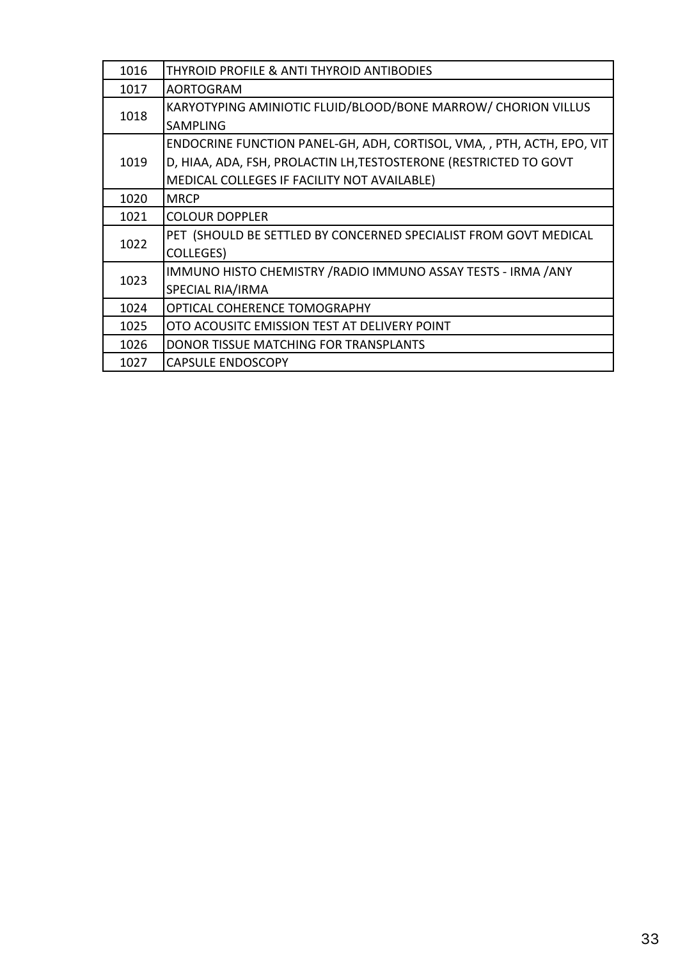| 1016 | <b>THYROID PROFILE &amp; ANTI THYROID ANTIBODIES</b>                   |
|------|------------------------------------------------------------------------|
| 1017 | <b>AORTOGRAM</b>                                                       |
| 1018 | KARYOTYPING AMINIOTIC FLUID/BLOOD/BONE MARROW/ CHORION VILLUS          |
|      | <b>SAMPLING</b>                                                        |
|      | ENDOCRINE FUNCTION PANEL-GH, ADH, CORTISOL, VMA, , PTH, ACTH, EPO, VIT |
| 1019 | D, HIAA, ADA, FSH, PROLACTIN LH, TESTOSTERONE (RESTRICTED TO GOVT      |
|      | MEDICAL COLLEGES IF FACILITY NOT AVAILABLE)                            |
| 1020 | <b>MRCP</b>                                                            |
| 1021 | <b>COLOUR DOPPLER</b>                                                  |
|      | PET (SHOULD BE SETTLED BY CONCERNED SPECIALIST FROM GOVT MEDICAL       |
| 1022 | <b>COLLEGES)</b>                                                       |
| 1023 | IMMUNO HISTO CHEMISTRY / RADIO IMMUNO ASSAY TESTS - IRMA / ANY         |
|      | SPECIAL RIA/IRMA                                                       |
| 1024 | OPTICAL COHERENCE TOMOGRAPHY                                           |
| 1025 | OTO ACOUSITC EMISSION TEST AT DELIVERY POINT                           |
| 1026 | DONOR TISSUE MATCHING FOR TRANSPLANTS                                  |
| 1027 | <b>CAPSULE ENDOSCOPY</b>                                               |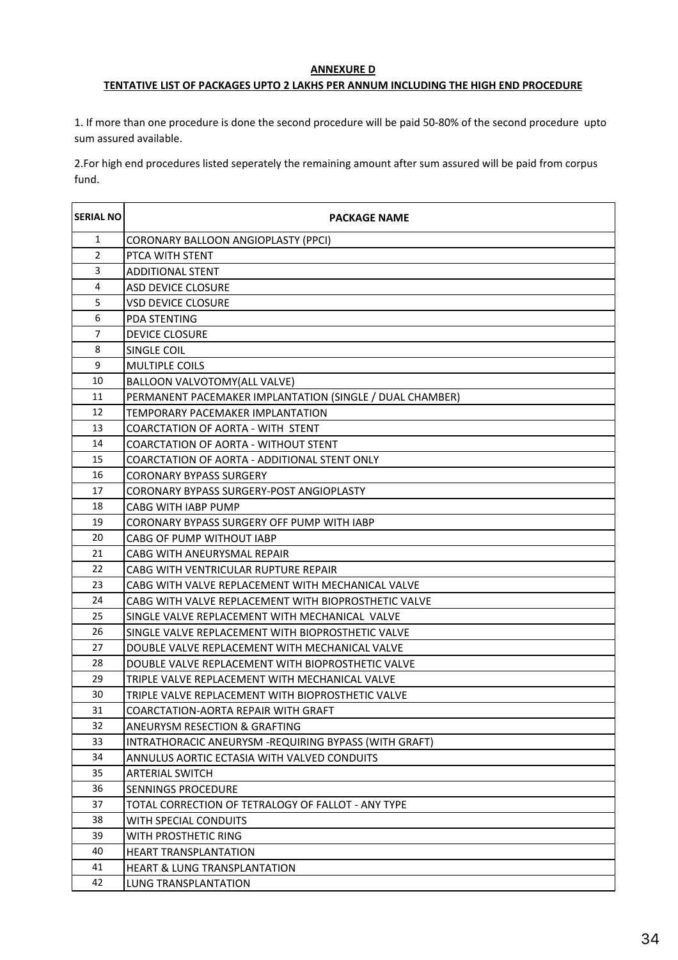#### **ANNEXURE D**

#### **TENTATIVE LIST OF PACKAGES UPTO 2 LAKHS PER ANNUM INCLUDING THE HIGH END PROCEDURE**

1. If more than one procedure is done the second procedure will be paid 50-80% of the second procedure upto sum assured available.

2.For high end procedures listed seperately the remaining amount after sum assured will be paid from corpus fund.

| <b>SERIAL NO</b> | <b>PACKAGE NAME</b>                                      |
|------------------|----------------------------------------------------------|
| 1                | <b>CORONARY BALLOON ANGIOPLASTY (PPCI)</b>               |
| $\overline{2}$   | PTCA WITH STENT                                          |
| 3                | ADDITIONAL STENT                                         |
| 4                | <b>ASD DEVICE CLOSURE</b>                                |
| 5                | <b>VSD DEVICE CLOSURE</b>                                |
| 6                | <b>PDA STENTING</b>                                      |
| 7                | <b>DEVICE CLOSURE</b>                                    |
| 8                | SINGLE COIL                                              |
| 9                | MULTIPLE COILS                                           |
| 10               | BALLOON VALVOTOMY(ALL VALVE)                             |
| 11               | PERMANENT PACEMAKER IMPLANTATION (SINGLE / DUAL CHAMBER) |
| 12               | <b>TEMPORARY PACEMAKER IMPLANTATION</b>                  |
| 13               | COARCTATION OF AORTA - WITH STENT                        |
| 14               | <b>COARCTATION OF AORTA - WITHOUT STENT</b>              |
| 15               | COARCTATION OF AORTA - ADDITIONAL STENT ONLY             |
| 16               | <b>CORONARY BYPASS SURGERY</b>                           |
| 17               | CORONARY BYPASS SURGERY-POST ANGIOPLASTY                 |
| 18               | CABG WITH IABP PUMP                                      |
| 19               | CORONARY BYPASS SURGERY OFF PUMP WITH IABP               |
| 20               | <b>CABG OF PUMP WITHOUT IABP</b>                         |
| 21               | CABG WITH ANEURYSMAL REPAIR                              |
| 22               | CABG WITH VENTRICULAR RUPTURE REPAIR                     |
| 23               | CABG WITH VALVE REPLACEMENT WITH MECHANICAL VALVE        |
| 24               | CABG WITH VALVE REPLACEMENT WITH BIOPROSTHETIC VALVE     |
| 25               | SINGLE VALVE REPLACEMENT WITH MECHANICAL VALVE           |
| 26               | SINGLE VALVE REPLACEMENT WITH BIOPROSTHETIC VALVE        |
| 27               | DOUBLE VALVE REPLACEMENT WITH MECHANICAL VALVE           |
| 28               | DOUBLE VALVE REPLACEMENT WITH BIOPROSTHETIC VALVE        |
| 29               | TRIPLE VALVE REPLACEMENT WITH MECHANICAL VALVE           |
| 30               | TRIPLE VALVE REPLACEMENT WITH BIOPROSTHETIC VALVE        |
| 31               | COARCTATION-AORTA REPAIR WITH GRAFT                      |
| 32               | ANEURYSM RESECTION & GRAFTING                            |
| 33               | INTRATHORACIC ANEURYSM - REQUIRING BYPASS (WITH GRAFT)   |
| 34               | ANNULUS AORTIC ECTASIA WITH VALVED CONDUITS              |
| 35               | <b>ARTERIAL SWITCH</b>                                   |
| 36               | SENNINGS PROCEDURE                                       |
| 37               | TOTAL CORRECTION OF TETRALOGY OF FALLOT - ANY TYPE       |
| 38               | WITH SPECIAL CONDUITS                                    |
| 39               | WITH PROSTHETIC RING                                     |
| 40               | <b>HEART TRANSPLANTATION</b>                             |
| 41               | <b>HEART &amp; LUNG TRANSPLANTATION</b>                  |
| 42               | LUNG TRANSPLANTATION                                     |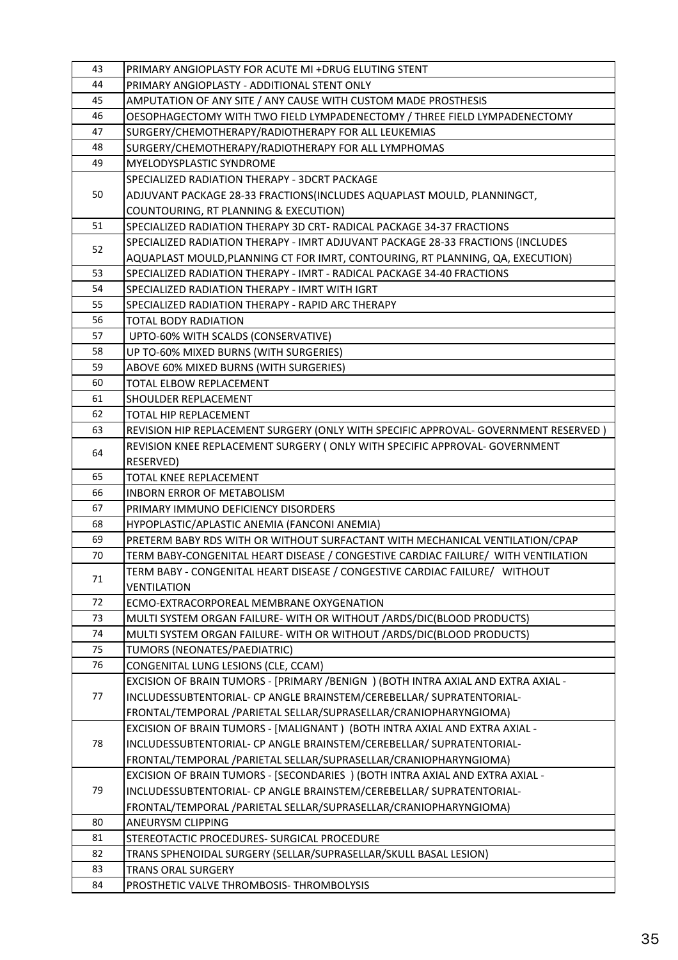| 43 | PRIMARY ANGIOPLASTY FOR ACUTE MI +DRUG ELUTING STENT                                |  |
|----|-------------------------------------------------------------------------------------|--|
| 44 | PRIMARY ANGIOPLASTY - ADDITIONAL STENT ONLY                                         |  |
| 45 | AMPUTATION OF ANY SITE / ANY CAUSE WITH CUSTOM MADE PROSTHESIS                      |  |
| 46 | OESOPHAGECTOMY WITH TWO FIELD LYMPADENECTOMY / THREE FIELD LYMPADENECTOMY           |  |
| 47 | SURGERY/CHEMOTHERAPY/RADIOTHERAPY FOR ALL LEUKEMIAS                                 |  |
| 48 | SURGERY/CHEMOTHERAPY/RADIOTHERAPY FOR ALL LYMPHOMAS                                 |  |
| 49 | <b>MYELODYSPLASTIC SYNDROME</b>                                                     |  |
|    | SPECIALIZED RADIATION THERAPY - 3DCRT PACKAGE                                       |  |
| 50 | ADJUVANT PACKAGE 28-33 FRACTIONS(INCLUDES AQUAPLAST MOULD, PLANNINGCT,              |  |
|    | COUNTOURING, RT PLANNING & EXECUTION)                                               |  |
| 51 | SPECIALIZED RADIATION THERAPY 3D CRT- RADICAL PACKAGE 34-37 FRACTIONS               |  |
|    | SPECIALIZED RADIATION THERAPY - IMRT ADJUVANT PACKAGE 28-33 FRACTIONS (INCLUDES     |  |
| 52 | AQUAPLAST MOULD,PLANNING CT FOR IMRT, CONTOURING, RT PLANNING, QA, EXECUTION)       |  |
| 53 | SPECIALIZED RADIATION THERAPY - IMRT - RADICAL PACKAGE 34-40 FRACTIONS              |  |
| 54 | SPECIALIZED RADIATION THERAPY - IMRT WITH IGRT                                      |  |
| 55 | SPECIALIZED RADIATION THERAPY - RAPID ARC THERAPY                                   |  |
| 56 | TOTAL BODY RADIATION                                                                |  |
| 57 | UPTO-60% WITH SCALDS (CONSERVATIVE)                                                 |  |
| 58 | UP TO-60% MIXED BURNS (WITH SURGERIES)                                              |  |
| 59 | ABOVE 60% MIXED BURNS (WITH SURGERIES)                                              |  |
| 60 | TOTAL ELBOW REPLACEMENT                                                             |  |
| 61 | SHOULDER REPLACEMENT                                                                |  |
| 62 | TOTAL HIP REPLACEMENT                                                               |  |
| 63 | REVISION HIP REPLACEMENT SURGERY (ONLY WITH SPECIFIC APPROVAL- GOVERNMENT RESERVED) |  |
|    | REVISION KNEE REPLACEMENT SURGERY (ONLY WITH SPECIFIC APPROVAL- GOVERNMENT          |  |
| 64 | RESERVED)                                                                           |  |
| 65 | TOTAL KNEE REPLACEMENT                                                              |  |
| 66 | INBORN ERROR OF METABOLISM                                                          |  |
| 67 | PRIMARY IMMUNO DEFICIENCY DISORDERS                                                 |  |
| 68 | HYPOPLASTIC/APLASTIC ANEMIA (FANCONI ANEMIA)                                        |  |
| 69 | PRETERM BABY RDS WITH OR WITHOUT SURFACTANT WITH MECHANICAL VENTILATION/CPAP        |  |
| 70 | TERM BABY-CONGENITAL HEART DISEASE / CONGESTIVE CARDIAC FAILURE/ WITH VENTILATION   |  |
| 71 | TERM BABY - CONGENITAL HEART DISEASE / CONGESTIVE CARDIAC FAILURE/ WITHOUT          |  |
|    | VENTILATION                                                                         |  |
| 72 | ECMO-EXTRACORPOREAL MEMBRANE OXYGENATION                                            |  |
| 73 | MULTI SYSTEM ORGAN FAILURE- WITH OR WITHOUT / ARDS/DIC(BLOOD PRODUCTS)              |  |
| 74 | MULTI SYSTEM ORGAN FAILURE- WITH OR WITHOUT / ARDS/DIC(BLOOD PRODUCTS)              |  |
| 75 | TUMORS (NEONATES/PAEDIATRIC)                                                        |  |
| 76 | CONGENITAL LUNG LESIONS (CLE, CCAM)                                                 |  |
|    | EXCISION OF BRAIN TUMORS - [PRIMARY /BENIGN ) (BOTH INTRA AXIAL AND EXTRA AXIAL -   |  |
| 77 | INCLUDESSUBTENTORIAL- CP ANGLE BRAINSTEM/CEREBELLAR/ SUPRATENTORIAL-                |  |
|    | FRONTAL/TEMPORAL /PARIETAL SELLAR/SUPRASELLAR/CRANIOPHARYNGIOMA)                    |  |
|    | EXCISION OF BRAIN TUMORS - [MALIGNANT ) (BOTH INTRA AXIAL AND EXTRA AXIAL -         |  |
| 78 | INCLUDESSUBTENTORIAL- CP ANGLE BRAINSTEM/CEREBELLAR/ SUPRATENTORIAL-                |  |
|    | FRONTAL/TEMPORAL /PARIETAL SELLAR/SUPRASELLAR/CRANIOPHARYNGIOMA)                    |  |
| 79 | EXCISION OF BRAIN TUMORS - [SECONDARIES ) (BOTH INTRA AXIAL AND EXTRA AXIAL -       |  |
|    | INCLUDESSUBTENTORIAL- CP ANGLE BRAINSTEM/CEREBELLAR/ SUPRATENTORIAL-                |  |
|    | FRONTAL/TEMPORAL /PARIETAL SELLAR/SUPRASELLAR/CRANIOPHARYNGIOMA)                    |  |
| 80 | <b>ANEURYSM CLIPPING</b>                                                            |  |
| 81 | STEREOTACTIC PROCEDURES- SURGICAL PROCEDURE                                         |  |
| 82 | TRANS SPHENOIDAL SURGERY (SELLAR/SUPRASELLAR/SKULL BASAL LESION)                    |  |
| 83 | TRANS ORAL SURGERY                                                                  |  |
| 84 | PROSTHETIC VALVE THROMBOSIS- THROMBOLYSIS                                           |  |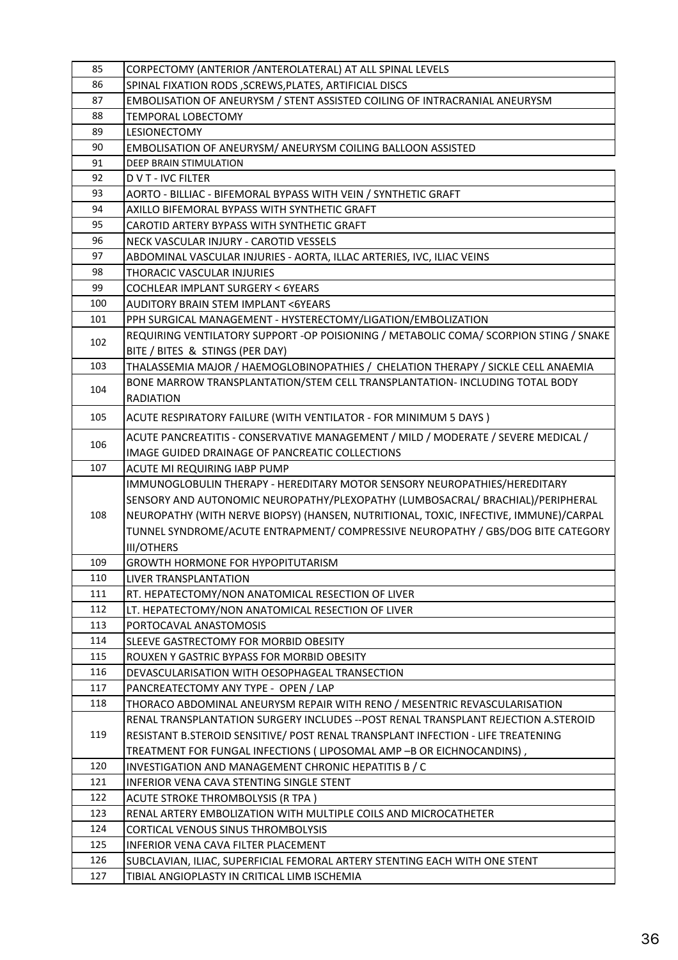| 85         | CORPECTOMY (ANTERIOR / ANTEROLATERAL) AT ALL SPINAL LEVELS                                                                 |
|------------|----------------------------------------------------------------------------------------------------------------------------|
| 86         | SPINAL FIXATION RODS , SCREWS, PLATES, ARTIFICIAL DISCS                                                                    |
| 87         | EMBOLISATION OF ANEURYSM / STENT ASSISTED COILING OF INTRACRANIAL ANEURYSM                                                 |
| 88         | <b>TEMPORAL LOBECTOMY</b>                                                                                                  |
| 89         | LESIONECTOMY                                                                                                               |
| 90         | EMBOLISATION OF ANEURYSM/ ANEURYSM COILING BALLOON ASSISTED                                                                |
| 91         | DEEP BRAIN STIMULATION                                                                                                     |
| 92         | <b>DVT-IVC FILTER</b>                                                                                                      |
| 93         | AORTO - BILLIAC - BIFEMORAL BYPASS WITH VEIN / SYNTHETIC GRAFT                                                             |
| 94         | AXILLO BIFEMORAL BYPASS WITH SYNTHETIC GRAFT                                                                               |
| 95         | CAROTID ARTERY BYPASS WITH SYNTHETIC GRAFT                                                                                 |
| 96         | NECK VASCULAR INJURY - CAROTID VESSELS                                                                                     |
| 97         | ABDOMINAL VASCULAR INJURIES - AORTA, ILLAC ARTERIES, IVC, ILIAC VEINS                                                      |
| 98         | THORACIC VASCULAR INJURIES                                                                                                 |
| 99         | COCHLEAR IMPLANT SURGERY < 6YEARS                                                                                          |
| 100        | <b>AUDITORY BRAIN STEM IMPLANT &lt;6YEARS</b>                                                                              |
| 101        | PPH SURGICAL MANAGEMENT - HYSTERECTOMY/LIGATION/EMBOLIZATION                                                               |
| 102        | REQUIRING VENTILATORY SUPPORT -OP POISIONING / METABOLIC COMA/ SCORPION STING / SNAKE                                      |
|            | BITE / BITES & STINGS (PER DAY)                                                                                            |
| 103        | THALASSEMIA MAJOR / HAEMOGLOBINOPATHIES / CHELATION THERAPY / SICKLE CELL ANAEMIA                                          |
| 104        | BONE MARROW TRANSPLANTATION/STEM CELL TRANSPLANTATION- INCLUDING TOTAL BODY                                                |
|            | <b>RADIATION</b>                                                                                                           |
| 105        | ACUTE RESPIRATORY FAILURE (WITH VENTILATOR - FOR MINIMUM 5 DAYS)                                                           |
| 106        | ACUTE PANCREATITIS - CONSERVATIVE MANAGEMENT / MILD / MODERATE / SEVERE MEDICAL /                                          |
|            | IMAGE GUIDED DRAINAGE OF PANCREATIC COLLECTIONS                                                                            |
| 107        | ACUTE MI REQUIRING IABP PUMP                                                                                               |
|            | IMMUNOGLOBULIN THERAPY - HEREDITARY MOTOR SENSORY NEUROPATHIES/HEREDITARY                                                  |
|            | SENSORY AND AUTONOMIC NEUROPATHY/PLEXOPATHY (LUMBOSACRAL/ BRACHIAL)/PERIPHERAL                                             |
| 108        | NEUROPATHY (WITH NERVE BIOPSY) (HANSEN, NUTRITIONAL, TOXIC, INFECTIVE, IMMUNE)/CARPAL                                      |
|            | TUNNEL SYNDROME/ACUTE ENTRAPMENT/ COMPRESSIVE NEUROPATHY / GBS/DOG BITE CATEGORY                                           |
|            | <b>III/OTHERS</b>                                                                                                          |
| 109        | GROWTH HORMONE FOR HYPOPITUTARISM                                                                                          |
| 110        | LIVER TRANSPLANTATION                                                                                                      |
| 111        | RT. HEPATECTOMY/NON ANATOMICAL RESECTION OF LIVER                                                                          |
| 112        | LT. HEPATECTOMY/NON ANATOMICAL RESECTION OF LIVER                                                                          |
| 113        | PORTOCAVAL ANASTOMOSIS                                                                                                     |
| 114        | SLEEVE GASTRECTOMY FOR MORBID OBESITY                                                                                      |
| 115        | ROUXEN Y GASTRIC BYPASS FOR MORBID OBESITY                                                                                 |
| 116        | DEVASCULARISATION WITH OESOPHAGEAL TRANSECTION                                                                             |
| 117        | PANCREATECTOMY ANY TYPE - OPEN / LAP                                                                                       |
| 118        | THORACO ABDOMINAL ANEURYSM REPAIR WITH RENO / MESENTRIC REVASCULARISATION                                                  |
|            | RENAL TRANSPLANTATION SURGERY INCLUDES -- POST RENAL TRANSPLANT REJECTION A.STEROID                                        |
| 119        | RESISTANT B.STEROID SENSITIVE/ POST RENAL TRANSPLANT INFECTION - LIFE TREATENING                                           |
|            | TREATMENT FOR FUNGAL INFECTIONS (LIPOSOMAL AMP -B OR EICHNOCANDINS),                                                       |
| 120        |                                                                                                                            |
|            | INVESTIGATION AND MANAGEMENT CHRONIC HEPATITIS B / C                                                                       |
| 121        | INFERIOR VENA CAVA STENTING SINGLE STENT                                                                                   |
| 122        | ACUTE STROKE THROMBOLYSIS (R TPA )                                                                                         |
| 123        | RENAL ARTERY EMBOLIZATION WITH MULTIPLE COILS AND MICROCATHETER                                                            |
| 124        | CORTICAL VENOUS SINUS THROMBOLYSIS                                                                                         |
| 125        | INFERIOR VENA CAVA FILTER PLACEMENT                                                                                        |
| 126<br>127 | SUBCLAVIAN, ILIAC, SUPERFICIAL FEMORAL ARTERY STENTING EACH WITH ONE STENT<br>TIBIAL ANGIOPLASTY IN CRITICAL LIMB ISCHEMIA |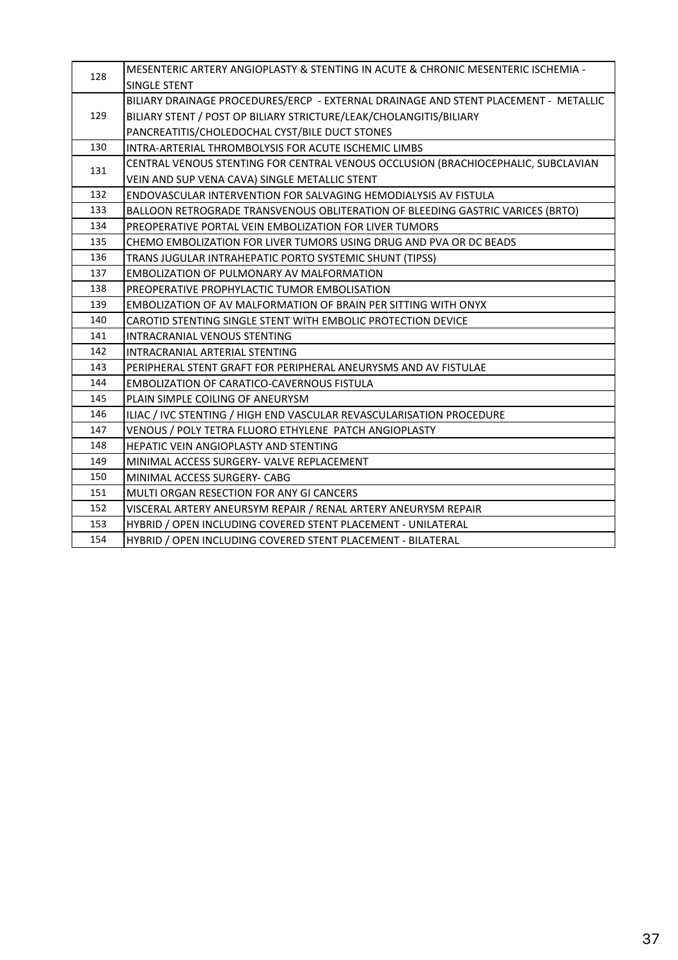| 128 | MESENTERIC ARTERY ANGIOPLASTY & STENTING IN ACUTE & CHRONIC MESENTERIC ISCHEMIA -   |
|-----|-------------------------------------------------------------------------------------|
|     | SINGLE STENT                                                                        |
|     | BILIARY DRAINAGE PROCEDURES/ERCP - EXTERNAL DRAINAGE AND STENT PLACEMENT - METALLIC |
| 129 | BILIARY STENT / POST OP BILIARY STRICTURE/LEAK/CHOLANGITIS/BILIARY                  |
|     | PANCREATITIS/CHOLEDOCHAL CYST/BILE DUCT STONES                                      |
| 130 | INTRA-ARTERIAL THROMBOLYSIS FOR ACUTE ISCHEMIC LIMBS                                |
| 131 | CENTRAL VENOUS STENTING FOR CENTRAL VENOUS OCCLUSION (BRACHIOCEPHALIC, SUBCLAVIAN   |
|     | VEIN AND SUP VENA CAVA) SINGLE METALLIC STENT                                       |
| 132 | ENDOVASCULAR INTERVENTION FOR SALVAGING HEMODIALYSIS AV FISTULA                     |
| 133 | BALLOON RETROGRADE TRANSVENOUS OBLITERATION OF BLEEDING GASTRIC VARICES (BRTO)      |
| 134 | PREOPERATIVE PORTAL VEIN EMBOLIZATION FOR LIVER TUMORS                              |
| 135 | CHEMO EMBOLIZATION FOR LIVER TUMORS USING DRUG AND PVA OR DC BEADS                  |
| 136 | TRANS JUGULAR INTRAHEPATIC PORTO SYSTEMIC SHUNT (TIPSS)                             |
| 137 | <b>EMBOLIZATION OF PULMONARY AV MALFORMATION</b>                                    |
| 138 | PREOPERATIVE PROPHYLACTIC TUMOR EMBOLISATION                                        |
| 139 | EMBOLIZATION OF AV MALFORMATION OF BRAIN PER SITTING WITH ONYX                      |
| 140 | CAROTID STENTING SINGLE STENT WITH EMBOLIC PROTECTION DEVICE                        |
| 141 | INTRACRANIAL VENOUS STENTING                                                        |
| 142 | INTRACRANIAL ARTERIAL STENTING                                                      |
| 143 | PERIPHERAL STENT GRAFT FOR PERIPHERAL ANEURYSMS AND AV FISTULAE                     |
| 144 | <b>EMBOLIZATION OF CARATICO-CAVERNOUS FISTULA</b>                                   |
| 145 | PLAIN SIMPLE COILING OF ANEURYSM                                                    |
| 146 | ILIAC / IVC STENTING / HIGH END VASCULAR REVASCULARISATION PROCEDURE                |
| 147 | VENOUS / POLY TETRA FLUORO ETHYLENE PATCH ANGIOPLASTY                               |
| 148 | HEPATIC VEIN ANGIOPLASTY AND STENTING                                               |
| 149 | MINIMAL ACCESS SURGERY- VALVE REPLACEMENT                                           |
| 150 | MINIMAL ACCESS SURGERY- CABG                                                        |
| 151 | <b>MULTI ORGAN RESECTION FOR ANY GI CANCERS</b>                                     |
| 152 | VISCERAL ARTERY ANEURSYM REPAIR / RENAL ARTERY ANEURYSM REPAIR                      |
| 153 | HYBRID / OPEN INCLUDING COVERED STENT PLACEMENT - UNILATERAL                        |
| 154 | HYBRID / OPEN INCLUDING COVERED STENT PLACEMENT - BILATERAL                         |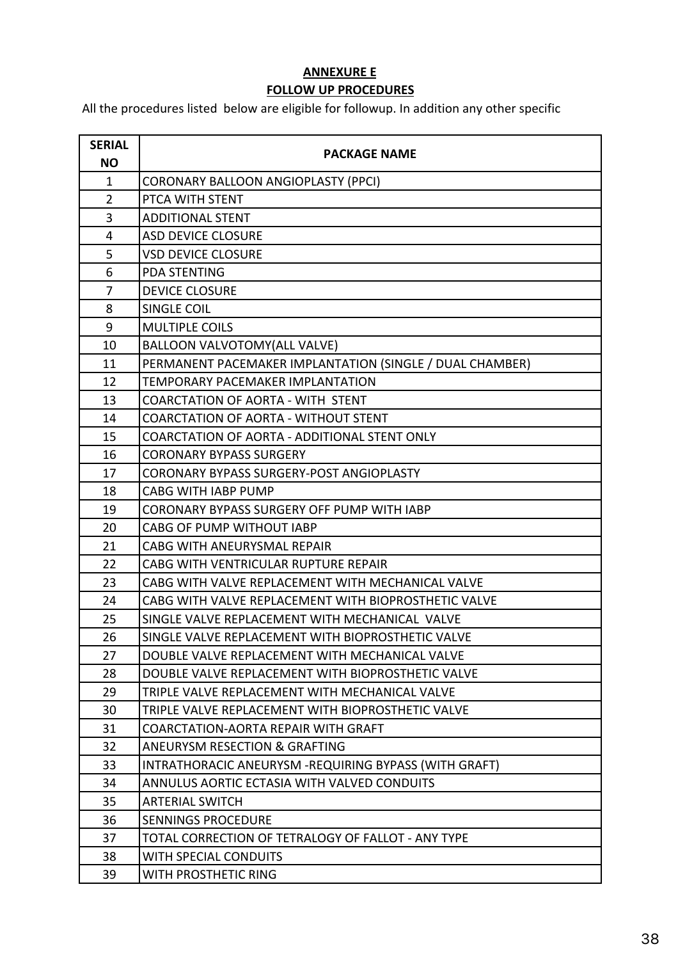## **ANNEXURE E FOLLOW UP PROCEDURES**

All the procedures listed below are eligible for followup. In addition any other specific

| <b>SERIAL</b><br><b>NO</b> | <b>PACKAGE NAME</b>                                      |
|----------------------------|----------------------------------------------------------|
| $\mathbf{1}$               | <b>CORONARY BALLOON ANGIOPLASTY (PPCI)</b>               |
| $\overline{2}$             | PTCA WITH STENT                                          |
| 3                          | <b>ADDITIONAL STENT</b>                                  |
| 4                          | <b>ASD DEVICE CLOSURE</b>                                |
| 5                          | <b>VSD DEVICE CLOSURE</b>                                |
| 6                          | <b>PDA STENTING</b>                                      |
| $\overline{7}$             | <b>DEVICE CLOSURE</b>                                    |
| 8                          | <b>SINGLE COIL</b>                                       |
| 9                          | <b>MULTIPLE COILS</b>                                    |
| 10                         | BALLOON VALVOTOMY(ALL VALVE)                             |
| 11                         | PERMANENT PACEMAKER IMPLANTATION (SINGLE / DUAL CHAMBER) |
| 12                         | <b>TEMPORARY PACEMAKER IMPLANTATION</b>                  |
| 13                         | <b>COARCTATION OF AORTA - WITH STENT</b>                 |
| 14                         | <b>COARCTATION OF AORTA - WITHOUT STENT</b>              |
| 15                         | COARCTATION OF AORTA - ADDITIONAL STENT ONLY             |
| 16                         | <b>CORONARY BYPASS SURGERY</b>                           |
| 17                         | <b>CORONARY BYPASS SURGERY-POST ANGIOPLASTY</b>          |
| 18                         | <b>CABG WITH IABP PUMP</b>                               |
| 19                         | CORONARY BYPASS SURGERY OFF PUMP WITH IABP               |
| 20                         | <b>CABG OF PUMP WITHOUT IABP</b>                         |
| 21                         | CABG WITH ANEURYSMAL REPAIR                              |
| 22                         | CABG WITH VENTRICULAR RUPTURE REPAIR                     |
| 23                         | CABG WITH VALVE REPLACEMENT WITH MECHANICAL VALVE        |
| 24                         | CABG WITH VALVE REPLACEMENT WITH BIOPROSTHETIC VALVE     |
| 25                         | SINGLE VALVE REPLACEMENT WITH MECHANICAL VALVE           |
| 26                         | SINGLE VALVE REPLACEMENT WITH BIOPROSTHETIC VALVE        |
| 27                         | DOUBLE VALVE REPLACEMENT WITH MECHANICAL VALVE           |
| 28                         | DOUBLE VALVE REPLACEMENT WITH BIOPROSTHETIC VALVE        |
| 29                         | TRIPLE VALVE REPLACEMENT WITH MECHANICAL VALVE           |
| 30                         | TRIPLE VALVE REPLACEMENT WITH BIOPROSTHETIC VALVE        |
| 31                         | <b>COARCTATION-AORTA REPAIR WITH GRAFT</b>               |
| 32                         | <b>ANEURYSM RESECTION &amp; GRAFTING</b>                 |
| 33                         | INTRATHORACIC ANEURYSM -REQUIRING BYPASS (WITH GRAFT)    |
| 34                         | ANNULUS AORTIC ECTASIA WITH VALVED CONDUITS              |
| 35                         | <b>ARTERIAL SWITCH</b>                                   |
| 36                         | <b>SENNINGS PROCEDURE</b>                                |
| 37                         | TOTAL CORRECTION OF TETRALOGY OF FALLOT - ANY TYPE       |
| 38                         | <b>WITH SPECIAL CONDUITS</b>                             |
| 39                         | WITH PROSTHETIC RING                                     |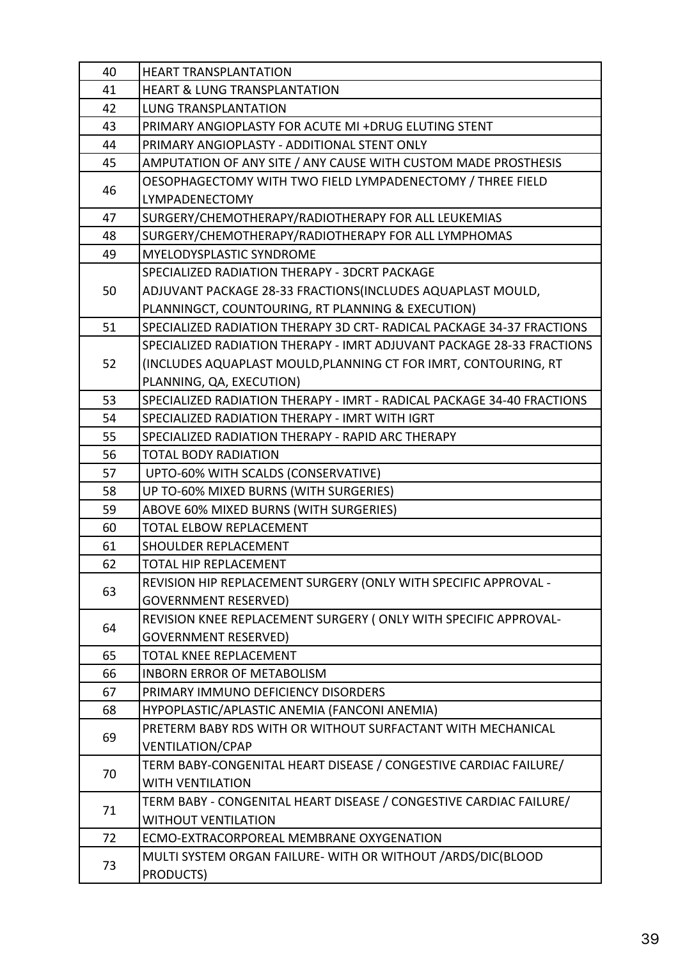| 40 | <b>HEART TRANSPLANTATION</b>                                           |
|----|------------------------------------------------------------------------|
| 41 | <b>HEART &amp; LUNG TRANSPLANTATION</b>                                |
| 42 | <b>LUNG TRANSPLANTATION</b>                                            |
| 43 | PRIMARY ANGIOPLASTY FOR ACUTE MI +DRUG ELUTING STENT                   |
| 44 | PRIMARY ANGIOPLASTY - ADDITIONAL STENT ONLY                            |
| 45 | AMPUTATION OF ANY SITE / ANY CAUSE WITH CUSTOM MADE PROSTHESIS         |
|    | OESOPHAGECTOMY WITH TWO FIELD LYMPADENECTOMY / THREE FIELD             |
| 46 | LYMPADENECTOMY                                                         |
| 47 | SURGERY/CHEMOTHERAPY/RADIOTHERAPY FOR ALL LEUKEMIAS                    |
| 48 | SURGERY/CHEMOTHERAPY/RADIOTHERAPY FOR ALL LYMPHOMAS                    |
| 49 | MYELODYSPLASTIC SYNDROME                                               |
|    | SPECIALIZED RADIATION THERAPY - 3DCRT PACKAGE                          |
| 50 | ADJUVANT PACKAGE 28-33 FRACTIONS(INCLUDES AQUAPLAST MOULD,             |
|    | PLANNINGCT, COUNTOURING, RT PLANNING & EXECUTION)                      |
| 51 | SPECIALIZED RADIATION THERAPY 3D CRT- RADICAL PACKAGE 34-37 FRACTIONS  |
|    | SPECIALIZED RADIATION THERAPY - IMRT ADJUVANT PACKAGE 28-33 FRACTIONS  |
| 52 | (INCLUDES AQUAPLAST MOULD, PLANNING CT FOR IMRT, CONTOURING, RT        |
|    | PLANNING, QA, EXECUTION)                                               |
| 53 | SPECIALIZED RADIATION THERAPY - IMRT - RADICAL PACKAGE 34-40 FRACTIONS |
| 54 | SPECIALIZED RADIATION THERAPY - IMRT WITH IGRT                         |
| 55 | SPECIALIZED RADIATION THERAPY - RAPID ARC THERAPY                      |
| 56 | <b>TOTAL BODY RADIATION</b>                                            |
| 57 | UPTO-60% WITH SCALDS (CONSERVATIVE)                                    |
| 58 | UP TO-60% MIXED BURNS (WITH SURGERIES)                                 |
| 59 | ABOVE 60% MIXED BURNS (WITH SURGERIES)                                 |
| 60 | TOTAL ELBOW REPLACEMENT                                                |
| 61 | <b>SHOULDER REPLACEMENT</b>                                            |
| 62 | TOTAL HIP REPLACEMENT                                                  |
| 63 | REVISION HIP REPLACEMENT SURGERY (ONLY WITH SPECIFIC APPROVAL -        |
|    | <b>GOVERNMENT RESERVED)</b>                                            |
| 64 | REVISION KNEE REPLACEMENT SURGERY (ONLY WITH SPECIFIC APPROVAL-        |
|    | <b>GOVERNMENT RESERVED)</b>                                            |
| 65 | TOTAL KNEE REPLACEMENT                                                 |
| 66 | <b>INBORN ERROR OF METABOLISM</b>                                      |
| 67 | PRIMARY IMMUNO DEFICIENCY DISORDERS                                    |
| 68 | HYPOPLASTIC/APLASTIC ANEMIA (FANCONI ANEMIA)                           |
| 69 | PRETERM BABY RDS WITH OR WITHOUT SURFACTANT WITH MECHANICAL            |
|    | <b>VENTILATION/CPAP</b>                                                |
| 70 | TERM BABY-CONGENITAL HEART DISEASE / CONGESTIVE CARDIAC FAILURE/       |
|    | <b>WITH VENTILATION</b>                                                |
| 71 | TERM BABY - CONGENITAL HEART DISEASE / CONGESTIVE CARDIAC FAILURE/     |
|    | <b>WITHOUT VENTILATION</b>                                             |
| 72 | ECMO-EXTRACORPOREAL MEMBRANE OXYGENATION                               |
| 73 | MULTI SYSTEM ORGAN FAILURE- WITH OR WITHOUT / ARDS/DIC(BLOOD           |
|    | <b>PRODUCTS)</b>                                                       |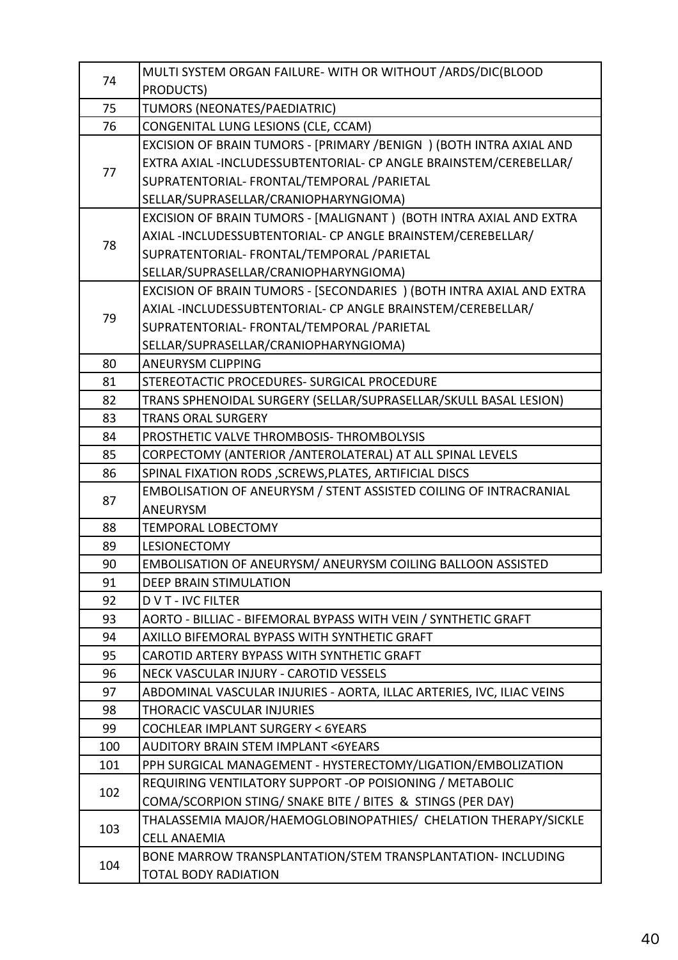|     | MULTI SYSTEM ORGAN FAILURE-WITH OR WITHOUT / ARDS/DIC(BLOOD           |
|-----|-----------------------------------------------------------------------|
| 74  | PRODUCTS)                                                             |
| 75  | TUMORS (NEONATES/PAEDIATRIC)                                          |
| 76  | CONGENITAL LUNG LESIONS (CLE, CCAM)                                   |
|     | EXCISION OF BRAIN TUMORS - [PRIMARY /BENIGN ) (BOTH INTRA AXIAL AND   |
|     | EXTRA AXIAL -INCLUDESSUBTENTORIAL- CP ANGLE BRAINSTEM/CEREBELLAR/     |
| 77  | SUPRATENTORIAL- FRONTAL/TEMPORAL /PARIETAL                            |
|     | SELLAR/SUPRASELLAR/CRANIOPHARYNGIOMA)                                 |
|     | EXCISION OF BRAIN TUMORS - [MALIGNANT ) (BOTH INTRA AXIAL AND EXTRA   |
| 78  | AXIAL-INCLUDESSUBTENTORIAL- CP ANGLE BRAINSTEM/CEREBELLAR/            |
|     | SUPRATENTORIAL- FRONTAL/TEMPORAL /PARIETAL                            |
|     | SELLAR/SUPRASELLAR/CRANIOPHARYNGIOMA)                                 |
|     | EXCISION OF BRAIN TUMORS - [SECONDARIES ) (BOTH INTRA AXIAL AND EXTRA |
|     | AXIAL-INCLUDESSUBTENTORIAL- CP ANGLE BRAINSTEM/CEREBELLAR/            |
| 79  | SUPRATENTORIAL- FRONTAL/TEMPORAL /PARIETAL                            |
|     | SELLAR/SUPRASELLAR/CRANIOPHARYNGIOMA)                                 |
| 80  | <b>ANEURYSM CLIPPING</b>                                              |
| 81  | STEREOTACTIC PROCEDURES- SURGICAL PROCEDURE                           |
| 82  | TRANS SPHENOIDAL SURGERY (SELLAR/SUPRASELLAR/SKULL BASAL LESION)      |
| 83  | <b>TRANS ORAL SURGERY</b>                                             |
| 84  | PROSTHETIC VALVE THROMBOSIS-THROMBOLYSIS                              |
| 85  | CORPECTOMY (ANTERIOR / ANTEROLATERAL) AT ALL SPINAL LEVELS            |
| 86  | SPINAL FIXATION RODS, SCREWS, PLATES, ARTIFICIAL DISCS                |
| 87  | EMBOLISATION OF ANEURYSM / STENT ASSISTED COILING OF INTRACRANIAL     |
|     | ANEURYSM                                                              |
| 88  | <b>TEMPORAL LOBECTOMY</b>                                             |
| 89  | <b>LESIONECTOMY</b>                                                   |
| 90  | EMBOLISATION OF ANEURYSM/ ANEURYSM COILING BALLOON ASSISTED           |
| 91  | <b>DEEP BRAIN STIMULATION</b>                                         |
| 92  | <b>DVT-IVC FILTER</b>                                                 |
| 93  | AORTO - BILLIAC - BIFEMORAL BYPASS WITH VEIN / SYNTHETIC GRAFT        |
| 94  | AXILLO BIFEMORAL BYPASS WITH SYNTHETIC GRAFT                          |
| 95  | CAROTID ARTERY BYPASS WITH SYNTHETIC GRAFT                            |
| 96  | NECK VASCULAR INJURY - CAROTID VESSELS                                |
| 97  | ABDOMINAL VASCULAR INJURIES - AORTA, ILLAC ARTERIES, IVC, ILIAC VEINS |
| 98  | <b>THORACIC VASCULAR INJURIES</b>                                     |
| 99  | <b>COCHLEAR IMPLANT SURGERY &lt; 6YEARS</b>                           |
| 100 | <b>AUDITORY BRAIN STEM IMPLANT &lt;6YEARS</b>                         |
| 101 | PPH SURGICAL MANAGEMENT - HYSTERECTOMY/LIGATION/EMBOLIZATION          |
| 102 | REQUIRING VENTILATORY SUPPORT - OP POISIONING / METABOLIC             |
|     | COMA/SCORPION STING/ SNAKE BITE / BITES & STINGS (PER DAY)            |
| 103 | THALASSEMIA MAJOR/HAEMOGLOBINOPATHIES/ CHELATION THERAPY/SICKLE       |
|     | <b>CELL ANAEMIA</b>                                                   |
| 104 | BONE MARROW TRANSPLANTATION/STEM TRANSPLANTATION- INCLUDING           |
|     | <b>TOTAL BODY RADIATION</b>                                           |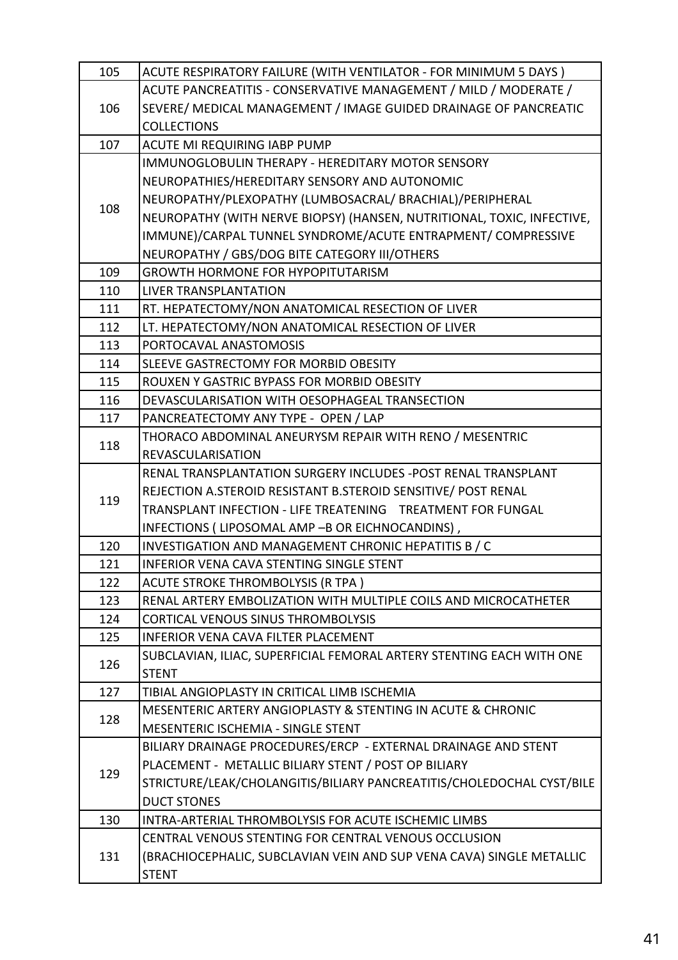| 105 | ACUTE RESPIRATORY FAILURE (WITH VENTILATOR - FOR MINIMUM 5 DAYS)       |
|-----|------------------------------------------------------------------------|
|     | ACUTE PANCREATITIS - CONSERVATIVE MANAGEMENT / MILD / MODERATE /       |
| 106 | SEVERE/ MEDICAL MANAGEMENT / IMAGE GUIDED DRAINAGE OF PANCREATIC       |
|     | <b>COLLECTIONS</b>                                                     |
| 107 | ACUTE MI REQUIRING IABP PUMP                                           |
|     | IMMUNOGLOBULIN THERAPY - HEREDITARY MOTOR SENSORY                      |
|     | NEUROPATHIES/HEREDITARY SENSORY AND AUTONOMIC                          |
| 108 | NEUROPATHY/PLEXOPATHY (LUMBOSACRAL/ BRACHIAL)/PERIPHERAL               |
|     | NEUROPATHY (WITH NERVE BIOPSY) (HANSEN, NUTRITIONAL, TOXIC, INFECTIVE, |
|     | IMMUNE)/CARPAL TUNNEL SYNDROME/ACUTE ENTRAPMENT/ COMPRESSIVE           |
|     | NEUROPATHY / GBS/DOG BITE CATEGORY III/OTHERS                          |
| 109 | <b>GROWTH HORMONE FOR HYPOPITUTARISM</b>                               |
| 110 | <b>LIVER TRANSPLANTATION</b>                                           |
| 111 | RT. HEPATECTOMY/NON ANATOMICAL RESECTION OF LIVER                      |
| 112 | LT. HEPATECTOMY/NON ANATOMICAL RESECTION OF LIVER                      |
| 113 | PORTOCAVAL ANASTOMOSIS                                                 |
| 114 | SLEEVE GASTRECTOMY FOR MORBID OBESITY                                  |
| 115 | ROUXEN Y GASTRIC BYPASS FOR MORBID OBESITY                             |
| 116 | DEVASCULARISATION WITH OESOPHAGEAL TRANSECTION                         |
| 117 | PANCREATECTOMY ANY TYPE - OPEN / LAP                                   |
| 118 | THORACO ABDOMINAL ANEURYSM REPAIR WITH RENO / MESENTRIC                |
|     | <b>REVASCULARISATION</b>                                               |
|     | RENAL TRANSPLANTATION SURGERY INCLUDES - POST RENAL TRANSPLANT         |
| 119 | REJECTION A.STEROID RESISTANT B.STEROID SENSITIVE/ POST RENAL          |
|     | TRANSPLANT INFECTION - LIFE TREATENING  TREATMENT FOR FUNGAL           |
|     | INFECTIONS (LIPOSOMAL AMP -B OR EICHNOCANDINS),                        |
| 120 | INVESTIGATION AND MANAGEMENT CHRONIC HEPATITIS B / C                   |
| 121 | <b>INFERIOR VENA CAVA STENTING SINGLE STENT</b>                        |
| 122 | <b>ACUTE STROKE THROMBOLYSIS (R TPA)</b>                               |
| 123 | RENAL ARTERY EMBOLIZATION WITH MULTIPLE COILS AND MICROCATHETER        |
| 124 | CORTICAL VENOUS SINUS THROMBOLYSIS                                     |
| 125 | <b>INFERIOR VENA CAVA FILTER PLACEMENT</b>                             |
| 126 | SUBCLAVIAN, ILIAC, SUPERFICIAL FEMORAL ARTERY STENTING EACH WITH ONE   |
|     | <b>STENT</b>                                                           |
| 127 | TIBIAL ANGIOPLASTY IN CRITICAL LIMB ISCHEMIA                           |
| 128 | MESENTERIC ARTERY ANGIOPLASTY & STENTING IN ACUTE & CHRONIC            |
|     | MESENTERIC ISCHEMIA - SINGLE STENT                                     |
|     | BILIARY DRAINAGE PROCEDURES/ERCP - EXTERNAL DRAINAGE AND STENT         |
| 129 | PLACEMENT - METALLIC BILIARY STENT / POST OP BILIARY                   |
|     | STRICTURE/LEAK/CHOLANGITIS/BILIARY PANCREATITIS/CHOLEDOCHAL CYST/BILE  |
|     | <b>DUCT STONES</b>                                                     |
| 130 | INTRA-ARTERIAL THROMBOLYSIS FOR ACUTE ISCHEMIC LIMBS                   |
|     | CENTRAL VENOUS STENTING FOR CENTRAL VENOUS OCCLUSION                   |
| 131 | (BRACHIOCEPHALIC, SUBCLAVIAN VEIN AND SUP VENA CAVA) SINGLE METALLIC   |
|     | <b>STENT</b>                                                           |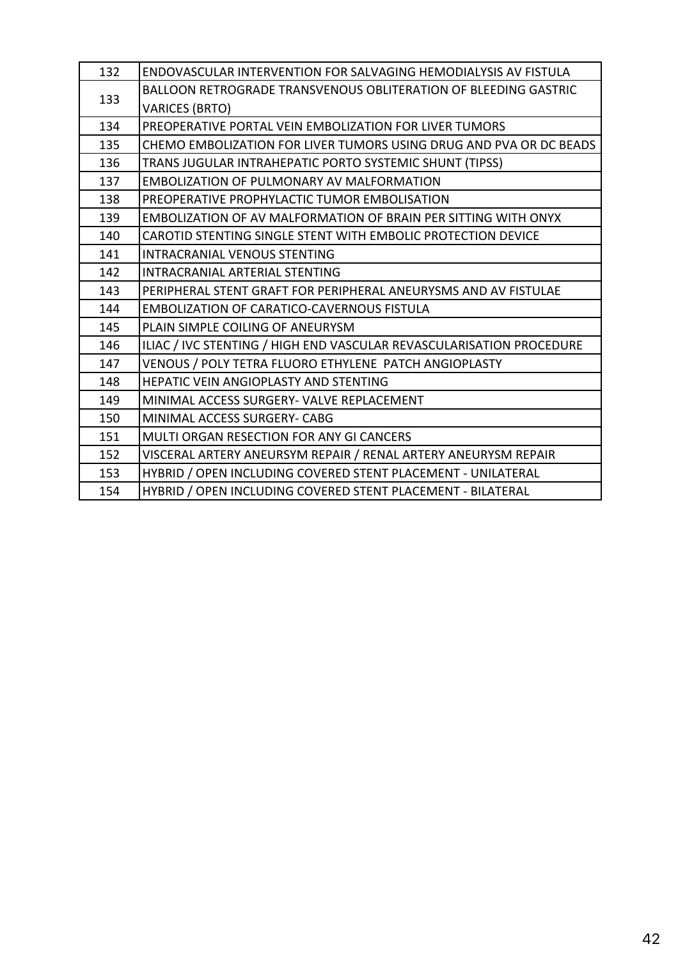| 132 | <b>ENDOVASCULAR INTERVENTION FOR SALVAGING HEMODIALYSIS AV FISTULA</b> |
|-----|------------------------------------------------------------------------|
| 133 | <b>BALLOON RETROGRADE TRANSVENOUS OBLITERATION OF BLEEDING GASTRIC</b> |
|     | <b>VARICES (BRTO)</b>                                                  |
| 134 | PREOPERATIVE PORTAL VEIN EMBOLIZATION FOR LIVER TUMORS                 |
| 135 | CHEMO EMBOLIZATION FOR LIVER TUMORS USING DRUG AND PVA OR DC BEADS     |
| 136 | TRANS JUGULAR INTRAHEPATIC PORTO SYSTEMIC SHUNT (TIPSS)                |
| 137 | <b>EMBOLIZATION OF PULMONARY AV MALFORMATION</b>                       |
| 138 | PREOPERATIVE PROPHYLACTIC TUMOR EMBOLISATION                           |
| 139 | <b>EMBOLIZATION OF AV MALFORMATION OF BRAIN PER SITTING WITH ONYX</b>  |
| 140 | CAROTID STENTING SINGLE STENT WITH EMBOLIC PROTECTION DEVICE           |
| 141 | <b>INTRACRANIAL VENOUS STENTING</b>                                    |
| 142 | <b>INTRACRANIAL ARTERIAL STENTING</b>                                  |
| 143 | PERIPHERAL STENT GRAFT FOR PERIPHERAL ANEURYSMS AND AV FISTULAE        |
| 144 | <b>EMBOLIZATION OF CARATICO-CAVERNOUS FISTULA</b>                      |
| 145 | PLAIN SIMPLE COILING OF ANEURYSM                                       |
| 146 | ILIAC / IVC STENTING / HIGH END VASCULAR REVASCULARISATION PROCEDURE   |
| 147 | VENOUS / POLY TETRA FLUORO ETHYLENE PATCH ANGIOPLASTY                  |
| 148 | <b>HEPATIC VEIN ANGIOPLASTY AND STENTING</b>                           |
| 149 | MINIMAL ACCESS SURGERY- VALVE REPLACEMENT                              |
| 150 | MINIMAL ACCESS SURGERY- CABG                                           |
| 151 | MULTI ORGAN RESECTION FOR ANY GI CANCERS                               |
| 152 | VISCERAL ARTERY ANEURSYM REPAIR / RENAL ARTERY ANEURYSM REPAIR         |
| 153 | HYBRID / OPEN INCLUDING COVERED STENT PLACEMENT - UNILATERAL           |
| 154 | HYBRID / OPEN INCLUDING COVERED STENT PLACEMENT - BILATERAL            |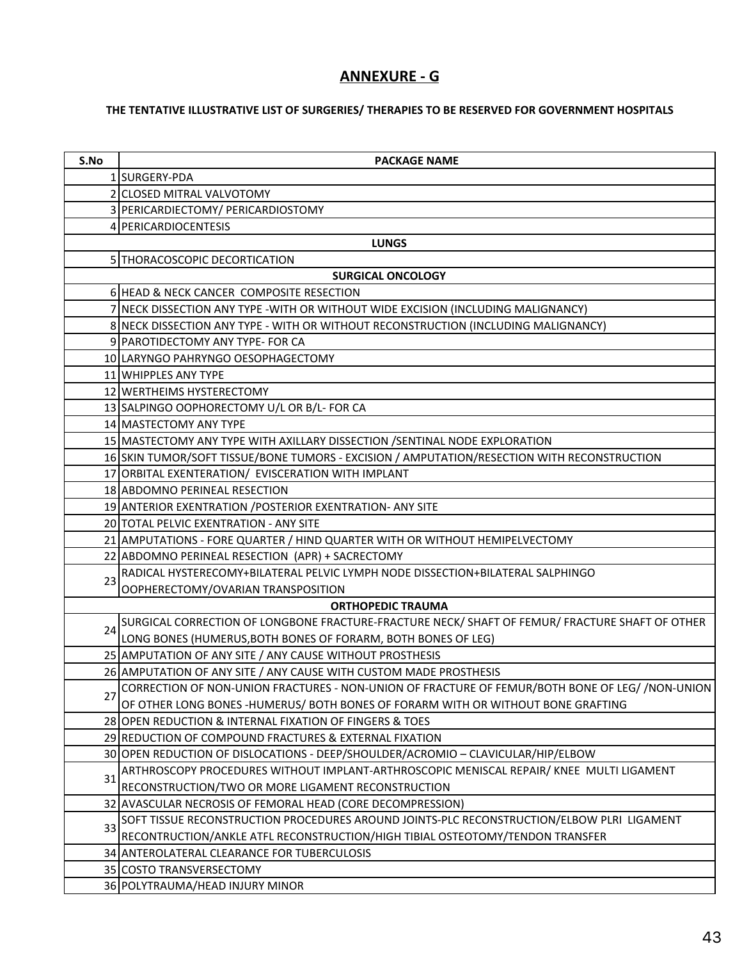### **ANNEXURE - G**

### THE TENTATIVE ILLUSTRATIVE LIST OF SURGERIES/ THERAPIES TO BE RESERVED FOR GOVERNMENT HOSPITALS

| S.No | <b>PACKAGE NAME</b>                                                                             |
|------|-------------------------------------------------------------------------------------------------|
|      | 1 SURGERY-PDA                                                                                   |
|      | 2 CLOSED MITRAL VALVOTOMY                                                                       |
|      | 3 PERICARDIECTOMY/ PERICARDIOSTOMY                                                              |
|      | 4 PERICARDIOCENTESIS                                                                            |
|      | <b>LUNGS</b>                                                                                    |
|      | 5 THORACOSCOPIC DECORTICATION                                                                   |
|      | <b>SURGICAL ONCOLOGY</b>                                                                        |
|      | 6 HEAD & NECK CANCER COMPOSITE RESECTION                                                        |
|      | 7 NECK DISSECTION ANY TYPE - WITH OR WITHOUT WIDE EXCISION (INCLUDING MALIGNANCY)               |
|      | 8 NECK DISSECTION ANY TYPE - WITH OR WITHOUT RECONSTRUCTION (INCLUDING MALIGNANCY)              |
|      | 9 PAROTIDECTOMY ANY TYPE- FOR CA                                                                |
|      | 10 LARYNGO PAHRYNGO OESOPHAGECTOMY                                                              |
|      | 11 WHIPPLES ANY TYPE                                                                            |
|      | 12 WERTHEIMS HYSTERECTOMY                                                                       |
|      | 13 SALPINGO OOPHORECTOMY U/L OR B/L- FOR CA                                                     |
|      | 14 MASTECTOMY ANY TYPE                                                                          |
|      | 15 MASTECTOMY ANY TYPE WITH AXILLARY DISSECTION /SENTINAL NODE EXPLORATION                      |
|      | 16 SKIN TUMOR/SOFT TISSUE/BONE TUMORS - EXCISION / AMPUTATION/RESECTION WITH RECONSTRUCTION     |
|      | 17 ORBITAL EXENTERATION/ EVISCERATION WITH IMPLANT                                              |
|      | 18 ABDOMNO PERINEAL RESECTION                                                                   |
|      | 19 ANTERIOR EXENTRATION / POSTERIOR EXENTRATION- ANY SITE                                       |
|      | 20 TOTAL PELVIC EXENTRATION - ANY SITE                                                          |
|      | 21 AMPUTATIONS - FORE QUARTER / HIND QUARTER WITH OR WITHOUT HEMIPELVECTOMY                     |
|      | 22 ABDOMNO PERINEAL RESECTION (APR) + SACRECTOMY                                                |
| 23   | RADICAL HYSTERECOMY+BILATERAL PELVIC LYMPH NODE DISSECTION+BILATERAL SALPHINGO                  |
|      | OOPHERECTOMY/OVARIAN TRANSPOSITION                                                              |
|      | <b>ORTHOPEDIC TRAUMA</b>                                                                        |
| 24   | SURGICAL CORRECTION OF LONGBONE FRACTURE-FRACTURE NECK/ SHAFT OF FEMUR/ FRACTURE SHAFT OF OTHER |
|      | LONG BONES (HUMERUS, BOTH BONES OF FORARM, BOTH BONES OF LEG)                                   |
|      | 25 AMPUTATION OF ANY SITE / ANY CAUSE WITHOUT PROSTHESIS                                        |
|      | 26 AMPUTATION OF ANY SITE / ANY CAUSE WITH CUSTOM MADE PROSTHESIS                               |
| 27   | CORRECTION OF NON-UNION FRACTURES - NON-UNION OF FRACTURE OF FEMUR/BOTH BONE OF LEG//NON-UNION  |
|      | OF OTHER LONG BONES -HUMERUS/ BOTH BONES OF FORARM WITH OR WITHOUT BONE GRAFTING                |
|      | 28 OPEN REDUCTION & INTERNAL FIXATION OF FINGERS & TOES                                         |
|      | 29 REDUCTION OF COMPOUND FRACTURES & EXTERNAL FIXATION                                          |
|      | 30 OPEN REDUCTION OF DISLOCATIONS - DEEP/SHOULDER/ACROMIO - CLAVICULAR/HIP/ELBOW                |
| 31   | ARTHROSCOPY PROCEDURES WITHOUT IMPLANT-ARTHROSCOPIC MENISCAL REPAIR/KNEE MULTI LIGAMENT         |
|      | RECONSTRUCTION/TWO OR MORE LIGAMENT RECONSTRUCTION                                              |
|      | 32 AVASCULAR NECROSIS OF FEMORAL HEAD (CORE DECOMPRESSION)                                      |
| 33   | SOFT TISSUE RECONSTRUCTION PROCEDURES AROUND JOINTS-PLC RECONSTRUCTION/ELBOW PLRI LIGAMENT      |
|      | RECONTRUCTION/ANKLE ATFL RECONSTRUCTION/HIGH TIBIAL OSTEOTOMY/TENDON TRANSFER                   |
|      | 34 ANTEROLATERAL CLEARANCE FOR TUBERCULOSIS                                                     |
|      | 35 COSTO TRANSVERSECTOMY                                                                        |
|      | 36 POLYTRAUMA/HEAD INJURY MINOR                                                                 |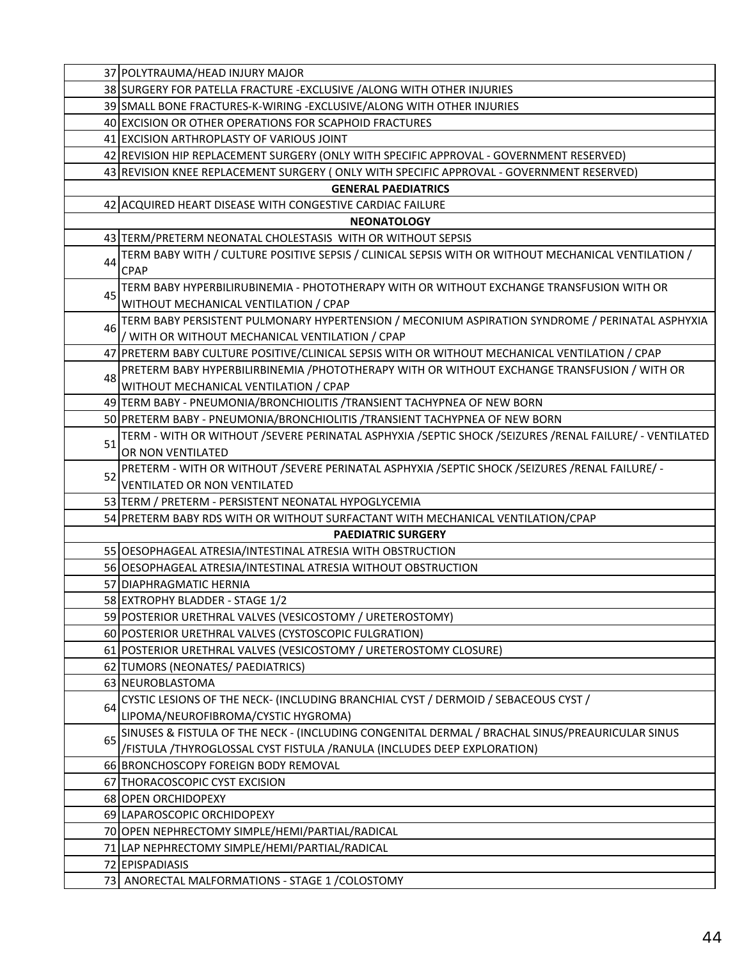|    | 37 POLYTRAUMA/HEAD INJURY MAJOR                                                                                    |
|----|--------------------------------------------------------------------------------------------------------------------|
|    | 38 SURGERY FOR PATELLA FRACTURE - EXCLUSIVE / ALONG WITH OTHER INJURIES                                            |
|    | 39 SMALL BONE FRACTURES-K-WIRING - EXCLUSIVE/ALONG WITH OTHER INJURIES                                             |
|    | 40 EXCISION OR OTHER OPERATIONS FOR SCAPHOID FRACTURES                                                             |
|    | 41 EXCISION ARTHROPLASTY OF VARIOUS JOINT                                                                          |
|    | 42 REVISION HIP REPLACEMENT SURGERY (ONLY WITH SPECIFIC APPROVAL - GOVERNMENT RESERVED)                            |
|    | 43 REVISION KNEE REPLACEMENT SURGERY (ONLY WITH SPECIFIC APPROVAL - GOVERNMENT RESERVED)                           |
|    | <b>GENERAL PAEDIATRICS</b>                                                                                         |
|    | 42 ACQUIRED HEART DISEASE WITH CONGESTIVE CARDIAC FAILURE                                                          |
|    | <b>NEONATOLOGY</b>                                                                                                 |
|    | 43 TERM/PRETERM NEONATAL CHOLESTASIS WITH OR WITHOUT SEPSIS                                                        |
| 44 | TERM BABY WITH / CULTURE POSITIVE SEPSIS / CLINICAL SEPSIS WITH OR WITHOUT MECHANICAL VENTILATION /<br><b>CPAP</b> |
|    | TERM BABY HYPERBILIRUBINEMIA - PHOTOTHERAPY WITH OR WITHOUT EXCHANGE TRANSFUSION WITH OR                           |
| 45 | WITHOUT MECHANICAL VENTILATION / CPAP                                                                              |
|    | TERM BABY PERSISTENT PULMONARY HYPERTENSION / MECONIUM ASPIRATION SYNDROME / PERINATAL ASPHYXIA                    |
| 46 | / WITH OR WITHOUT MECHANICAL VENTILATION / CPAP                                                                    |
|    | 47 PRETERM BABY CULTURE POSITIVE/CLINICAL SEPSIS WITH OR WITHOUT MECHANICAL VENTILATION / CPAP                     |
| 48 | PRETERM BABY HYPERBILIRBINEMIA / PHOTOTHERAPY WITH OR WITHOUT EXCHANGE TRANSFUSION / WITH OR                       |
|    | WITHOUT MECHANICAL VENTILATION / CPAP                                                                              |
|    | 49 TERM BABY - PNEUMONIA/BRONCHIOLITIS / TRANSIENT TACHYPNEA OF NEW BORN                                           |
|    | 50 PRETERM BABY - PNEUMONIA/BRONCHIOLITIS / TRANSIENT TACHYPNEA OF NEW BORN                                        |
| 51 | TERM - WITH OR WITHOUT /SEVERE PERINATAL ASPHYXIA /SEPTIC SHOCK /SEIZURES /RENAL FAILURE/ - VENTILATED             |
|    | OR NON VENTILATED                                                                                                  |
| 52 | PRETERM - WITH OR WITHOUT / SEVERE PERINATAL ASPHYXIA / SEPTIC SHOCK / SEIZURES / RENAL FAILURE/ -                 |
|    | <b>VENTILATED OR NON VENTILATED</b>                                                                                |
|    | 53 TERM / PRETERM - PERSISTENT NEONATAL HYPOGLYCEMIA                                                               |
|    | 54 PRETERM BABY RDS WITH OR WITHOUT SURFACTANT WITH MECHANICAL VENTILATION/CPAP                                    |
|    | <b>PAEDIATRIC SURGERY</b>                                                                                          |
|    | 55 OESOPHAGEAL ATRESIA/INTESTINAL ATRESIA WITH OBSTRUCTION                                                         |
|    | 56 OESOPHAGEAL ATRESIA/INTESTINAL ATRESIA WITHOUT OBSTRUCTION                                                      |
|    | 57 DIAPHRAGMATIC HERNIA                                                                                            |
|    | 58 EXTROPHY BLADDER - STAGE 1/2                                                                                    |
|    | 59 POSTERIOR URETHRAL VALVES (VESICOSTOMY / URETEROSTOMY)                                                          |
|    | 60 POSTERIOR URETHRAL VALVES (CYSTOSCOPIC FULGRATION)                                                              |
|    | 61 POSTERIOR URETHRAL VALVES (VESICOSTOMY / URETEROSTOMY CLOSURE)                                                  |
|    | 62 TUMORS (NEONATES/ PAEDIATRICS)                                                                                  |
|    | 63 NEUROBLASTOMA                                                                                                   |
| 64 | CYSTIC LESIONS OF THE NECK- (INCLUDING BRANCHIAL CYST / DERMOID / SEBACEOUS CYST /                                 |
|    | LIPOMA/NEUROFIBROMA/CYSTIC HYGROMA)                                                                                |
| 65 | SINUSES & FISTULA OF THE NECK - (INCLUDING CONGENITAL DERMAL / BRACHAL SINUS/PREAURICULAR SINUS                    |
|    | /FISTULA /THYROGLOSSAL CYST FISTULA /RANULA (INCLUDES DEEP EXPLORATION)                                            |
|    | 66 BRONCHOSCOPY FOREIGN BODY REMOVAL                                                                               |
|    | 67 THORACOSCOPIC CYST EXCISION                                                                                     |
|    | 68 OPEN ORCHIDOPEXY                                                                                                |
|    | 69 LAPAROSCOPIC ORCHIDOPEXY                                                                                        |
|    | 70 OPEN NEPHRECTOMY SIMPLE/HEMI/PARTIAL/RADICAL                                                                    |
|    | 71 LAP NEPHRECTOMY SIMPLE/HEMI/PARTIAL/RADICAL                                                                     |
|    | 72 EPISPADIASIS                                                                                                    |
|    | 73 ANORECTAL MALFORMATIONS - STAGE 1 / COLOSTOMY                                                                   |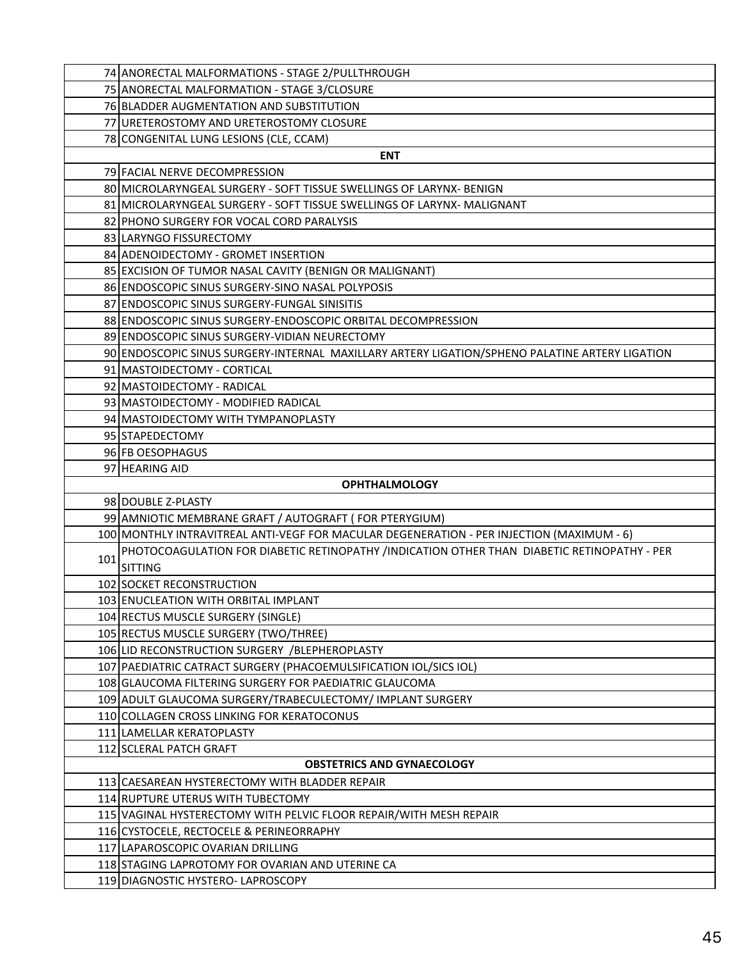|     | 74 ANORECTAL MALFORMATIONS - STAGE 2/PULLTHROUGH                                               |
|-----|------------------------------------------------------------------------------------------------|
|     | 75 ANORECTAL MALFORMATION - STAGE 3/CLOSURE                                                    |
|     | 76 BLADDER AUGMENTATION AND SUBSTITUTION                                                       |
|     | 77 URETEROSTOMY AND URETEROSTOMY CLOSURE                                                       |
|     | 78 CONGENITAL LUNG LESIONS (CLE, CCAM)                                                         |
|     | <b>ENT</b>                                                                                     |
|     | 79 FACIAL NERVE DECOMPRESSION                                                                  |
|     | 80 MICROLARYNGEAL SURGERY - SOFT TISSUE SWELLINGS OF LARYNX- BENIGN                            |
|     | 81 MICROLARYNGEAL SURGERY - SOFT TISSUE SWELLINGS OF LARYNX- MALIGNANT                         |
|     | 82 PHONO SURGERY FOR VOCAL CORD PARALYSIS                                                      |
|     | 83 LARYNGO FISSURECTOMY                                                                        |
|     | 84 ADENOIDECTOMY - GROMET INSERTION                                                            |
|     | 85 EXCISION OF TUMOR NASAL CAVITY (BENIGN OR MALIGNANT)                                        |
|     | 86 ENDOSCOPIC SINUS SURGERY-SINO NASAL POLYPOSIS                                               |
|     | 87 ENDOSCOPIC SINUS SURGERY-FUNGAL SINISITIS                                                   |
|     | 88 ENDOSCOPIC SINUS SURGERY-ENDOSCOPIC ORBITAL DECOMPRESSION                                   |
|     | 89 ENDOSCOPIC SINUS SURGERY-VIDIAN NEURECTOMY                                                  |
|     | 90 ENDOSCOPIC SINUS SURGERY-INTERNAL MAXILLARY ARTERY LIGATION/SPHENO PALATINE ARTERY LIGATION |
|     | 91 MASTOIDECTOMY - CORTICAL                                                                    |
|     | 92 MASTOIDECTOMY - RADICAL                                                                     |
|     | 93 MASTOIDECTOMY - MODIFIED RADICAL                                                            |
|     | 94 MASTOIDECTOMY WITH TYMPANOPLASTY                                                            |
|     | 95 STAPEDECTOMY                                                                                |
|     | 96 FB OESOPHAGUS                                                                               |
|     | 97 HEARING AID                                                                                 |
|     | <b>OPHTHALMOLOGY</b>                                                                           |
|     | 98 DOUBLE Z-PLASTY                                                                             |
|     | 99 AMNIOTIC MEMBRANE GRAFT / AUTOGRAFT (FOR PTERYGIUM)                                         |
|     | 100 MONTHLY INTRAVITREAL ANTI-VEGF FOR MACULAR DEGENERATION - PER INJECTION (MAXIMUM - 6)      |
| 101 | PHOTOCOAGULATION FOR DIABETIC RETINOPATHY /INDICATION OTHER THAN DIABETIC RETINOPATHY - PER    |
|     | <b>SITTING</b>                                                                                 |
|     | 102 SOCKET RECONSTRUCTION                                                                      |
|     | 103 ENUCLEATION WITH ORBITAL IMPLANT                                                           |
|     | 104 RECTUS MUSCLE SURGERY (SINGLE)<br>105 RECTUS MUSCLE SURGERY (TWO/THREE)                    |
|     | 106 LID RECONSTRUCTION SURGERY / BLEPHEROPLASTY                                                |
|     | 107 PAEDIATRIC CATRACT SURGERY (PHACOEMULSIFICATION IOL/SICS IOL)                              |
|     | 108 GLAUCOMA FILTERING SURGERY FOR PAEDIATRIC GLAUCOMA                                         |
|     | 109 ADULT GLAUCOMA SURGERY/TRABECULECTOMY/ IMPLANT SURGERY                                     |
|     | 110 COLLAGEN CROSS LINKING FOR KERATOCONUS                                                     |
|     | 111 LAMELLAR KERATOPLASTY                                                                      |
|     | 112 SCLERAL PATCH GRAFT                                                                        |
|     | <b>OBSTETRICS AND GYNAECOLOGY</b>                                                              |
|     | 113 CAESAREAN HYSTERECTOMY WITH BLADDER REPAIR                                                 |
|     | 114 RUPTURE UTERUS WITH TUBECTOMY                                                              |
|     | 115 VAGINAL HYSTERECTOMY WITH PELVIC FLOOR REPAIR/WITH MESH REPAIR                             |
|     | 116 CYSTOCELE, RECTOCELE & PERINEORRAPHY                                                       |
|     | 117 LAPAROSCOPIC OVARIAN DRILLING                                                              |
|     | 118 STAGING LAPROTOMY FOR OVARIAN AND UTERINE CA                                               |
|     | 119 DIAGNOSTIC HYSTERO- LAPROSCOPY                                                             |
|     |                                                                                                |